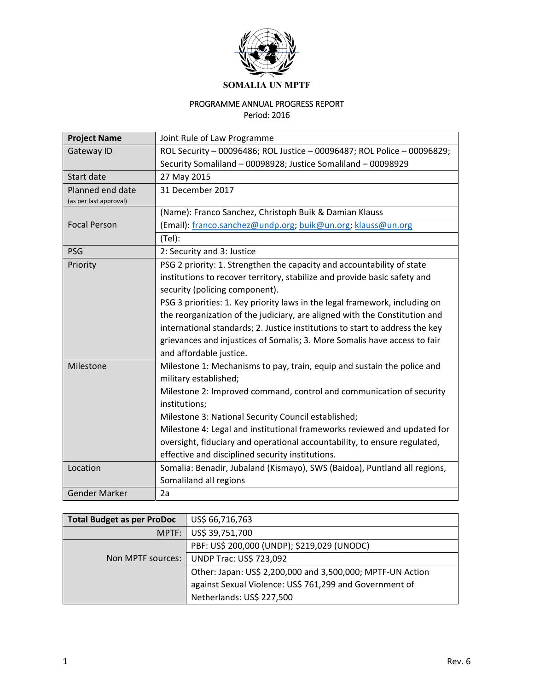

## PROGRAMME ANNUAL PROGRESS REPORT Period: 2016

| <b>Project Name</b>    | Joint Rule of Law Programme                                                  |
|------------------------|------------------------------------------------------------------------------|
| Gateway ID             | ROL Security - 00096486; ROL Justice - 00096487; ROL Police - 00096829;      |
|                        | Security Somaliland - 00098928; Justice Somaliland - 00098929                |
| Start date             | 27 May 2015                                                                  |
| Planned end date       | 31 December 2017                                                             |
| (as per last approval) |                                                                              |
|                        | (Name): Franco Sanchez, Christoph Buik & Damian Klauss                       |
| <b>Focal Person</b>    | (Email): franco.sanchez@undp.org; buik@un.org; klauss@un.org                 |
|                        | $(Tel)$ :                                                                    |
| <b>PSG</b>             | 2: Security and 3: Justice                                                   |
| Priority               | PSG 2 priority: 1. Strengthen the capacity and accountability of state       |
|                        | institutions to recover territory, stabilize and provide basic safety and    |
|                        | security (policing component).                                               |
|                        | PSG 3 priorities: 1. Key priority laws in the legal framework, including on  |
|                        | the reorganization of the judiciary, are aligned with the Constitution and   |
|                        | international standards; 2. Justice institutions to start to address the key |
|                        | grievances and injustices of Somalis; 3. More Somalis have access to fair    |
|                        | and affordable justice.                                                      |
| Milestone              | Milestone 1: Mechanisms to pay, train, equip and sustain the police and      |
|                        | military established;                                                        |
|                        | Milestone 2: Improved command, control and communication of security         |
|                        | institutions;                                                                |
|                        | Milestone 3: National Security Council established;                          |
|                        | Milestone 4: Legal and institutional frameworks reviewed and updated for     |
|                        | oversight, fiduciary and operational accountability, to ensure regulated,    |
|                        | effective and disciplined security institutions.                             |
| Location               | Somalia: Benadir, Jubaland (Kismayo), SWS (Baidoa), Puntland all regions,    |
|                        | Somaliland all regions                                                       |
| <b>Gender Marker</b>   | 2a                                                                           |

| <b>Total Budget as per ProDoc</b> | US\$ 66,716,763                                            |
|-----------------------------------|------------------------------------------------------------|
| MPTF:                             | US\$ 39,751,700                                            |
|                                   | PBF: US\$ 200,000 (UNDP); \$219,029 (UNODC)                |
| Non MPTF sources:                 | <b>UNDP Trac: US\$ 723,092</b>                             |
|                                   | Other: Japan: US\$ 2,200,000 and 3,500,000; MPTF-UN Action |
|                                   | against Sexual Violence: US\$ 761,299 and Government of    |
|                                   | Netherlands: US\$ 227,500                                  |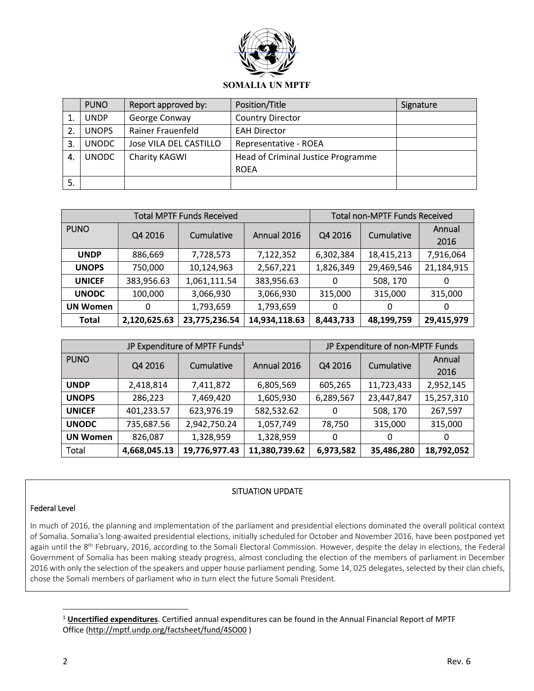

|    | <b>PUNO</b>  | Report approved by:    | Position/Title                     | Signature |
|----|--------------|------------------------|------------------------------------|-----------|
|    | <b>UNDP</b>  | George Conway          | <b>Country Director</b>            |           |
| 2. | <b>UNOPS</b> | Rainer Frauenfeld      | <b>EAH Director</b>                |           |
| 3. | <b>UNODC</b> | Jose VILA DEL CASTILLO | Representative - ROEA              |           |
| 4. | <b>UNODC</b> | Charity KAGWI          | Head of Criminal Justice Programme |           |
|    |              |                        | <b>ROEA</b>                        |           |
| 5. |              |                        |                                    |           |

| <b>Total MPTF Funds Received</b> |              |               |               | <b>Total non-MPTF Funds Received</b> |            |                |
|----------------------------------|--------------|---------------|---------------|--------------------------------------|------------|----------------|
| <b>PUNO</b>                      | Q4 2016      | Cumulative    | Annual 2016   | Q4 2016                              | Cumulative | Annual<br>2016 |
| <b>UNDP</b>                      | 886,669      | 7,728,573     | 7,122,352     | 6,302,384                            | 18,415,213 | 7,916,064      |
| <b>UNOPS</b>                     | 750,000      | 10,124,963    | 2,567,221     | 1,826,349                            | 29,469,546 | 21,184,915     |
| <b>UNICEF</b>                    | 383,956.63   | 1,061,111.54  | 383,956.63    | 0                                    | 508, 170   | 0              |
| <b>UNODC</b>                     | 100,000      | 3,066,930     | 3,066,930     | 315,000                              | 315,000    | 315,000        |
| <b>UN Women</b>                  | 0            | 1,793,659     | 1,793,659     | 0                                    | 0          | 0              |
| <b>Total</b>                     | 2,120,625.63 | 23,775,236.54 | 14,934,118.63 | 8,443,733                            | 48,199,759 | 29,415,979     |

|                 |              | JP Expenditure of MPTF Funds <sup>1</sup> | JP Expenditure of non-MPTF Funds |           |            |                |
|-----------------|--------------|-------------------------------------------|----------------------------------|-----------|------------|----------------|
| <b>PUNO</b>     | Q4 2016      | Cumulative                                | Annual 2016                      | Q4 2016   | Cumulative | Annual<br>2016 |
| <b>UNDP</b>     | 2,418,814    | 7,411,872                                 | 6,805,569                        | 605,265   | 11,723,433 | 2,952,145      |
| <b>UNOPS</b>    | 286,223      | 7,469,420                                 | 1,605,930                        | 6,289,567 | 23,447,847 | 15,257,310     |
| <b>UNICEF</b>   | 401,233.57   | 623,976.19                                | 582,532.62                       | 0         | 508, 170   | 267,597        |
| <b>UNODC</b>    | 735,687.56   | 2,942,750.24                              | 1,057,749                        | 78,750    | 315,000    | 315,000        |
| <b>UN Women</b> | 826,087      | 1,328,959                                 | 1,328,959                        | 0         | 0          | 0              |
| Total           | 4,668,045.13 | 19,776,977.43                             | 11,380,739.62                    | 6,973,582 | 35,486,280 | 18,792,052     |

### SITUATION UPDATE

#### Federal Level

In much of 2016, the planning and implementation of the parliament and presidential elections dominated the overall political context of Somalia. Somalia's long‐awaited presidential elections, initially scheduled for October and November 2016, have been postponed yet again until the 8<sup>th</sup> February, 2016, according to the Somali Electoral Commission. However, despite the delay in elections, the Federal Government of Somalia has been making steady progress, almost concluding the election of the members of parliament in December 2016 with only the selection of the speakers and upper house parliament pending. Some 14, 025 delegates, selected by their clan chiefs, chose the Somali members of parliament who in turn elect the future Somali President.

<sup>1</sup> **Uncertified expenditures**. Certified annual expenditures can be found in the Annual Financial Report of MPTF Office (http://mptf.undp.org/factsheet/fund/4SO00 )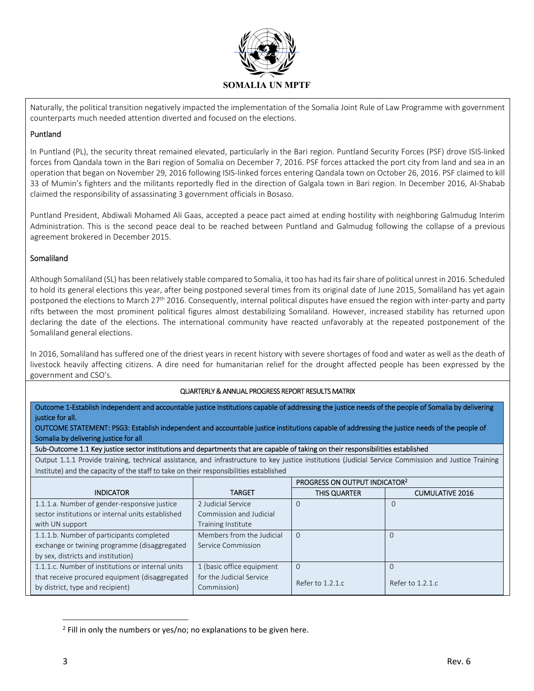

Naturally, the political transition negatively impacted the implementation of the Somalia Joint Rule of Law Programme with government counterparts much needed attention diverted and focused on the elections.

#### Puntland

In Puntland (PL), the security threat remained elevated, particularly in the Bari region. Puntland Security Forces (PSF) drove ISIS‐linked forces from Qandala town in the Bari region of Somalia on December 7, 2016. PSF forces attacked the port city from land and sea in an operation that began on November 29, 2016 following ISIS‐linked forces entering Qandala town on October 26, 2016. PSF claimed to kill 33 of Mumin's fighters and the militants reportedly fled in the direction of Galgala town in Bari region. In December 2016, Al‐Shabab claimed the responsibility of assassinating 3 government officials in Bosaso.

Puntland President, Abdiwali Mohamed Ali Gaas, accepted a peace pact aimed at ending hostility with neighboring Galmudug Interim Administration. This is the second peace deal to be reached between Puntland and Galmudug following the collapse of a previous agreement brokered in December 2015.

### Somaliland

Although Somaliland (SL) has been relatively stable compared to Somalia, it too has had its fair share of political unrest in 2016. Scheduled to hold its general elections this year, after being postponed several times from its original date of June 2015, Somaliland has yet again postponed the elections to March 27<sup>th</sup> 2016. Consequently, internal political disputes have ensued the region with inter-party and party rifts between the most prominent political figures almost destabilizing Somaliland. However, increased stability has returned upon declaring the date of the elections. The international community have reacted unfavorably at the repeated postponement of the Somaliland general elections.

In 2016, Somaliland has suffered one of the driest years in recent history with severe shortages of food and water as well as the death of livestock heavily affecting citizens. A dire need for humanitarian relief for the drought affected people has been expressed by the government and CSO's.

QUARTERLY & ANNUAL PROGRESS REPORT RESULTS MATRIX

Outcome 1‐Establish independent and accountable justice institutions capable of addressing the justice needs of the people of Somalia by delivering justice for all.

OUTCOME STATEMENT: PSG3: Establish independent and accountable justice institutions capable of addressing the justice needs of the people of Somalia by delivering justice for all

Sub‐Outcome 1.1 Key justice sector institutions and departments that are capable of taking on their responsibilities established

Output 1.1.1 Provide training, technical assistance, and infrastructure to key justice institutions (Judicial Service Commission and Justice Training Institute) and the capacity of the staff to take on their responsibilities established

|                                                                                    |                                         | PROGRESS ON OUTPUT INDICATOR <sup>2</sup> |                        |
|------------------------------------------------------------------------------------|-----------------------------------------|-------------------------------------------|------------------------|
| <b>INDICATOR</b>                                                                   | <b>TARGET</b>                           | THIS QUARTER                              | <b>CUMULATIVE 2016</b> |
| 1.1.1.a. Number of gender-responsive justice                                       | 2 Judicial Service                      |                                           |                        |
| sector institutions or internal units established                                  | Commission and Judicial                 |                                           |                        |
| with UN support                                                                    | Training Institute                      |                                           |                        |
| 1.1.1.b. Number of participants completed                                          | Members from the Judicial               |                                           | O                      |
| exchange or twining programme (disaggregated                                       | Service Commission                      |                                           |                        |
| by sex, districts and institution)                                                 |                                         |                                           |                        |
| 1.1.1.c. Number of institutions or internal units                                  | 1 (basic office equipment               |                                           |                        |
| that receive procured equipment (disaggregated<br>by district, type and recipient) | for the Judicial Service<br>Commission) | Refer to 1.2.1.c                          | Refer to 1.2.1.c       |

 $2$  Fill in only the numbers or yes/no; no explanations to be given here.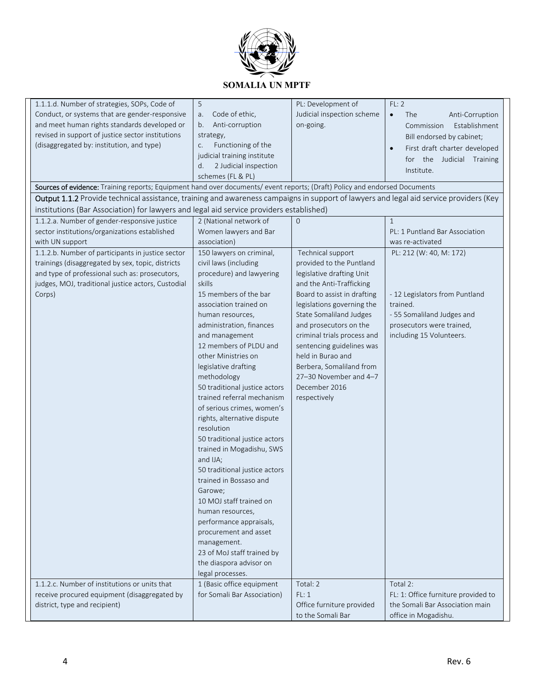

| 1.1.1.d. Number of strategies, SOPs, Code of                                                                                           | 5                             | PL: Development of             | FL: 2                                      |
|----------------------------------------------------------------------------------------------------------------------------------------|-------------------------------|--------------------------------|--------------------------------------------|
| Conduct, or systems that are gender-responsive                                                                                         | Code of ethic,<br>a.          | Judicial inspection scheme     | The<br>Anti-Corruption<br>$\bullet$        |
| and meet human rights standards developed or                                                                                           | Anti-corruption<br>b.         | on-going.                      | Establishment<br>Commission                |
| revised in support of justice sector institutions                                                                                      | strategy,                     |                                | Bill endorsed by cabinet;                  |
| (disaggregated by: institution, and type)                                                                                              | Functioning of the<br>C.      |                                | First draft charter developed<br>$\bullet$ |
|                                                                                                                                        | judicial training institute   |                                | the Judicial Training<br>for               |
|                                                                                                                                        | d.<br>2 Judicial inspection   |                                | Institute.                                 |
|                                                                                                                                        | schemes (FL & PL)             |                                |                                            |
| Sources of evidence: Training reports; Equipment hand over documents/ event reports; (Draft) Policy and endorsed Documents             |                               |                                |                                            |
| Output 1.1.2 Provide technical assistance, training and awareness campaigns in support of lawyers and legal aid service providers (Key |                               |                                |                                            |
| institutions (Bar Association) for lawyers and legal aid service providers established)                                                |                               |                                |                                            |
| 1.1.2.a. Number of gender-responsive justice                                                                                           | 2 (National network of        | $\overline{0}$                 | $\mathbf{1}$                               |
| sector institutions/organizations established                                                                                          | Women lawyers and Bar         |                                | PL: 1 Puntland Bar Association             |
| with UN support                                                                                                                        | association)                  |                                | was re-activated                           |
| 1.1.2.b. Number of participants in justice sector                                                                                      | 150 lawyers on criminal,      | Technical support              | PL: 212 (W: 40, M: 172)                    |
| trainings (disaggregated by sex, topic, districts                                                                                      | civil laws (including         | provided to the Puntland       |                                            |
| and type of professional such as: prosecutors,                                                                                         | procedure) and lawyering      | legislative drafting Unit      |                                            |
| judges, MOJ, traditional justice actors, Custodial                                                                                     | skills                        | and the Anti-Trafficking       |                                            |
| Corps)                                                                                                                                 | 15 members of the bar         | Board to assist in drafting    | - 12 Legislators from Puntland             |
|                                                                                                                                        | association trained on        | legislations governing the     | trained.                                   |
|                                                                                                                                        | human resources,              | <b>State Somaliland Judges</b> | - 55 Somaliland Judges and                 |
|                                                                                                                                        | administration, finances      | and prosecutors on the         | prosecutors were trained,                  |
|                                                                                                                                        | and management                | criminal trials process and    | including 15 Volunteers.                   |
|                                                                                                                                        | 12 members of PLDU and        | sentencing guidelines was      |                                            |
|                                                                                                                                        | other Ministries on           | held in Burao and              |                                            |
|                                                                                                                                        | legislative drafting          | Berbera, Somaliland from       |                                            |
|                                                                                                                                        | methodology                   | 27-30 November and 4-7         |                                            |
|                                                                                                                                        | 50 traditional justice actors | December 2016                  |                                            |
|                                                                                                                                        | trained referral mechanism    | respectively                   |                                            |
|                                                                                                                                        | of serious crimes, women's    |                                |                                            |
|                                                                                                                                        | rights, alternative dispute   |                                |                                            |
|                                                                                                                                        | resolution                    |                                |                                            |
|                                                                                                                                        | 50 traditional justice actors |                                |                                            |
|                                                                                                                                        | trained in Mogadishu, SWS     |                                |                                            |
|                                                                                                                                        | and IJA;                      |                                |                                            |
|                                                                                                                                        | 50 traditional justice actors |                                |                                            |
|                                                                                                                                        | trained in Bossaso and        |                                |                                            |
|                                                                                                                                        | Garowe;                       |                                |                                            |
|                                                                                                                                        | 10 MOJ staff trained on       |                                |                                            |
|                                                                                                                                        | human resources,              |                                |                                            |
|                                                                                                                                        | performance appraisals,       |                                |                                            |
|                                                                                                                                        | procurement and asset         |                                |                                            |
|                                                                                                                                        | management.                   |                                |                                            |
|                                                                                                                                        | 23 of MoJ staff trained by    |                                |                                            |
|                                                                                                                                        | the diaspora advisor on       |                                |                                            |
|                                                                                                                                        | legal processes.              |                                |                                            |
| 1.1.2.c. Number of institutions or units that                                                                                          | 1 (Basic office equipment     | Total: 2                       | Total 2:                                   |
| receive procured equipment (disaggregated by                                                                                           | for Somali Bar Association)   | FL: 1                          | FL: 1: Office furniture provided to        |
| district, type and recipient)                                                                                                          |                               | Office furniture provided      | the Somali Bar Association main            |
|                                                                                                                                        |                               | to the Somali Bar              | office in Mogadishu.                       |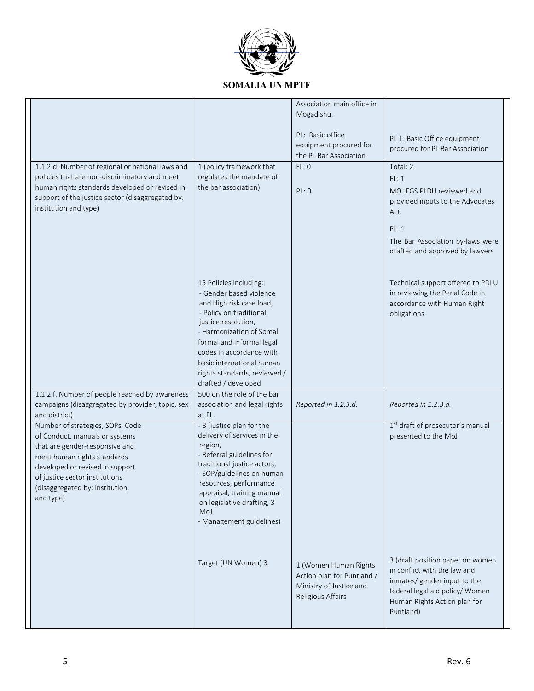

|                                                                                                    |                                                          | Association main office in                       |                                                                     |
|----------------------------------------------------------------------------------------------------|----------------------------------------------------------|--------------------------------------------------|---------------------------------------------------------------------|
|                                                                                                    |                                                          | Mogadishu.                                       |                                                                     |
|                                                                                                    |                                                          |                                                  |                                                                     |
|                                                                                                    |                                                          | PL: Basic office                                 | PL 1: Basic Office equipment                                        |
|                                                                                                    |                                                          | equipment procured for<br>the PL Bar Association | procured for PL Bar Association                                     |
|                                                                                                    |                                                          |                                                  |                                                                     |
| 1.1.2.d. Number of regional or national laws and                                                   | 1 (policy framework that                                 | FL:0                                             | Total: 2                                                            |
| policies that are non-discriminatory and meet                                                      | regulates the mandate of                                 |                                                  | FL:1                                                                |
| human rights standards developed or revised in<br>support of the justice sector (disaggregated by: | the bar association)                                     | PL: 0                                            | MOJ FGS PLDU reviewed and                                           |
| institution and type)                                                                              |                                                          |                                                  | provided inputs to the Advocates                                    |
|                                                                                                    |                                                          |                                                  | Act.                                                                |
|                                                                                                    |                                                          |                                                  | PL: 1                                                               |
|                                                                                                    |                                                          |                                                  |                                                                     |
|                                                                                                    |                                                          |                                                  | The Bar Association by-laws were<br>drafted and approved by lawyers |
|                                                                                                    |                                                          |                                                  |                                                                     |
|                                                                                                    |                                                          |                                                  |                                                                     |
|                                                                                                    | 15 Policies including:                                   |                                                  | Technical support offered to PDLU                                   |
|                                                                                                    | - Gender based violence                                  |                                                  | in reviewing the Penal Code in                                      |
|                                                                                                    | and High risk case load,                                 |                                                  | accordance with Human Right                                         |
|                                                                                                    | - Policy on traditional                                  |                                                  | obligations                                                         |
|                                                                                                    | justice resolution,                                      |                                                  |                                                                     |
|                                                                                                    | - Harmonization of Somali                                |                                                  |                                                                     |
|                                                                                                    | formal and informal legal                                |                                                  |                                                                     |
|                                                                                                    | codes in accordance with                                 |                                                  |                                                                     |
|                                                                                                    | basic international human                                |                                                  |                                                                     |
|                                                                                                    | rights standards, reviewed /                             |                                                  |                                                                     |
|                                                                                                    | drafted / developed                                      |                                                  |                                                                     |
| 1.1.2.f. Number of people reached by awareness                                                     | 500 on the role of the bar                               |                                                  |                                                                     |
| campaigns (disaggregated by provider, topic, sex                                                   | association and legal rights                             | Reported in 1.2.3.d.                             | Reported in 1.2.3.d.                                                |
| and district)                                                                                      | at FL.                                                   |                                                  |                                                                     |
| Number of strategies, SOPs, Code                                                                   | - 8 (justice plan for the<br>delivery of services in the |                                                  | 1st draft of prosecutor's manual                                    |
| of Conduct, manuals or systems                                                                     | region,                                                  |                                                  | presented to the MoJ                                                |
| that are gender-responsive and                                                                     | - Referral guidelines for                                |                                                  |                                                                     |
| meet human rights standards                                                                        | traditional justice actors;                              |                                                  |                                                                     |
| developed or revised in support                                                                    | - SOP/guidelines on human                                |                                                  |                                                                     |
| of justice sector institutions                                                                     | resources, performance                                   |                                                  |                                                                     |
| (disaggregated by: institution,<br>and type)                                                       | appraisal, training manual                               |                                                  |                                                                     |
|                                                                                                    | on legislative drafting, 3                               |                                                  |                                                                     |
|                                                                                                    | MoJ                                                      |                                                  |                                                                     |
|                                                                                                    | - Management guidelines)                                 |                                                  |                                                                     |
|                                                                                                    |                                                          |                                                  |                                                                     |
|                                                                                                    |                                                          |                                                  |                                                                     |
|                                                                                                    | Target (UN Women) 3                                      |                                                  | 3 (draft position paper on women                                    |
|                                                                                                    |                                                          | 1 (Women Human Rights                            | in conflict with the law and                                        |
|                                                                                                    |                                                          | Action plan for Puntland /                       | inmates/ gender input to the                                        |
|                                                                                                    |                                                          | Ministry of Justice and                          | federal legal aid policy/ Women                                     |
|                                                                                                    |                                                          | Religious Affairs                                | Human Rights Action plan for                                        |
|                                                                                                    |                                                          |                                                  | Puntland)                                                           |
|                                                                                                    |                                                          |                                                  |                                                                     |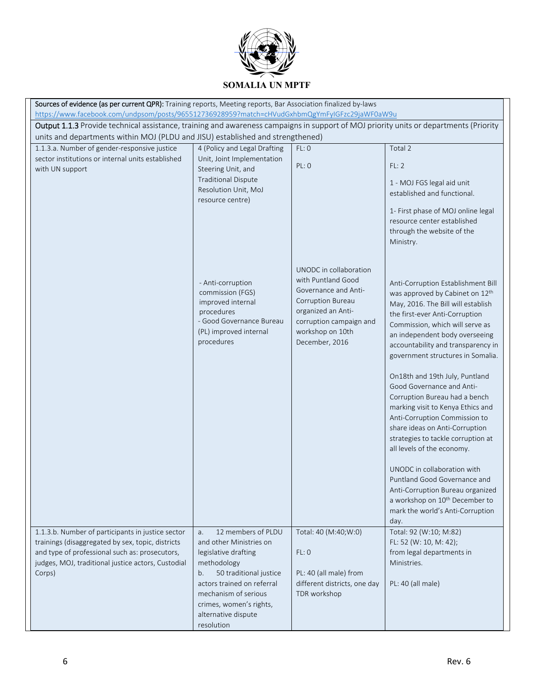

| Sources of evidence (as per current QPR): Training reports, Meeting reports, Bar Association finalized by-laws                                                                                                                         |                                     |                              |                                             |  |  |
|----------------------------------------------------------------------------------------------------------------------------------------------------------------------------------------------------------------------------------------|-------------------------------------|------------------------------|---------------------------------------------|--|--|
| https://www.facebook.com/undpsom/posts/965512736928959?match=cHVudGxhbmQgYmFyIGFzc29jaWF0aW9u<br>Output 1.1.3 Provide technical assistance, training and awareness campaigns in support of MOJ priority units or departments (Priority |                                     |                              |                                             |  |  |
|                                                                                                                                                                                                                                        |                                     |                              |                                             |  |  |
| units and departments within MOJ (PLDU and JISU) established and strengthened)<br>1.1.3.a. Number of gender-responsive justice                                                                                                         | 4 (Policy and Legal Drafting        | FL: 0                        | Total 2                                     |  |  |
| sector institutions or internal units established                                                                                                                                                                                      | Unit, Joint Implementation          |                              |                                             |  |  |
| with UN support                                                                                                                                                                                                                        | Steering Unit, and                  | PL: 0                        | FL: 2                                       |  |  |
|                                                                                                                                                                                                                                        | <b>Traditional Dispute</b>          |                              |                                             |  |  |
|                                                                                                                                                                                                                                        | Resolution Unit, MoJ                |                              | 1 - MOJ FGS legal aid unit                  |  |  |
|                                                                                                                                                                                                                                        | resource centre)                    |                              | established and functional.                 |  |  |
|                                                                                                                                                                                                                                        |                                     |                              | 1- First phase of MOJ online legal          |  |  |
|                                                                                                                                                                                                                                        |                                     |                              | resource center established                 |  |  |
|                                                                                                                                                                                                                                        |                                     |                              | through the website of the                  |  |  |
|                                                                                                                                                                                                                                        |                                     |                              | Ministry.                                   |  |  |
|                                                                                                                                                                                                                                        |                                     |                              |                                             |  |  |
|                                                                                                                                                                                                                                        |                                     | UNODC in collaboration       |                                             |  |  |
|                                                                                                                                                                                                                                        | - Anti-corruption                   | with Puntland Good           | Anti-Corruption Establishment Bill          |  |  |
|                                                                                                                                                                                                                                        | commission (FGS)                    | Governance and Anti-         | was approved by Cabinet on 12 <sup>th</sup> |  |  |
|                                                                                                                                                                                                                                        | improved internal                   | <b>Corruption Bureau</b>     | May, 2016. The Bill will establish          |  |  |
|                                                                                                                                                                                                                                        | procedures                          | organized an Anti-           | the first-ever Anti-Corruption              |  |  |
|                                                                                                                                                                                                                                        | - Good Governance Bureau            | corruption campaign and      | Commission, which will serve as             |  |  |
|                                                                                                                                                                                                                                        | (PL) improved internal              | workshop on 10th             | an independent body overseeing              |  |  |
|                                                                                                                                                                                                                                        | procedures                          | December, 2016               | accountability and transparency in          |  |  |
|                                                                                                                                                                                                                                        |                                     |                              | government structures in Somalia.           |  |  |
|                                                                                                                                                                                                                                        |                                     |                              | On18th and 19th July, Puntland              |  |  |
|                                                                                                                                                                                                                                        |                                     |                              | Good Governance and Anti-                   |  |  |
|                                                                                                                                                                                                                                        |                                     |                              | Corruption Bureau had a bench               |  |  |
|                                                                                                                                                                                                                                        |                                     |                              | marking visit to Kenya Ethics and           |  |  |
|                                                                                                                                                                                                                                        |                                     |                              | Anti-Corruption Commission to               |  |  |
|                                                                                                                                                                                                                                        |                                     |                              | share ideas on Anti-Corruption              |  |  |
|                                                                                                                                                                                                                                        |                                     |                              | strategies to tackle corruption at          |  |  |
|                                                                                                                                                                                                                                        |                                     |                              | all levels of the economy.                  |  |  |
|                                                                                                                                                                                                                                        |                                     |                              | UNODC in collaboration with                 |  |  |
|                                                                                                                                                                                                                                        |                                     |                              | Puntland Good Governance and                |  |  |
|                                                                                                                                                                                                                                        |                                     |                              | Anti-Corruption Bureau organized            |  |  |
|                                                                                                                                                                                                                                        |                                     |                              | a workshop on 10 <sup>th</sup> December to  |  |  |
|                                                                                                                                                                                                                                        |                                     |                              | mark the world's Anti-Corruption            |  |  |
|                                                                                                                                                                                                                                        |                                     |                              | day.                                        |  |  |
| 1.1.3.b. Number of participants in justice sector                                                                                                                                                                                      | 12 members of PLDU<br>a.            | Total: 40 (M:40;W:0)         | Total: 92 (W:10; M:82)                      |  |  |
| trainings (disaggregated by sex, topic, districts                                                                                                                                                                                      | and other Ministries on             |                              | FL: 52 (W: 10, M: 42);                      |  |  |
| and type of professional such as: prosecutors,<br>judges, MOJ, traditional justice actors, Custodial                                                                                                                                   | legislative drafting<br>methodology | FL: 0                        | from legal departments in<br>Ministries.    |  |  |
| Corps)                                                                                                                                                                                                                                 | 50 traditional justice<br>b.        | PL: 40 (all male) from       |                                             |  |  |
|                                                                                                                                                                                                                                        | actors trained on referral          | different districts, one day | PL: 40 (all male)                           |  |  |
|                                                                                                                                                                                                                                        | mechanism of serious                | TDR workshop                 |                                             |  |  |
|                                                                                                                                                                                                                                        | crimes, women's rights,             |                              |                                             |  |  |
|                                                                                                                                                                                                                                        | alternative dispute                 |                              |                                             |  |  |
|                                                                                                                                                                                                                                        | resolution                          |                              |                                             |  |  |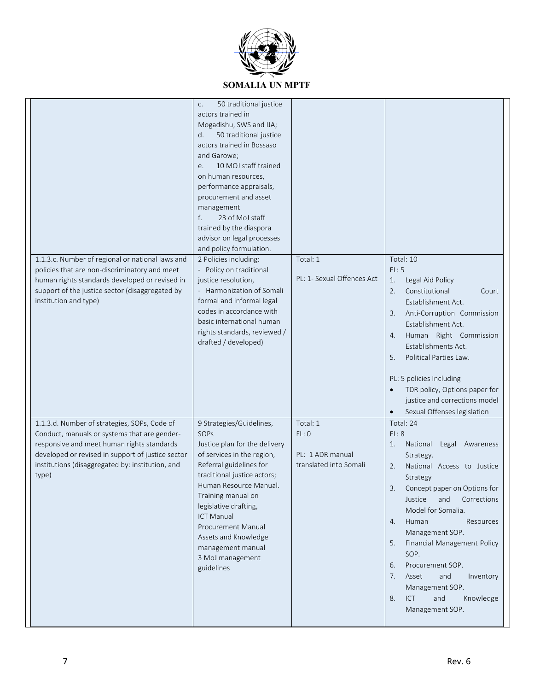

| 1.1.3.c. Number of regional or national laws and<br>policies that are non-discriminatory and meet<br>human rights standards developed or revised in<br>support of the justice sector (disaggregated by<br>institution and type)                              | 50 traditional justice<br>C.<br>actors trained in<br>Mogadishu, SWS and IJA;<br>50 traditional justice<br>d.<br>actors trained in Bossaso<br>and Garowe;<br>10 MOJ staff trained<br>e.<br>on human resources,<br>performance appraisals,<br>procurement and asset<br>management<br>23 of MoJ staff<br>f.<br>trained by the diaspora<br>advisor on legal processes<br>and policy formulation.<br>2 Policies including:<br>- Policy on traditional<br>justice resolution,<br>- Harmonization of Somali<br>formal and informal legal<br>codes in accordance with<br>basic international human<br>rights standards, reviewed /<br>drafted / developed) | Total: 1<br>PL: 1- Sexual Offences Act                          | Total: 10<br>FL: 5<br>Legal Aid Policy<br>1.<br>Constitutional<br>2.<br>Court<br>Establishment Act.<br>Anti-Corruption Commission<br>3.<br>Establishment Act.<br>Human Right Commission<br>4.<br>Establishments Act.<br>Political Parties Law.<br>5.<br>PL: 5 policies Including<br>TDR policy, Options paper for<br>justice and corrections model<br>Sexual Offenses legislation                                                                  |
|--------------------------------------------------------------------------------------------------------------------------------------------------------------------------------------------------------------------------------------------------------------|----------------------------------------------------------------------------------------------------------------------------------------------------------------------------------------------------------------------------------------------------------------------------------------------------------------------------------------------------------------------------------------------------------------------------------------------------------------------------------------------------------------------------------------------------------------------------------------------------------------------------------------------------|-----------------------------------------------------------------|----------------------------------------------------------------------------------------------------------------------------------------------------------------------------------------------------------------------------------------------------------------------------------------------------------------------------------------------------------------------------------------------------------------------------------------------------|
| 1.1.3.d. Number of strategies, SOPs, Code of<br>Conduct, manuals or systems that are gender-<br>responsive and meet human rights standards<br>developed or revised in support of justice sector<br>institutions (disaggregated by: institution, and<br>type) | 9 Strategies/Guidelines,<br>SOPs<br>Justice plan for the delivery<br>of services in the region,<br>Referral guidelines for<br>traditional justice actors;<br>Human Resource Manual.<br>Training manual on<br>legislative drafting,<br><b>ICT Manual</b><br>Procurement Manual<br>Assets and Knowledge<br>management manual<br>3 MoJ management<br>guidelines                                                                                                                                                                                                                                                                                       | Total: 1<br>FL: 0<br>PL: 1 ADR manual<br>translated into Somali | Total: 24<br>FL: 8<br>1.<br>National<br>Legal Awareness<br>Strategy.<br>2.<br>National Access to Justice<br>Strategy<br>Concept paper on Options for<br>Justice<br>Corrections<br>and<br>Model for Somalia.<br>Human<br>Resources<br>4.<br>Management SOP.<br>Financial Management Policy<br>5.<br>SOP.<br>Procurement SOP.<br>6.<br>7.<br>Asset<br>and<br>Inventory<br>Management SOP.<br>8.<br><b>ICT</b><br>and<br>Knowledge<br>Management SOP. |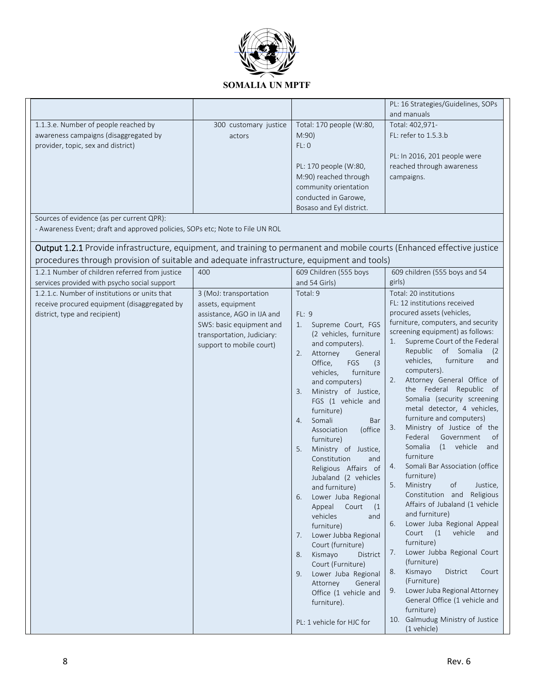

|                                                                                                                                                                                                                                                       |                                                                                                                                                                 |                                                                                                                                                                                                                                                                                                                                                                                                                                                                                                                                                                                                                                                                                                                                                                            | PL: 16 Strategies/Guidelines, SOPs<br>and manuals                                                                                                                                                                                                                                                                                                                                                                                                                                                                                                                                                                                                                                                                                                                                                                                                                                                                                                                                                                                                                            |
|-------------------------------------------------------------------------------------------------------------------------------------------------------------------------------------------------------------------------------------------------------|-----------------------------------------------------------------------------------------------------------------------------------------------------------------|----------------------------------------------------------------------------------------------------------------------------------------------------------------------------------------------------------------------------------------------------------------------------------------------------------------------------------------------------------------------------------------------------------------------------------------------------------------------------------------------------------------------------------------------------------------------------------------------------------------------------------------------------------------------------------------------------------------------------------------------------------------------------|------------------------------------------------------------------------------------------------------------------------------------------------------------------------------------------------------------------------------------------------------------------------------------------------------------------------------------------------------------------------------------------------------------------------------------------------------------------------------------------------------------------------------------------------------------------------------------------------------------------------------------------------------------------------------------------------------------------------------------------------------------------------------------------------------------------------------------------------------------------------------------------------------------------------------------------------------------------------------------------------------------------------------------------------------------------------------|
| 1.1.3.e. Number of people reached by<br>awareness campaigns (disaggregated by<br>provider, topic, sex and district)                                                                                                                                   | 300 customary justice<br>actors                                                                                                                                 | Total: 170 people (W:80,<br>M:90)<br>FL: 0<br>PL: 170 people (W:80,<br>M:90) reached through<br>community orientation<br>conducted in Garowe,<br>Bosaso and Eyl district.                                                                                                                                                                                                                                                                                                                                                                                                                                                                                                                                                                                                  | Total: 402,971-<br>FL: refer to 1.5.3.b<br>PL: In 2016, 201 people were<br>reached through awareness<br>campaigns.                                                                                                                                                                                                                                                                                                                                                                                                                                                                                                                                                                                                                                                                                                                                                                                                                                                                                                                                                           |
| Sources of evidence (as per current QPR):<br>- Awareness Event; draft and approved policies, SOPs etc; Note to File UN ROL<br>Output 1.2.1 Provide infrastructure, equipment, and training to permanent and mobile courts (Enhanced effective justice |                                                                                                                                                                 |                                                                                                                                                                                                                                                                                                                                                                                                                                                                                                                                                                                                                                                                                                                                                                            |                                                                                                                                                                                                                                                                                                                                                                                                                                                                                                                                                                                                                                                                                                                                                                                                                                                                                                                                                                                                                                                                              |
| procedures through provision of suitable and adequate infrastructure, equipment and tools)<br>1.2.1 Number of children referred from justice                                                                                                          | 400                                                                                                                                                             | 609 Children (555 boys                                                                                                                                                                                                                                                                                                                                                                                                                                                                                                                                                                                                                                                                                                                                                     | 609 children (555 boys and 54                                                                                                                                                                                                                                                                                                                                                                                                                                                                                                                                                                                                                                                                                                                                                                                                                                                                                                                                                                                                                                                |
| services provided with psycho social support                                                                                                                                                                                                          |                                                                                                                                                                 | and 54 Girls)                                                                                                                                                                                                                                                                                                                                                                                                                                                                                                                                                                                                                                                                                                                                                              | girls)                                                                                                                                                                                                                                                                                                                                                                                                                                                                                                                                                                                                                                                                                                                                                                                                                                                                                                                                                                                                                                                                       |
| 1.2.1.c. Number of institutions or units that<br>receive procured equipment (disaggregated by<br>district, type and recipient)                                                                                                                        | 3 (MoJ: transportation<br>assets, equipment<br>assistance, AGO in IJA and<br>SWS: basic equipment and<br>transportation, Judiciary:<br>support to mobile court) | Total: 9<br>FL: 9<br>Supreme Court, FGS<br>1.<br>(2 vehicles, furniture<br>and computers).<br>Attorney<br>General<br>2.<br>Office,<br>FGS<br>(3)<br>vehicles,<br>furniture<br>and computers)<br>Ministry of Justice,<br>3.<br>FGS (1 vehicle and<br>furniture)<br>Somali<br>Bar<br>4.<br>(office<br>Association<br>furniture)<br>5.<br>Ministry of Justice,<br>Constitution<br>and<br>Religious Affairs of<br>Jubaland (2 vehicles<br>and furniture)<br>Lower Juba Regional<br>6.<br>Appeal<br>Court<br>(1)<br>vehicles<br>and<br>furniture)<br>Lower Jubba Regional<br>7.<br>Court (furniture)<br>Kismayo<br>District<br>8.<br>Court (Furniture)<br>Lower Juba Regional<br>9.<br>Attorney<br>General<br>Office (1 vehicle and<br>furniture).<br>PL: 1 vehicle for HJC for | Total: 20 institutions<br>FL: 12 institutions received<br>procured assets (vehicles,<br>furniture, computers, and security<br>screening equipment) as follows:<br>Supreme Court of the Federal<br>1.<br>Republic of Somalia<br>(2)<br>vehicles,<br>furniture<br>and<br>computers).<br>Attorney General Office of<br>2.<br>the Federal Republic<br>of<br>Somalia (security screening<br>metal detector, 4 vehicles,<br>furniture and computers)<br>Ministry of Justice of the<br>3.<br>Federal<br>Government<br>0f<br>Somalia<br>(1 vehicle<br>and<br>furniture<br>Somali Bar Association (office<br>4.<br>furniture)<br>5.<br>Ministry<br>of<br>Justice.<br>Constitution and Religious<br>Affairs of Jubaland (1 vehicle<br>and furniture)<br>Lower Juba Regional Appeal<br>6.<br>vehicle<br>Court $(1$<br>and<br>furniture)<br>Lower Jubba Regional Court<br>7.<br>(furniture)<br>Kismayo<br>District<br>Court<br>8.<br>(Furniture)<br>Lower Juba Regional Attorney<br>9.<br>General Office (1 vehicle and<br>furniture)<br>10. Galmudug Ministry of Justice<br>(1 vehicle) |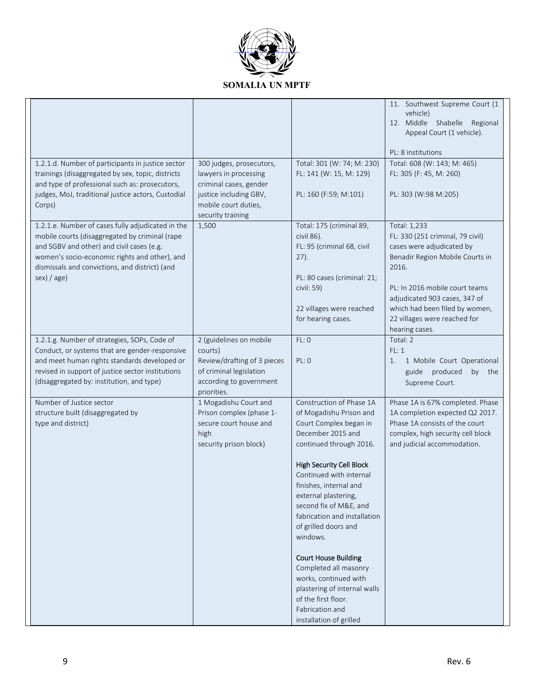

|                                                                                                                                                                                                                                                                    |                                                                                                                                        |                                                                                                                                                                                                                                                                                                                                                                            | 11. Southwest Supreme Court (1<br>vehicle)<br>12. Middle Shabelle Regional<br>Appeal Court (1 vehicle).<br>PL: 8 institutions                                                                                                                                                    |
|--------------------------------------------------------------------------------------------------------------------------------------------------------------------------------------------------------------------------------------------------------------------|----------------------------------------------------------------------------------------------------------------------------------------|----------------------------------------------------------------------------------------------------------------------------------------------------------------------------------------------------------------------------------------------------------------------------------------------------------------------------------------------------------------------------|----------------------------------------------------------------------------------------------------------------------------------------------------------------------------------------------------------------------------------------------------------------------------------|
| 1.2.1.d. Number of participants in justice sector<br>trainings (disaggregated by sex, topic, districts<br>and type of professional such as: prosecutors,<br>judges, MoJ, traditional justice actors, Custodial<br>Corps)                                           | 300 judges, prosecutors,<br>lawyers in processing<br>criminal cases, gender<br>justice including GBV,<br>mobile court duties,          | Total: 301 (W: 74; M: 230)<br>FL: 141 (W: 15, M: 129)<br>PL: 160 (F:59; M:101)                                                                                                                                                                                                                                                                                             | Total: 608 (W: 143; M: 465)<br>FL: 305 (F: 45, M: 260)<br>PL: 303 (W:98 M:205)                                                                                                                                                                                                   |
| 1.2.1.e. Number of cases fully adjudicated in the<br>mobile courts (disaggregated by criminal (rape<br>and SGBV and other) and civil cases (e.g.<br>women's socio-economic rights and other), and<br>dismissals and convictions, and district) (and<br>sex) / age) | security training<br>1,500                                                                                                             | Total: 175 (criminal 89,<br>civil 86).<br>FL: 95 (criminal 68, civil<br>27).<br>PL: 80 cases (criminal: 21;<br>civil: 59)<br>22 villages were reached<br>for hearing cases.                                                                                                                                                                                                | Total: 1,233<br>FL: 330 (251 criminal, 79 civil)<br>cases were adjudicated by<br>Benadir Region Mobile Courts in<br>2016.<br>PL: In 2016 mobile court teams<br>adjudicated 903 cases, 347 of<br>which had been filed by women,<br>22 villages were reached for<br>hearing cases. |
| 1.2.1.g. Number of strategies, SOPs, Code of<br>Conduct, or systems that are gender-responsive<br>and meet human rights standards developed or<br>revised in support of justice sector institutions<br>(disaggregated by: institution, and type)                   | 2 (guidelines on mobile<br>courts)<br>Review/drafting of 3 pieces<br>of criminal legislation<br>according to government<br>priorities. | FL:O<br>PL: 0                                                                                                                                                                                                                                                                                                                                                              | Total: 2<br>FL: 1<br>1 Mobile Court Operational<br>1.<br>guide produced<br>by the<br>Supreme Court.                                                                                                                                                                              |
| Number of Justice sector<br>structure built (disaggregated by<br>type and district)                                                                                                                                                                                | 1 Mogadishu Court and<br>Prison complex (phase 1-<br>secure court house and<br>high<br>security prison block)                          | Construction of Phase 1A<br>of Mogadishu Prison and<br>Court Complex began in<br>December 2015 and<br>continued through 2016.<br><b>High Security Cell Block</b><br>Continued with internal<br>finishes, internal and<br>external plastering,<br>second fix of M&E, and<br>fabrication and installation<br>of grilled doors and<br>windows.<br><b>Court House Building</b> | Phase 1A is 67% completed. Phase<br>1A completion expected Q2 2017.<br>Phase 1A consists of the court<br>complex, high security cell block<br>and judicial accommodation.                                                                                                        |
|                                                                                                                                                                                                                                                                    |                                                                                                                                        | Completed all masonry<br>works, continued with<br>plastering of internal walls<br>of the first floor.<br>Fabrication and<br>installation of grilled                                                                                                                                                                                                                        |                                                                                                                                                                                                                                                                                  |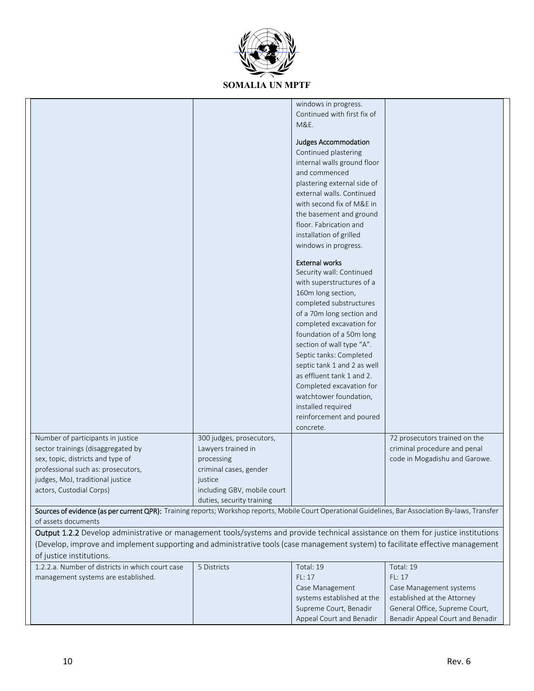

|                                                                                                                                                      |                             | windows in progress.        |                                  |
|------------------------------------------------------------------------------------------------------------------------------------------------------|-----------------------------|-----------------------------|----------------------------------|
|                                                                                                                                                      |                             | Continued with first fix of |                                  |
|                                                                                                                                                      |                             | M&E.                        |                                  |
|                                                                                                                                                      |                             | Judges Accommodation        |                                  |
|                                                                                                                                                      |                             | Continued plastering        |                                  |
|                                                                                                                                                      |                             | internal walls ground floor |                                  |
|                                                                                                                                                      |                             | and commenced               |                                  |
|                                                                                                                                                      |                             | plastering external side of |                                  |
|                                                                                                                                                      |                             | external walls. Continued   |                                  |
|                                                                                                                                                      |                             | with second fix of M&E in   |                                  |
|                                                                                                                                                      |                             | the basement and ground     |                                  |
|                                                                                                                                                      |                             | floor. Fabrication and      |                                  |
|                                                                                                                                                      |                             | installation of grilled     |                                  |
|                                                                                                                                                      |                             | windows in progress.        |                                  |
|                                                                                                                                                      |                             |                             |                                  |
|                                                                                                                                                      |                             | <b>External works</b>       |                                  |
|                                                                                                                                                      |                             | Security wall: Continued    |                                  |
|                                                                                                                                                      |                             | with superstructures of a   |                                  |
|                                                                                                                                                      |                             | 160m long section,          |                                  |
|                                                                                                                                                      |                             | completed substructures     |                                  |
|                                                                                                                                                      |                             | of a 70m long section and   |                                  |
|                                                                                                                                                      |                             | completed excavation for    |                                  |
|                                                                                                                                                      |                             | foundation of a 50m long    |                                  |
|                                                                                                                                                      |                             | section of wall type "A".   |                                  |
|                                                                                                                                                      |                             | Septic tanks: Completed     |                                  |
|                                                                                                                                                      |                             | septic tank 1 and 2 as well |                                  |
|                                                                                                                                                      |                             | as effluent tank 1 and 2.   |                                  |
|                                                                                                                                                      |                             | Completed excavation for    |                                  |
|                                                                                                                                                      |                             | watchtower foundation,      |                                  |
|                                                                                                                                                      |                             | installed required          |                                  |
|                                                                                                                                                      |                             | reinforcement and poured    |                                  |
|                                                                                                                                                      |                             | concrete.                   |                                  |
| Number of participants in justice                                                                                                                    | 300 judges, prosecutors,    |                             | 72 prosecutors trained on the    |
| sector trainings (disaggregated by                                                                                                                   | Lawyers trained in          |                             | criminal procedure and penal     |
| sex, topic, districts and type of                                                                                                                    | processing                  |                             | code in Mogadishu and Garowe.    |
| professional such as: prosecutors,                                                                                                                   | criminal cases, gender      |                             |                                  |
| judges, MoJ, traditional justice                                                                                                                     | iustice                     |                             |                                  |
| actors, Custodial Corps)                                                                                                                             | including GBV, mobile court |                             |                                  |
|                                                                                                                                                      | duties, security training   |                             |                                  |
| Sources of evidence (as per current QPR): Training reports; Workshop reports, Mobile Court Operational Guidelines, Bar Association By-laws, Transfer |                             |                             |                                  |
| of assets documents                                                                                                                                  |                             |                             |                                  |
| Output 1.2.2 Develop administrative or management tools/systems and provide technical assistance on them for justice institutions                    |                             |                             |                                  |
| (Develop, improve and implement supporting and administrative tools (case management system) to facilitate effective management                      |                             |                             |                                  |
| of justice institutions.                                                                                                                             |                             |                             |                                  |
| 1.2.2.a. Number of districts in which court case                                                                                                     | 5 Districts                 | Total: 19                   | Total: 19                        |
| management systems are established.                                                                                                                  |                             | FL: 17                      | FL: 17                           |
|                                                                                                                                                      |                             | Case Management             | Case Management systems          |
|                                                                                                                                                      |                             | systems established at the  | established at the Attorney      |
|                                                                                                                                                      |                             | Supreme Court, Benadir      | General Office, Supreme Court,   |
|                                                                                                                                                      |                             | Appeal Court and Benadir    | Benadir Appeal Court and Benadir |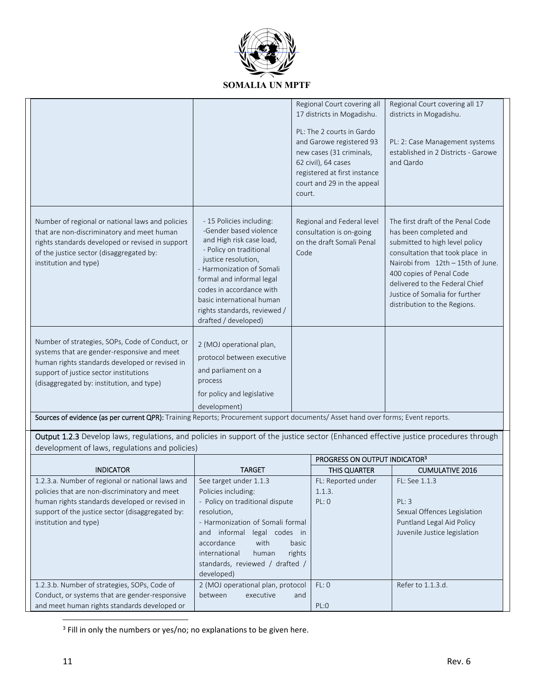

|                                                                                                                                                                                                                                         |                                                                                                                                                                                                                                                                                                             | Regional Court covering all<br>17 districts in Mogadishu.<br>PL: The 2 courts in Gardo<br>and Garowe registered 93<br>new cases (31 criminals,<br>62 civil), 64 cases<br>registered at first instance<br>court and 29 in the appeal<br>court. | Regional Court covering all 17<br>districts in Mogadishu.<br>PL: 2: Case Management systems<br>established in 2 Districts - Garowe<br>and Qardo                                                                                                                                                       |
|-----------------------------------------------------------------------------------------------------------------------------------------------------------------------------------------------------------------------------------------|-------------------------------------------------------------------------------------------------------------------------------------------------------------------------------------------------------------------------------------------------------------------------------------------------------------|-----------------------------------------------------------------------------------------------------------------------------------------------------------------------------------------------------------------------------------------------|-------------------------------------------------------------------------------------------------------------------------------------------------------------------------------------------------------------------------------------------------------------------------------------------------------|
| Number of regional or national laws and policies<br>that are non-discriminatory and meet human<br>rights standards developed or revised in support<br>of the justice sector (disaggregated by:<br>institution and type)                 | - 15 Policies including:<br>-Gender based violence<br>and High risk case load,<br>- Policy on traditional<br>justice resolution,<br>- Harmonization of Somali<br>formal and informal legal<br>codes in accordance with<br>basic international human<br>rights standards, reviewed /<br>drafted / developed) | Regional and Federal level<br>consultation is on-going<br>on the draft Somali Penal<br>Code                                                                                                                                                   | The first draft of the Penal Code<br>has been completed and<br>submitted to high level policy<br>consultation that took place in<br>Nairobi from 12th - 15th of June.<br>400 copies of Penal Code<br>delivered to the Federal Chief<br>Justice of Somalia for further<br>distribution to the Regions. |
| Number of strategies, SOPs, Code of Conduct, or<br>systems that are gender-responsive and meet<br>human rights standards developed or revised in<br>support of justice sector institutions<br>(disaggregated by: institution, and type) | 2 (MOJ operational plan,<br>protocol between executive<br>and parliament on a<br>process<br>for policy and legislative<br>development)                                                                                                                                                                      |                                                                                                                                                                                                                                               |                                                                                                                                                                                                                                                                                                       |

Sources of evidence (as per current QPR): Training Reports; Procurement support documents/ Asset hand over forms; Event reports.

Output 1.2.3 Develop laws, regulations, and policies in support of the justice sector (Enhanced effective justice procedures through development of laws, regulations and policies)

|                                                  |                                   | PROGRESS ON OUTPUT INDICATOR <sup>3</sup> |                              |
|--------------------------------------------------|-----------------------------------|-------------------------------------------|------------------------------|
| <b>INDICATOR</b>                                 | <b>TARGET</b>                     | <b>THIS QUARTER</b>                       | <b>CUMULATIVE 2016</b>       |
| 1.2.3.a. Number of regional or national laws and | See target under 1.1.3            | FL: Reported under                        | $FL:$ See $1.1.3$            |
| policies that are non-discriminatory and meet    | Policies including:               | 1.1.3.                                    |                              |
| human rights standards developed or revised in   | - Policy on traditional dispute   | PL: 0                                     | PL: 3                        |
| support of the justice sector (disaggregated by: | resolution,                       |                                           | Sexual Offences Legislation  |
| institution and type)                            | - Harmonization of Somali formal  |                                           | Puntland Legal Aid Policy    |
|                                                  | informal<br>legal codes in<br>and |                                           | Juvenile Justice legislation |
|                                                  | with<br>accordance<br>basic       |                                           |                              |
|                                                  | rights<br>international<br>human  |                                           |                              |
|                                                  | standards, reviewed / drafted /   |                                           |                              |
|                                                  | developed)                        |                                           |                              |
| 1.2.3.b. Number of strategies, SOPs, Code of     | 2 (MOJ operational plan, protocol | FL:0                                      | Refer to 1.1.3.d.            |
| Conduct, or systems that are gender-responsive   | between<br>executive<br>and       |                                           |                              |
| and meet human rights standards developed or     |                                   | PL:0                                      |                              |

 $\frac{3}{10}$  Fill in only the numbers or yes/no; no explanations to be given here.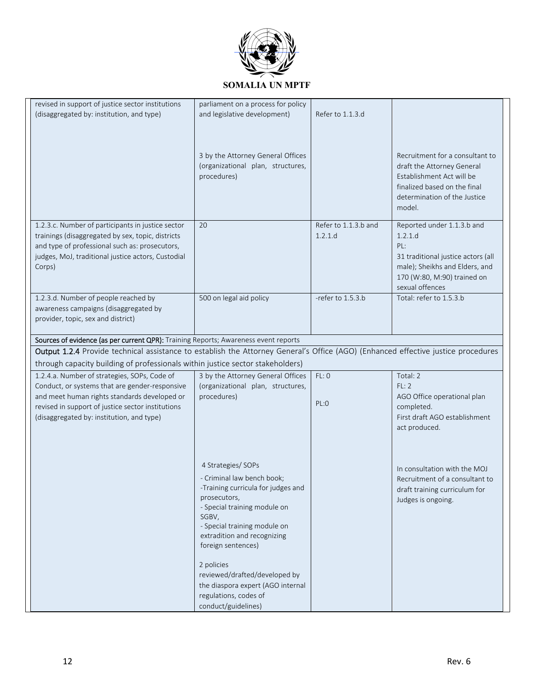

| revised in support of justice sector institutions                                                                                 | parliament on a process for policy          |                      |                                        |
|-----------------------------------------------------------------------------------------------------------------------------------|---------------------------------------------|----------------------|----------------------------------------|
| (disaggregated by: institution, and type)                                                                                         | and legislative development)                | Refer to 1.1.3.d     |                                        |
|                                                                                                                                   |                                             |                      |                                        |
|                                                                                                                                   |                                             |                      |                                        |
|                                                                                                                                   |                                             |                      |                                        |
|                                                                                                                                   | 3 by the Attorney General Offices           |                      | Recruitment for a consultant to        |
|                                                                                                                                   | (organizational plan, structures,           |                      | draft the Attorney General             |
|                                                                                                                                   | procedures)                                 |                      | Establishment Act will be              |
|                                                                                                                                   |                                             |                      | finalized based on the final           |
|                                                                                                                                   |                                             |                      | determination of the Justice<br>model. |
|                                                                                                                                   |                                             |                      |                                        |
| 1.2.3.c. Number of participants in justice sector                                                                                 | 20                                          | Refer to 1.1.3.b and | Reported under 1.1.3.b and             |
| trainings (disaggregated by sex, topic, districts                                                                                 |                                             | 1.2.1.d              | 1.2.1.d                                |
| and type of professional such as: prosecutors,                                                                                    |                                             |                      | PL:                                    |
| judges, MoJ, traditional justice actors, Custodial                                                                                |                                             |                      | 31 traditional justice actors (all     |
| Corps)                                                                                                                            |                                             |                      | male); Sheikhs and Elders, and         |
|                                                                                                                                   |                                             |                      | 170 (W:80, M:90) trained on            |
|                                                                                                                                   |                                             |                      | sexual offences                        |
| 1.2.3.d. Number of people reached by<br>awareness campaigns (disaggregated by                                                     | 500 on legal aid policy                     | -refer to 1.5.3.b    | Total: refer to 1.5.3.b                |
| provider, topic, sex and district)                                                                                                |                                             |                      |                                        |
|                                                                                                                                   |                                             |                      |                                        |
| Sources of evidence (as per current QPR): Training Reports; Awareness event reports                                               |                                             |                      |                                        |
| Output 1.2.4 Provide technical assistance to establish the Attorney General's Office (AGO) (Enhanced effective justice procedures |                                             |                      |                                        |
| through capacity building of professionals within justice sector stakeholders)                                                    |                                             |                      |                                        |
| 1.2.4.a. Number of strategies, SOPs, Code of                                                                                      | 3 by the Attorney General Offices           | FL:O                 | Total: 2                               |
| Conduct, or systems that are gender-responsive                                                                                    | (organizational plan, structures,           |                      | FL: 2                                  |
| and meet human rights standards developed or                                                                                      | procedures)                                 | PL:0                 | AGO Office operational plan            |
| revised in support of justice sector institutions                                                                                 |                                             |                      | completed.                             |
| (disaggregated by: institution, and type)                                                                                         |                                             |                      | First draft AGO establishment          |
|                                                                                                                                   |                                             |                      | act produced.                          |
|                                                                                                                                   |                                             |                      |                                        |
|                                                                                                                                   |                                             |                      |                                        |
|                                                                                                                                   | 4 Strategies/ SOPs                          |                      | In consultation with the MOJ           |
|                                                                                                                                   | - Criminal law bench book;                  |                      | Recruitment of a consultant to         |
|                                                                                                                                   | -Training curricula for judges and          |                      | draft training curriculum for          |
|                                                                                                                                   | prosecutors,                                |                      | Judges is ongoing.                     |
|                                                                                                                                   | - Special training module on<br>SGBV,       |                      |                                        |
|                                                                                                                                   | - Special training module on                |                      |                                        |
|                                                                                                                                   | extradition and recognizing                 |                      |                                        |
|                                                                                                                                   | foreign sentences)                          |                      |                                        |
|                                                                                                                                   |                                             |                      |                                        |
|                                                                                                                                   | 2 policies<br>reviewed/drafted/developed by |                      |                                        |
|                                                                                                                                   | the diaspora expert (AGO internal           |                      |                                        |
|                                                                                                                                   | regulations, codes of                       |                      |                                        |
|                                                                                                                                   | conduct/guidelines)                         |                      |                                        |
|                                                                                                                                   |                                             |                      |                                        |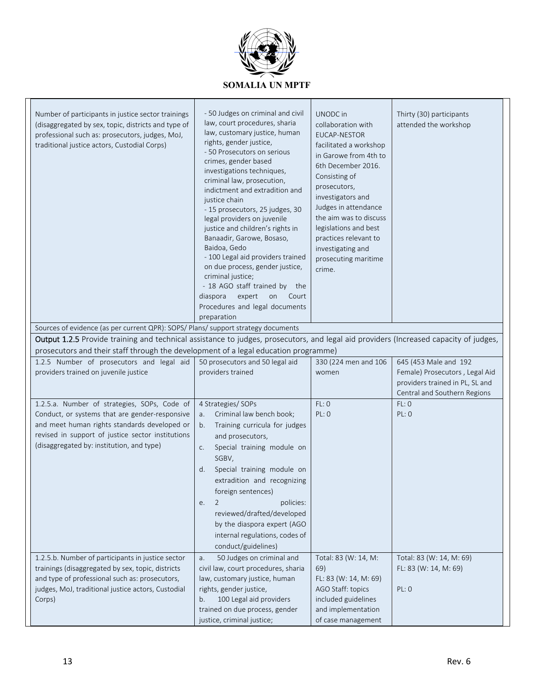

| Number of participants in justice sector trainings<br>(disaggregated by sex, topic, districts and type of<br>professional such as: prosecutors, judges, MoJ,<br>traditional justice actors, Custodial Corps)<br>Sources of evidence (as per current QPR): SOPS/ Plans/ support strategy documents<br>Output 1.2.5 Provide training and technical assistance to judges, prosecutors, and legal aid providers (Increased capacity of judges, | - 50 Judges on criminal and civil<br>law, court procedures, sharia<br>law, customary justice, human<br>rights, gender justice,<br>- 50 Prosecutors on serious<br>crimes, gender based<br>investigations techniques,<br>criminal law, prosecution,<br>indictment and extradition and<br>justice chain<br>- 15 prosecutors, 25 judges, 30<br>legal providers on juvenile<br>justice and children's rights in<br>Banaadir, Garowe, Bosaso,<br>Baidoa, Gedo<br>- 100 Legal aid providers trained<br>on due process, gender justice,<br>criminal justice;<br>- 18 AGO staff trained by the<br>diaspora<br>expert<br>on<br>Court<br>Procedures and legal documents<br>preparation | UNODC in<br>collaboration with<br>EUCAP-NESTOR<br>facilitated a workshop<br>in Garowe from 4th to<br>6th December 2016.<br>Consisting of<br>prosecutors,<br>investigators and<br>Judges in attendance<br>the aim was to discuss<br>legislations and best<br>practices relevant to<br>investigating and<br>prosecuting maritime<br>crime. | Thirty (30) participants<br>attended the workshop                                                                          |
|--------------------------------------------------------------------------------------------------------------------------------------------------------------------------------------------------------------------------------------------------------------------------------------------------------------------------------------------------------------------------------------------------------------------------------------------|-----------------------------------------------------------------------------------------------------------------------------------------------------------------------------------------------------------------------------------------------------------------------------------------------------------------------------------------------------------------------------------------------------------------------------------------------------------------------------------------------------------------------------------------------------------------------------------------------------------------------------------------------------------------------------|------------------------------------------------------------------------------------------------------------------------------------------------------------------------------------------------------------------------------------------------------------------------------------------------------------------------------------------|----------------------------------------------------------------------------------------------------------------------------|
| prosecutors and their staff through the development of a legal education programme)                                                                                                                                                                                                                                                                                                                                                        |                                                                                                                                                                                                                                                                                                                                                                                                                                                                                                                                                                                                                                                                             |                                                                                                                                                                                                                                                                                                                                          |                                                                                                                            |
| 1.2.5 Number of prosecutors and legal aid<br>providers trained on juvenile justice                                                                                                                                                                                                                                                                                                                                                         | 50 prosecutors and 50 legal aid<br>providers trained                                                                                                                                                                                                                                                                                                                                                                                                                                                                                                                                                                                                                        | 330 (224 men and 106<br>women                                                                                                                                                                                                                                                                                                            | 645 (453 Male and 192<br>Female) Prosecutors, Legal Aid<br>providers trained in PL, SL and<br>Central and Southern Regions |
| 1.2.5.a. Number of strategies, SOPs, Code of<br>Conduct, or systems that are gender-responsive<br>and meet human rights standards developed or<br>revised in support of justice sector institutions<br>(disaggregated by: institution, and type)                                                                                                                                                                                           | 4 Strategies/ SOPs<br>Criminal law bench book;<br>a.<br>Training curricula for judges<br>b.<br>and prosecutors,<br>Special training module on<br>C.<br>SGBV,<br>Special training module on<br>d.<br>extradition and recognizing<br>foreign sentences)<br>policies:<br>2<br>e.<br>reviewed/drafted/developed<br>by the diaspora expert (AGO<br>internal regulations, codes of<br>conduct/guidelines)                                                                                                                                                                                                                                                                         | FL:0<br>PL: 0                                                                                                                                                                                                                                                                                                                            | FL:O<br>PL: 0                                                                                                              |
| 1.2.5.b. Number of participants in justice sector<br>trainings (disaggregated by sex, topic, districts<br>and type of professional such as: prosecutors,<br>judges, MoJ, traditional justice actors, Custodial<br>Corps)                                                                                                                                                                                                                   | 50 Judges on criminal and<br>a.<br>civil law, court procedures, sharia<br>law, customary justice, human<br>rights, gender justice,<br>100 Legal aid providers<br>b.                                                                                                                                                                                                                                                                                                                                                                                                                                                                                                         | Total: 83 (W: 14, M:<br>69)<br>FL: 83 (W: 14, M: 69)<br>AGO Staff: topics<br>included guidelines                                                                                                                                                                                                                                         | Total: 83 (W: 14, M: 69)<br>FL: 83 (W: 14, M: 69)<br>PL: 0                                                                 |
|                                                                                                                                                                                                                                                                                                                                                                                                                                            | trained on due process, gender<br>justice, criminal justice;                                                                                                                                                                                                                                                                                                                                                                                                                                                                                                                                                                                                                | and implementation<br>of case management                                                                                                                                                                                                                                                                                                 |                                                                                                                            |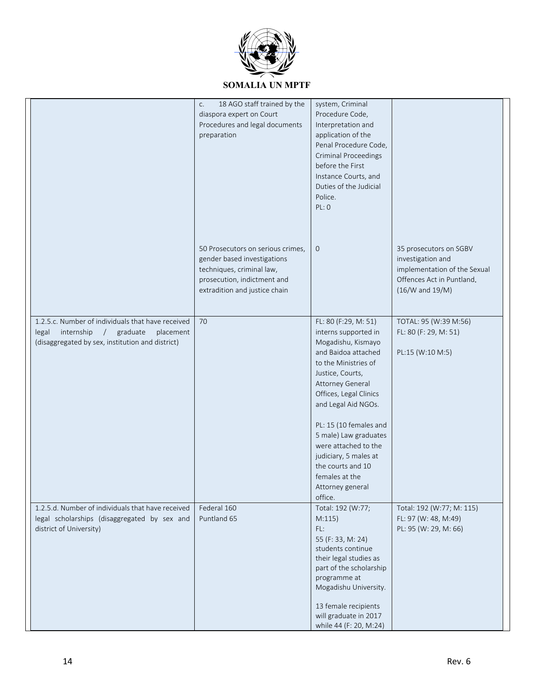

|                                                                                                                                                         | 18 AGO staff trained by the<br>C.<br>diaspora expert on Court<br>Procedures and legal documents<br>preparation                                                | system, Criminal<br>Procedure Code,<br>Interpretation and<br>application of the<br>Penal Procedure Code,<br><b>Criminal Proceedings</b><br>before the First<br>Instance Courts, and<br>Duties of the Judicial<br>Police.<br>PL: 0                                                                                                                                                    |                                                                                                                                 |
|---------------------------------------------------------------------------------------------------------------------------------------------------------|---------------------------------------------------------------------------------------------------------------------------------------------------------------|--------------------------------------------------------------------------------------------------------------------------------------------------------------------------------------------------------------------------------------------------------------------------------------------------------------------------------------------------------------------------------------|---------------------------------------------------------------------------------------------------------------------------------|
|                                                                                                                                                         | 50 Prosecutors on serious crimes,<br>gender based investigations<br>techniques, criminal law,<br>prosecution, indictment and<br>extradition and justice chain | $\mathbf{0}$                                                                                                                                                                                                                                                                                                                                                                         | 35 prosecutors on SGBV<br>investigation and<br>implementation of the Sexual<br>Offences Act in Puntland.<br>$(16/W$ and $19/M)$ |
| 1.2.5.c. Number of individuals that have received<br>legal<br>internship<br>/ graduate<br>placement<br>(disaggregated by sex, institution and district) | 70                                                                                                                                                            | FL: 80 (F:29, M: 51)<br>interns supported in<br>Mogadishu, Kismayo<br>and Baidoa attached<br>to the Ministries of<br>Justice, Courts,<br>Attorney General<br>Offices, Legal Clinics<br>and Legal Aid NGOs.<br>PL: 15 (10 females and<br>5 male) Law graduates<br>were attached to the<br>judiciary, 5 males at<br>the courts and 10<br>females at the<br>Attorney general<br>office. | TOTAL: 95 (W:39 M:56)<br>FL: 80 (F: 29, M: 51)<br>PL:15 (W:10 M:5)                                                              |
| 1.2.5.d. Number of individuals that have received<br>legal scholarships (disaggregated by sex and<br>district of University)                            | Federal 160<br>Puntland 65                                                                                                                                    | Total: 192 (W:77;<br>M:115)<br>FL:<br>55 (F: 33, M: 24)<br>students continue<br>their legal studies as<br>part of the scholarship<br>programme at<br>Mogadishu University.<br>13 female recipients<br>will graduate in 2017<br>while 44 (F: 20, M:24)                                                                                                                                | Total: 192 (W:77; M: 115)<br>FL: 97 (W: 48, M:49)<br>PL: 95 (W: 29, M: 66)                                                      |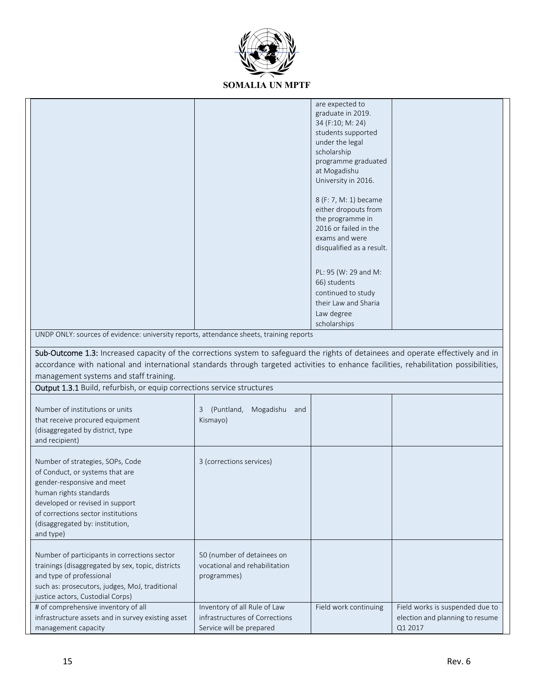

|                                                                                                                                                                                                                                                      |                                                                                            | are expected to<br>graduate in 2019.<br>34 (F:10; M: 24)<br>students supported<br>under the legal<br>scholarship<br>programme graduated<br>at Mogadishu<br>University in 2016.<br>8 (F: 7, M: 1) became<br>either dropouts from<br>the programme in<br>2016 or failed in the<br>exams and were<br>disqualified as a result.<br>PL: 95 (W: 29 and M:<br>66) students<br>continued to study<br>their Law and Sharia<br>Law degree<br>scholarships |                                                                               |
|------------------------------------------------------------------------------------------------------------------------------------------------------------------------------------------------------------------------------------------------------|--------------------------------------------------------------------------------------------|-------------------------------------------------------------------------------------------------------------------------------------------------------------------------------------------------------------------------------------------------------------------------------------------------------------------------------------------------------------------------------------------------------------------------------------------------|-------------------------------------------------------------------------------|
| UNDP ONLY: sources of evidence: university reports, attendance sheets, training reports                                                                                                                                                              |                                                                                            |                                                                                                                                                                                                                                                                                                                                                                                                                                                 |                                                                               |
| Sub-Outcome 1.3: Increased capacity of the corrections system to safeguard the rights of detainees and operate effectively and in                                                                                                                    |                                                                                            |                                                                                                                                                                                                                                                                                                                                                                                                                                                 |                                                                               |
| accordance with national and international standards through targeted activities to enhance facilities, rehabilitation possibilities,                                                                                                                |                                                                                            |                                                                                                                                                                                                                                                                                                                                                                                                                                                 |                                                                               |
| management systems and staff training.                                                                                                                                                                                                               |                                                                                            |                                                                                                                                                                                                                                                                                                                                                                                                                                                 |                                                                               |
| <b>Output 1.3.1</b> Build, refurbish, or equip corrections service structures                                                                                                                                                                        |                                                                                            |                                                                                                                                                                                                                                                                                                                                                                                                                                                 |                                                                               |
|                                                                                                                                                                                                                                                      |                                                                                            |                                                                                                                                                                                                                                                                                                                                                                                                                                                 |                                                                               |
| Number of institutions or units<br>that receive procured equipment<br>(disaggregated by district, type<br>and recipient)                                                                                                                             | 3 (Puntland,<br>Mogadishu and<br>Kismayo)                                                  |                                                                                                                                                                                                                                                                                                                                                                                                                                                 |                                                                               |
| Number of strategies, SOPs, Code<br>of Conduct, or systems that are<br>gender-responsive and meet<br>human rights standards<br>developed or revised in support<br>of corrections sector institutions<br>(disaggregated by: institution,<br>and type) | 3 (corrections services)                                                                   |                                                                                                                                                                                                                                                                                                                                                                                                                                                 |                                                                               |
| Number of participants in corrections sector<br>trainings (disaggregated by sex, topic, districts<br>and type of professional<br>such as: prosecutors, judges, MoJ, traditional<br>justice actors, Custodial Corps)                                  | 50 (number of detainees on<br>vocational and rehabilitation<br>programmes)                 |                                                                                                                                                                                                                                                                                                                                                                                                                                                 |                                                                               |
| # of comprehensive inventory of all<br>infrastructure assets and in survey existing asset<br>management capacity                                                                                                                                     | Inventory of all Rule of Law<br>infrastructures of Corrections<br>Service will be prepared | Field work continuing                                                                                                                                                                                                                                                                                                                                                                                                                           | Field works is suspended due to<br>election and planning to resume<br>Q1 2017 |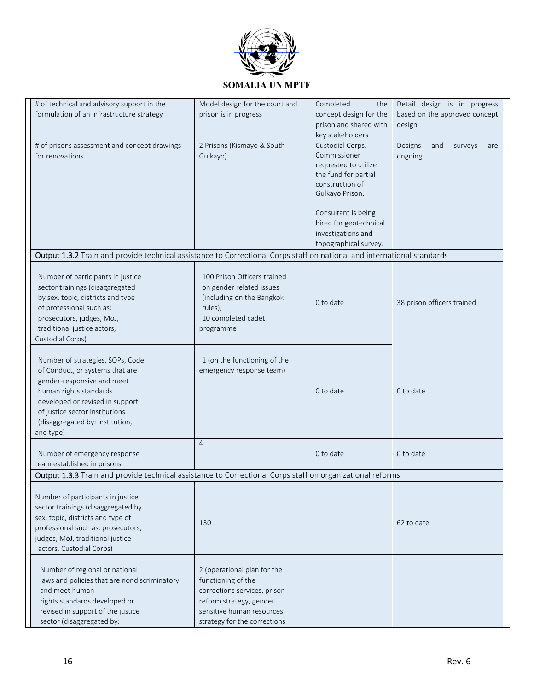

| # of technical and advisory support in the                                                                              | Model design for the court and | Completed<br>the       | Detail design is in progress     |
|-------------------------------------------------------------------------------------------------------------------------|--------------------------------|------------------------|----------------------------------|
| formulation of an infrastructure strategy                                                                               | prison is in progress          | concept design for the | based on the approved concept    |
|                                                                                                                         |                                | prison and shared with | design                           |
|                                                                                                                         |                                | key stakeholders       |                                  |
| # of prisons assessment and concept drawings                                                                            | 2 Prisons (Kismayo & South     | Custodial Corps.       | Designs<br>and<br>surveys<br>are |
| for renovations                                                                                                         | Gulkayo)                       | Commissioner           | ongoing.                         |
|                                                                                                                         |                                | requested to utilize   |                                  |
|                                                                                                                         |                                | the fund for partial   |                                  |
|                                                                                                                         |                                | construction of        |                                  |
|                                                                                                                         |                                | Gulkayo Prison.        |                                  |
|                                                                                                                         |                                |                        |                                  |
|                                                                                                                         |                                | Consultant is being    |                                  |
|                                                                                                                         |                                | hired for geotechnical |                                  |
|                                                                                                                         |                                | investigations and     |                                  |
|                                                                                                                         |                                | topographical survey.  |                                  |
| Output 1.3.2 Train and provide technical assistance to Correctional Corps staff on national and international standards |                                |                        |                                  |
|                                                                                                                         |                                |                        |                                  |
| Number of participants in justice                                                                                       | 100 Prison Officers trained    |                        |                                  |
| sector trainings (disaggregated                                                                                         | on gender related issues       |                        |                                  |
| by sex, topic, districts and type                                                                                       | (including on the Bangkok      | 0 to date              | 38 prison officers trained       |
| of professional such as:                                                                                                | rules),                        |                        |                                  |
| prosecutors, judges, MoJ,                                                                                               | 10 completed cadet             |                        |                                  |
| traditional justice actors,                                                                                             | programme                      |                        |                                  |
| Custodial Corps)                                                                                                        |                                |                        |                                  |
|                                                                                                                         |                                |                        |                                  |
| Number of strategies, SOPs, Code                                                                                        | 1 (on the functioning of the   |                        |                                  |
| of Conduct, or systems that are                                                                                         | emergency response team)       |                        |                                  |
| gender-responsive and meet                                                                                              |                                |                        |                                  |
| human rights standards                                                                                                  |                                | 0 to date              | 0 to date                        |
| developed or revised in support                                                                                         |                                |                        |                                  |
| of justice sector institutions                                                                                          |                                |                        |                                  |
| (disaggregated by: institution,                                                                                         |                                |                        |                                  |
| and type)                                                                                                               |                                |                        |                                  |
|                                                                                                                         | $\overline{4}$                 |                        |                                  |
| Number of emergency response                                                                                            |                                | 0 to date              | 0 to date                        |
| team established in prisons                                                                                             |                                |                        |                                  |
| Output 1.3.3 Train and provide technical assistance to Correctional Corps staff on organizational reforms               |                                |                        |                                  |
|                                                                                                                         |                                |                        |                                  |
| Number of participants in justice                                                                                       |                                |                        |                                  |
| sector trainings (disaggregated by                                                                                      |                                |                        |                                  |
| sex, topic, districts and type of                                                                                       | 130                            |                        | 62 to date                       |
| professional such as: prosecutors,                                                                                      |                                |                        |                                  |
| judges, MoJ, traditional justice                                                                                        |                                |                        |                                  |
| actors, Custodial Corps)                                                                                                |                                |                        |                                  |
|                                                                                                                         |                                |                        |                                  |
| Number of regional or national                                                                                          | 2 (operational plan for the    |                        |                                  |
| laws and policies that are nondiscriminatory                                                                            | functioning of the             |                        |                                  |
| and meet human                                                                                                          | corrections services, prison   |                        |                                  |
| rights standards developed or                                                                                           | reform strategy, gender        |                        |                                  |
| revised in support of the justice                                                                                       | sensitive human resources      |                        |                                  |
| sector (disaggregated by:                                                                                               | strategy for the corrections   |                        |                                  |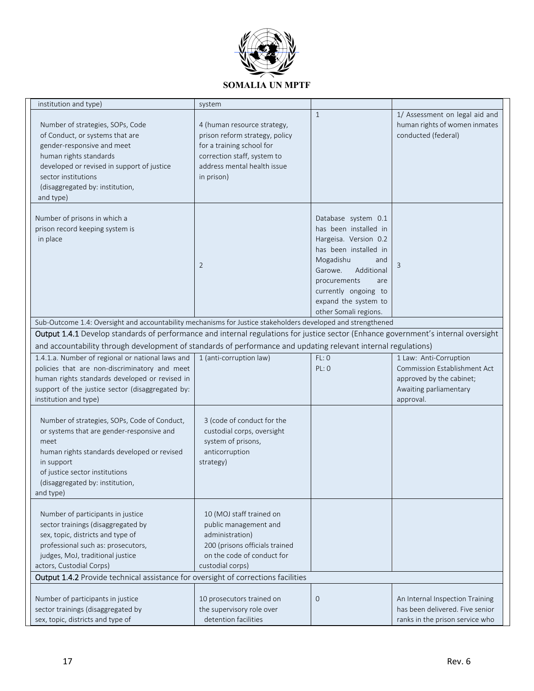

| institution and type)                                                                                                                                                                                                                                                                                   | system                                                                                                                                                                 |                                                                                                                                                                                                                                             |                                                                                                                           |
|---------------------------------------------------------------------------------------------------------------------------------------------------------------------------------------------------------------------------------------------------------------------------------------------------------|------------------------------------------------------------------------------------------------------------------------------------------------------------------------|---------------------------------------------------------------------------------------------------------------------------------------------------------------------------------------------------------------------------------------------|---------------------------------------------------------------------------------------------------------------------------|
| Number of strategies, SOPs, Code<br>of Conduct, or systems that are<br>gender-responsive and meet<br>human rights standards<br>developed or revised in support of justice<br>sector institutions<br>(disaggregated by: institution,<br>and type)                                                        | 4 (human resource strategy,<br>prison reform strategy, policy<br>for a training school for<br>correction staff, system to<br>address mental health issue<br>in prison) | $\mathbf{1}$                                                                                                                                                                                                                                | 1/ Assessment on legal aid and<br>human rights of women inmates<br>conducted (federal)                                    |
| Number of prisons in which a<br>prison record keeping system is<br>in place                                                                                                                                                                                                                             | $\overline{2}$                                                                                                                                                         | Database system 0.1<br>has been installed in<br>Hargeisa. Version 0.2<br>has been installed in<br>Mogadishu<br>and<br>Additional<br>Garowe.<br>procurements<br>are<br>currently ongoing to<br>expand the system to<br>other Somali regions. | 3                                                                                                                         |
| Sub-Outcome 1.4: Oversight and accountability mechanisms for Justice stakeholders developed and strengthened                                                                                                                                                                                            |                                                                                                                                                                        |                                                                                                                                                                                                                                             |                                                                                                                           |
| Output 1.4.1 Develop standards of performance and internal regulations for justice sector (Enhance government's internal oversight                                                                                                                                                                      |                                                                                                                                                                        |                                                                                                                                                                                                                                             |                                                                                                                           |
| and accountability through development of standards of performance and updating relevant internal regulations)                                                                                                                                                                                          |                                                                                                                                                                        |                                                                                                                                                                                                                                             |                                                                                                                           |
| 1.4.1.a. Number of regional or national laws and<br>policies that are non-discriminatory and meet<br>human rights standards developed or revised in<br>support of the justice sector (disaggregated by:<br>institution and type)                                                                        | 1 (anti-corruption law)                                                                                                                                                | FL:O<br>PL: 0                                                                                                                                                                                                                               | 1 Law: Anti-Corruption<br>Commission Establishment Act<br>approved by the cabinet;<br>Awaiting parliamentary<br>approval. |
| Number of strategies, SOPs, Code of Conduct,<br>or systems that are gender-responsive and<br>meet<br>human rights standards developed or revised<br>in support<br>of justice sector institutions<br>(disaggregated by: institution,<br>and type)                                                        | 3 (code of conduct for the<br>custodial corps, oversight<br>system of prisons,<br>anticorruption<br>strategy)                                                          |                                                                                                                                                                                                                                             |                                                                                                                           |
| Number of participants in justice<br>sector trainings (disaggregated by<br>sex, topic, districts and type of<br>professional such as: prosecutors,<br>judges, MoJ, traditional justice<br>actors, Custodial Corps)<br>Output 1.4.2 Provide technical assistance for oversight of corrections facilities | 10 (MOJ staff trained on<br>public management and<br>administration)<br>200 (prisons officials trained<br>on the code of conduct for<br>custodial corps)               |                                                                                                                                                                                                                                             |                                                                                                                           |
| Number of participants in justice<br>sector trainings (disaggregated by<br>sex, topic, districts and type of                                                                                                                                                                                            | 10 prosecutors trained on<br>the supervisory role over<br>detention facilities                                                                                         | $\mathbf 0$                                                                                                                                                                                                                                 | An Internal Inspection Training<br>has been delivered. Five senior<br>ranks in the prison service who                     |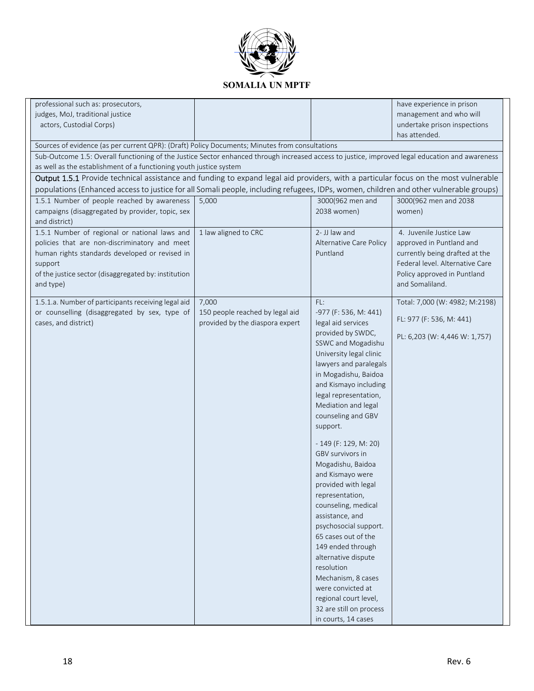

| professional such as: prosecutors,                                                                                                              |                                 |                         | have experience in prison       |
|-------------------------------------------------------------------------------------------------------------------------------------------------|---------------------------------|-------------------------|---------------------------------|
| judges, MoJ, traditional justice                                                                                                                |                                 |                         | management and who will         |
| actors, Custodial Corps)                                                                                                                        |                                 |                         | undertake prison inspections    |
|                                                                                                                                                 |                                 |                         | has attended.                   |
| Sources of evidence (as per current QPR): (Draft) Policy Documents; Minutes from consultations                                                  |                                 |                         |                                 |
| Sub-Outcome 1.5: Overall functioning of the Justice Sector enhanced through increased access to justice, improved legal education and awareness |                                 |                         |                                 |
| as well as the establishment of a functioning youth justice system                                                                              |                                 |                         |                                 |
| Output 1.5.1 Provide technical assistance and funding to expand legal aid providers, with a particular focus on the most vulnerable             |                                 |                         |                                 |
| populations (Enhanced access to justice for all Somali people, including refugees, IDPs, women, children and other vulnerable groups)           |                                 |                         |                                 |
| 1.5.1 Number of people reached by awareness                                                                                                     | 5,000                           | 3000(962 men and        | 3000(962 men and 2038           |
| campaigns (disaggregated by provider, topic, sex                                                                                                |                                 | 2038 women)             | women)                          |
| and district)                                                                                                                                   |                                 |                         |                                 |
| 1.5.1 Number of regional or national laws and                                                                                                   | 1 law aligned to CRC            | 2- JJ law and           | 4. Juvenile Justice Law         |
| policies that are non-discriminatory and meet                                                                                                   |                                 | Alternative Care Policy | approved in Puntland and        |
| human rights standards developed or revised in                                                                                                  |                                 | Puntland                | currently being drafted at the  |
| support                                                                                                                                         |                                 |                         | Federal level. Alternative Care |
| of the justice sector (disaggregated by: institution                                                                                            |                                 |                         | Policy approved in Puntland     |
| and type)                                                                                                                                       |                                 |                         | and Somaliland.                 |
| 1.5.1.a. Number of participants receiving legal aid                                                                                             | 7,000                           | FL:                     | Total: 7,000 (W: 4982; M:2198)  |
| or counselling (disaggregated by sex, type of                                                                                                   | 150 people reached by legal aid | -977 (F: 536, M: 441)   |                                 |
| cases, and district)                                                                                                                            | provided by the diaspora expert | legal aid services      | FL: 977 (F: 536, M: 441)        |
|                                                                                                                                                 |                                 | provided by SWDC,       | PL: 6,203 (W: 4,446 W: 1,757)   |
|                                                                                                                                                 |                                 | SSWC and Mogadishu      |                                 |
|                                                                                                                                                 |                                 | University legal clinic |                                 |
|                                                                                                                                                 |                                 | lawyers and paralegals  |                                 |
|                                                                                                                                                 |                                 | in Mogadishu, Baidoa    |                                 |
|                                                                                                                                                 |                                 | and Kismayo including   |                                 |
|                                                                                                                                                 |                                 | legal representation,   |                                 |
|                                                                                                                                                 |                                 | Mediation and legal     |                                 |
|                                                                                                                                                 |                                 | counseling and GBV      |                                 |
|                                                                                                                                                 |                                 | support.                |                                 |
|                                                                                                                                                 |                                 | $-149$ (F: 129, M: 20)  |                                 |
|                                                                                                                                                 |                                 | GBV survivors in        |                                 |
|                                                                                                                                                 |                                 | Mogadishu, Baidoa       |                                 |
|                                                                                                                                                 |                                 | and Kismayo were        |                                 |
|                                                                                                                                                 |                                 | provided with legal     |                                 |
|                                                                                                                                                 |                                 | representation,         |                                 |
|                                                                                                                                                 |                                 | counseling, medical     |                                 |
|                                                                                                                                                 |                                 | assistance, and         |                                 |
|                                                                                                                                                 |                                 | psychosocial support.   |                                 |
|                                                                                                                                                 |                                 | 65 cases out of the     |                                 |
|                                                                                                                                                 |                                 | 149 ended through       |                                 |
|                                                                                                                                                 |                                 | alternative dispute     |                                 |
|                                                                                                                                                 |                                 | resolution              |                                 |
|                                                                                                                                                 |                                 | Mechanism, 8 cases      |                                 |
|                                                                                                                                                 |                                 | were convicted at       |                                 |
|                                                                                                                                                 |                                 | regional court level,   |                                 |
|                                                                                                                                                 |                                 | 32 are still on process |                                 |
|                                                                                                                                                 |                                 | in courts, 14 cases     |                                 |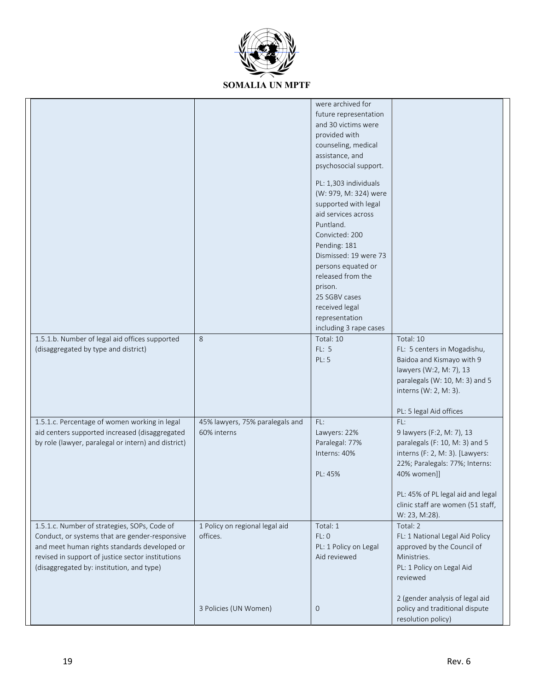

|                                                                                                                                                                                                                                                  |                                                | were archived for<br>future representation<br>and 30 victims were<br>provided with<br>counseling, medical<br>assistance, and<br>psychosocial support.<br>PL: 1,303 individuals<br>(W: 979, M: 324) were<br>supported with legal<br>aid services across<br>Puntland.<br>Convicted: 200<br>Pending: 181<br>Dismissed: 19 were 73<br>persons equated or<br>released from the<br>prison.<br>25 SGBV cases<br>received legal<br>representation |                                                                                                                                                                                                                                                   |
|--------------------------------------------------------------------------------------------------------------------------------------------------------------------------------------------------------------------------------------------------|------------------------------------------------|-------------------------------------------------------------------------------------------------------------------------------------------------------------------------------------------------------------------------------------------------------------------------------------------------------------------------------------------------------------------------------------------------------------------------------------------|---------------------------------------------------------------------------------------------------------------------------------------------------------------------------------------------------------------------------------------------------|
| 1.5.1.b. Number of legal aid offices supported<br>(disaggregated by type and district)                                                                                                                                                           | 8                                              | including 3 rape cases<br>Total: 10<br><b>FL: 5</b><br>PL: 5                                                                                                                                                                                                                                                                                                                                                                              | Total: 10<br>FL: 5 centers in Mogadishu,<br>Baidoa and Kismayo with 9<br>lawyers (W:2, M: 7), 13<br>paralegals (W: 10, M: 3) and 5<br>interns (W: 2, M: 3).<br>PL: 5 legal Aid offices                                                            |
| 1.5.1.c. Percentage of women working in legal<br>aid centers supported increased (disaggregated<br>by role (lawyer, paralegal or intern) and district)                                                                                           | 45% lawyers, 75% paralegals and<br>60% interns | FL:<br>Lawyers: 22%<br>Paralegal: 77%<br>Interns: 40%<br>PL: 45%                                                                                                                                                                                                                                                                                                                                                                          | FL:<br>9 lawyers (F:2, M: 7), 13<br>paralegals (F: 10, M: 3) and 5<br>interns (F: 2, M: 3). [Lawyers:<br>22%; Paralegals: 77%; Interns:<br>40% women]]<br>PL: 45% of PL legal aid and legal<br>clinic staff are women (51 staff,<br>W: 23, M:28). |
| 1.5.1.c. Number of strategies, SOPs, Code of<br>Conduct, or systems that are gender-responsive<br>and meet human rights standards developed or<br>revised in support of justice sector institutions<br>(disaggregated by: institution, and type) | 1 Policy on regional legal aid<br>offices.     | Total: 1<br>FL:0<br>PL: 1 Policy on Legal<br>Aid reviewed                                                                                                                                                                                                                                                                                                                                                                                 | Total: 2<br>FL: 1 National Legal Aid Policy<br>approved by the Council of<br>Ministries.<br>PL: 1 Policy on Legal Aid<br>reviewed                                                                                                                 |
|                                                                                                                                                                                                                                                  | 3 Policies (UN Women)                          | $\mathbf 0$                                                                                                                                                                                                                                                                                                                                                                                                                               | 2 (gender analysis of legal aid<br>policy and traditional dispute<br>resolution policy)                                                                                                                                                           |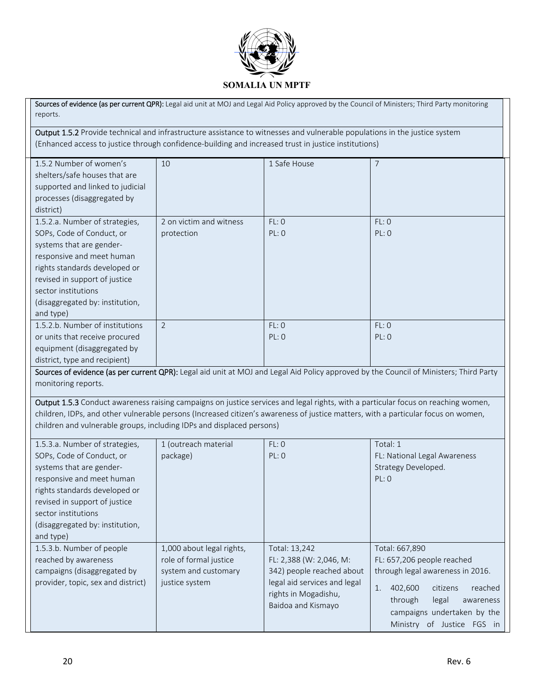

Sources of evidence (as per current QPR): Legal aid unit at MOJ and Legal Aid Policy approved by the Council of Ministers; Third Party monitoring reports. Output 1.5.2 Provide technical and infrastructure assistance to witnesses and vulnerable populations in the justice system (Enhanced access to justice through confidence‐building and increased trust in justice institutions) 1.5.2 Number of women's shelters/safe houses that are supported and linked to judicial processes (disaggregated by district) 10 1 Safe House 7 1.5.2.a. Number of strategies, SOPs, Code of Conduct, or systems that are gender‐ responsive and meet human rights standards developed or revised in support of justice sector institutions (disaggregated by: institution, and type) 2 on victim and witness protection FL: 0 PL: 0 FL: 0 PL: 0 1.5.2.b. Number of institutions or units that receive procured equipment (disaggregated by district, type and recipient) 2 FL: 0 PL: 0 FL: 0 PL: 0 Sources of evidence (as per current QPR): Legal aid unit at MOJ and Legal Aid Policy approved by the Council of Ministers; Third Party monitoring reports. Output 1.5.3 Conduct awareness raising campaigns on justice services and legal rights, with a particular focus on reaching women, children, IDPs, and other vulnerable persons (Increased citizen's awareness of justice matters, with a particular focus on women, children and vulnerable groups, including IDPs and displaced persons)

| 1.5.3.a. Number of strategies,     | 1 (outreach material      | FL: 0                                                                      | Total: 1                                                                                                                        |
|------------------------------------|---------------------------|----------------------------------------------------------------------------|---------------------------------------------------------------------------------------------------------------------------------|
| SOPs, Code of Conduct, or          | package)                  | PL: 0                                                                      | FL: National Legal Awareness                                                                                                    |
| systems that are gender-           |                           |                                                                            | Strategy Developed.                                                                                                             |
| responsive and meet human          |                           |                                                                            | PL: 0                                                                                                                           |
| rights standards developed or      |                           |                                                                            |                                                                                                                                 |
| revised in support of justice      |                           |                                                                            |                                                                                                                                 |
| sector institutions                |                           |                                                                            |                                                                                                                                 |
| (disaggregated by: institution,    |                           |                                                                            |                                                                                                                                 |
| and type)                          |                           |                                                                            |                                                                                                                                 |
| 1.5.3.b. Number of people          | 1,000 about legal rights, | Total: 13,242                                                              | Total: 667,890                                                                                                                  |
| reached by awareness               | role of formal justice    | FL: 2,388 (W: 2,046, M:                                                    | FL: 657,206 people reached                                                                                                      |
| campaigns (disaggregated by        | system and customary      | 342) people reached about                                                  | through legal awareness in 2016.                                                                                                |
| provider, topic, sex and district) | justice system            | legal aid services and legal<br>rights in Mogadishu,<br>Baidoa and Kismayo | 402,600<br>citizens<br>reached<br>through<br>legal<br>awareness<br>campaigns undertaken by the<br>of Justice FGS in<br>Ministry |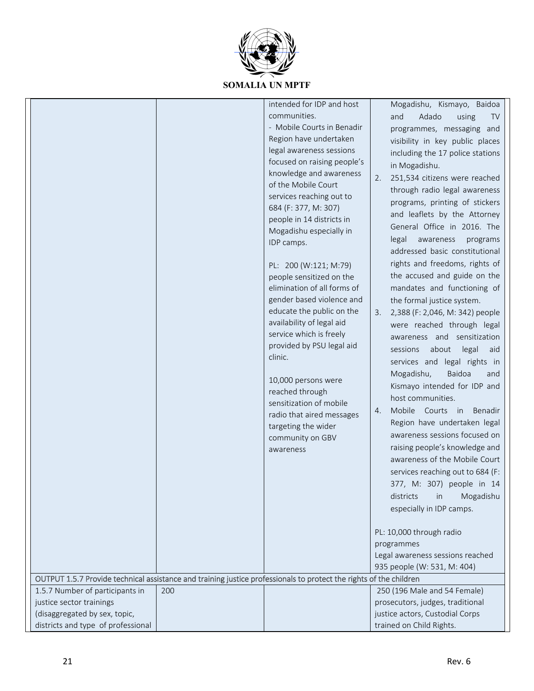

|                                                                                                                    |     | intended for IDP and host<br>communities.<br>- Mobile Courts in Benadir<br>Region have undertaken<br>legal awareness sessions<br>focused on raising people's<br>knowledge and awareness<br>of the Mobile Court<br>services reaching out to<br>684 (F: 377, M: 307)<br>people in 14 districts in<br>Mogadishu especially in<br>IDP camps.<br>PL: 200 (W:121; M:79)<br>people sensitized on the<br>elimination of all forms of<br>gender based violence and<br>educate the public on the<br>availability of legal aid<br>service which is freely<br>provided by PSU legal aid<br>clinic.<br>10,000 persons were<br>reached through<br>sensitization of mobile<br>radio that aired messages<br>targeting the wider<br>community on GBV<br>awareness | Mogadishu, Kismayo, Baidoa<br>Adado<br>and<br>using<br><b>TV</b><br>programmes, messaging and<br>visibility in key public places<br>including the 17 police stations<br>in Mogadishu.<br>251,534 citizens were reached<br>2.<br>through radio legal awareness<br>programs, printing of stickers<br>and leaflets by the Attorney<br>General Office in 2016. The<br>legal<br>awareness<br>programs<br>addressed basic constitutional<br>rights and freedoms, rights of<br>the accused and guide on the<br>mandates and functioning of<br>the formal justice system.<br>2,388 (F: 2,046, M: 342) people<br>3.<br>were reached through legal<br>awareness and sensitization<br>about<br>legal<br>sessions<br>aid<br>services and legal rights in<br>Mogadishu,<br>Baidoa<br>and<br>Kismayo intended for IDP and<br>host communities.<br>Mobile Courts in Benadir<br>4.<br>Region have undertaken legal<br>awareness sessions focused on<br>raising people's knowledge and<br>awareness of the Mobile Court<br>services reaching out to 684 (F:<br>377, M: 307) people in 14<br>districts<br>Mogadishu<br>in<br>especially in IDP camps.<br>PL: 10,000 through radio<br>programmes<br>Legal awareness sessions reached<br>935 people (W: 531, M: 404) |
|--------------------------------------------------------------------------------------------------------------------|-----|--------------------------------------------------------------------------------------------------------------------------------------------------------------------------------------------------------------------------------------------------------------------------------------------------------------------------------------------------------------------------------------------------------------------------------------------------------------------------------------------------------------------------------------------------------------------------------------------------------------------------------------------------------------------------------------------------------------------------------------------------|--------------------------------------------------------------------------------------------------------------------------------------------------------------------------------------------------------------------------------------------------------------------------------------------------------------------------------------------------------------------------------------------------------------------------------------------------------------------------------------------------------------------------------------------------------------------------------------------------------------------------------------------------------------------------------------------------------------------------------------------------------------------------------------------------------------------------------------------------------------------------------------------------------------------------------------------------------------------------------------------------------------------------------------------------------------------------------------------------------------------------------------------------------------------------------------------------------------------------------------------------|
|                                                                                                                    |     |                                                                                                                                                                                                                                                                                                                                                                                                                                                                                                                                                                                                                                                                                                                                                  |                                                                                                                                                                                                                                                                                                                                                                                                                                                                                                                                                                                                                                                                                                                                                                                                                                                                                                                                                                                                                                                                                                                                                                                                                                                  |
| OUTPUT 1.5.7 Provide technical assistance and training justice professionals to protect the rights of the children |     |                                                                                                                                                                                                                                                                                                                                                                                                                                                                                                                                                                                                                                                                                                                                                  |                                                                                                                                                                                                                                                                                                                                                                                                                                                                                                                                                                                                                                                                                                                                                                                                                                                                                                                                                                                                                                                                                                                                                                                                                                                  |
| 1.5.7 Number of participants in                                                                                    | 200 |                                                                                                                                                                                                                                                                                                                                                                                                                                                                                                                                                                                                                                                                                                                                                  | 250 (196 Male and 54 Female)                                                                                                                                                                                                                                                                                                                                                                                                                                                                                                                                                                                                                                                                                                                                                                                                                                                                                                                                                                                                                                                                                                                                                                                                                     |
| justice sector trainings                                                                                           |     |                                                                                                                                                                                                                                                                                                                                                                                                                                                                                                                                                                                                                                                                                                                                                  | prosecutors, judges, traditional                                                                                                                                                                                                                                                                                                                                                                                                                                                                                                                                                                                                                                                                                                                                                                                                                                                                                                                                                                                                                                                                                                                                                                                                                 |
| (disaggregated by sex, topic,                                                                                      |     |                                                                                                                                                                                                                                                                                                                                                                                                                                                                                                                                                                                                                                                                                                                                                  | justice actors, Custodial Corps                                                                                                                                                                                                                                                                                                                                                                                                                                                                                                                                                                                                                                                                                                                                                                                                                                                                                                                                                                                                                                                                                                                                                                                                                  |
| districts and type of professional                                                                                 |     |                                                                                                                                                                                                                                                                                                                                                                                                                                                                                                                                                                                                                                                                                                                                                  | trained on Child Rights.                                                                                                                                                                                                                                                                                                                                                                                                                                                                                                                                                                                                                                                                                                                                                                                                                                                                                                                                                                                                                                                                                                                                                                                                                         |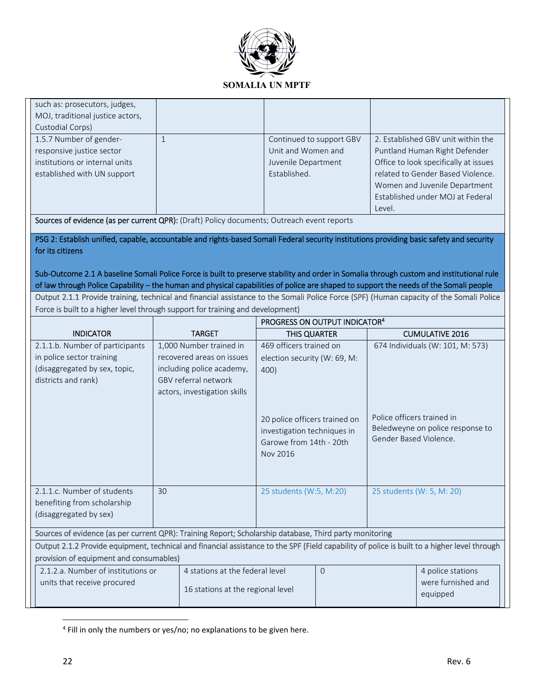

| such as: prosecutors, judges,                                                                                                                |                                           |                               |                            |                                       |  |  |
|----------------------------------------------------------------------------------------------------------------------------------------------|-------------------------------------------|-------------------------------|----------------------------|---------------------------------------|--|--|
| MOJ, traditional justice actors,                                                                                                             |                                           |                               |                            |                                       |  |  |
| Custodial Corps)                                                                                                                             |                                           |                               |                            |                                       |  |  |
| 1.5.7 Number of gender-                                                                                                                      | $\mathbf{1}$                              | Continued to support GBV      |                            | 2. Established GBV unit within the    |  |  |
| responsive justice sector                                                                                                                    |                                           | Unit and Women and            |                            | Puntland Human Right Defender         |  |  |
| institutions or internal units                                                                                                               |                                           | Juvenile Department           |                            | Office to look specifically at issues |  |  |
| established with UN support                                                                                                                  |                                           | Established.                  |                            | related to Gender Based Violence.     |  |  |
|                                                                                                                                              |                                           |                               |                            | Women and Juvenile Department         |  |  |
|                                                                                                                                              |                                           |                               |                            | Established under MOJ at Federal      |  |  |
|                                                                                                                                              |                                           |                               | Level.                     |                                       |  |  |
| Sources of evidence (as per current QPR): (Draft) Policy documents; Outreach event reports                                                   |                                           |                               |                            |                                       |  |  |
| PSG 2: Establish unified, capable, accountable and rights-based Somali Federal security institutions providing basic safety and security     |                                           |                               |                            |                                       |  |  |
| for its citizens                                                                                                                             |                                           |                               |                            |                                       |  |  |
|                                                                                                                                              |                                           |                               |                            |                                       |  |  |
| Sub-Outcome 2.1 A baseline Somali Police Force is built to preserve stability and order in Somalia through custom and institutional rule     |                                           |                               |                            |                                       |  |  |
| of law through Police Capability – the human and physical capabilities of police are shaped to support the needs of the Somali people        |                                           |                               |                            |                                       |  |  |
| Output 2.1.1 Provide training, technical and financial assistance to the Somali Police Force (SPF) (Human capacity of the Somali Police      |                                           |                               |                            |                                       |  |  |
| Force is built to a higher level through support for training and development)                                                               |                                           |                               |                            |                                       |  |  |
|                                                                                                                                              | PROGRESS ON OUTPUT INDICATOR <sup>4</sup> |                               |                            |                                       |  |  |
| <b>INDICATOR</b>                                                                                                                             | <b>TARGET</b>                             | THIS QUARTER                  |                            | <b>CUMULATIVE 2016</b>                |  |  |
| 2.1.1.b. Number of participants                                                                                                              | 1,000 Number trained in                   | 469 officers trained on       |                            | 674 Individuals (W: 101, M: 573)      |  |  |
| in police sector training                                                                                                                    | recovered areas on issues                 | election security (W: 69, M:  |                            |                                       |  |  |
| (disaggregated by sex, topic,                                                                                                                | including police academy,                 | 400)                          |                            |                                       |  |  |
| districts and rank)                                                                                                                          | GBV referral network                      |                               |                            |                                       |  |  |
|                                                                                                                                              | actors, investigation skills              |                               |                            |                                       |  |  |
|                                                                                                                                              |                                           |                               |                            |                                       |  |  |
|                                                                                                                                              |                                           |                               |                            |                                       |  |  |
|                                                                                                                                              |                                           | 20 police officers trained on | Police officers trained in | Beledweyne on police response to      |  |  |
|                                                                                                                                              |                                           | investigation techniques in   | Gender Based Violence.     |                                       |  |  |
|                                                                                                                                              |                                           | Garowe from 14th - 20th       |                            |                                       |  |  |
|                                                                                                                                              |                                           | Nov 2016                      |                            |                                       |  |  |
|                                                                                                                                              |                                           |                               |                            |                                       |  |  |
|                                                                                                                                              |                                           |                               |                            |                                       |  |  |
| 2.1.1.c. Number of students                                                                                                                  |                                           |                               |                            |                                       |  |  |
|                                                                                                                                              | 30                                        | 25 students (W:5, M:20)       | 25 students (W: 5, M: 20)  |                                       |  |  |
| benefiting from scholarship                                                                                                                  |                                           |                               |                            |                                       |  |  |
| (disaggregated by sex)                                                                                                                       |                                           |                               |                            |                                       |  |  |
|                                                                                                                                              |                                           |                               |                            |                                       |  |  |
| Sources of evidence (as per current QPR): Training Report; Scholarship database, Third party monitoring                                      |                                           |                               |                            |                                       |  |  |
| Output 2.1.2 Provide equipment, technical and financial assistance to the SPF (Field capability of police is built to a higher level through |                                           |                               |                            |                                       |  |  |
| provision of equipment and consumables)                                                                                                      |                                           |                               |                            |                                       |  |  |
| 2.1.2.a. Number of institutions or                                                                                                           | 4 stations at the federal level           | 0                             |                            | 4 police stations                     |  |  |
| units that receive procured                                                                                                                  | 16 stations at the regional level         |                               |                            | were furnished and<br>equipped        |  |  |

 4 Fill in only the numbers or yes/no; no explanations to be given here.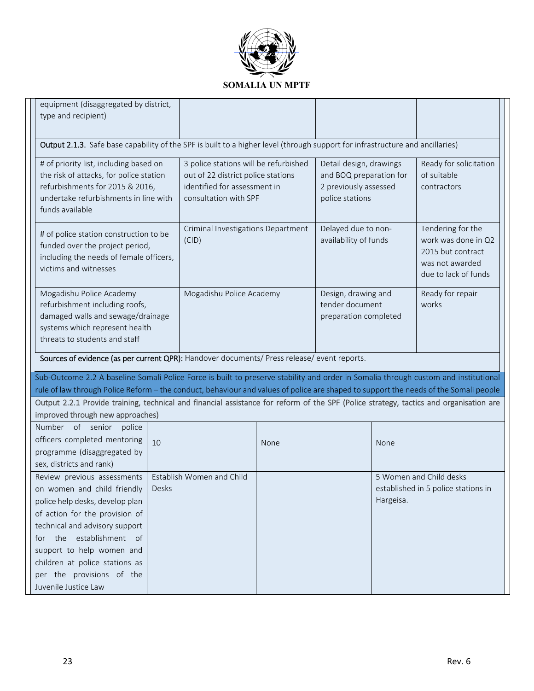

| equipment (disaggregated by district,<br>type and recipient)                                                                                                                                                                                                                                                                                                                                                          |       |                                                                                                                                      |                                                                                                |                                                                 |           |                                                                                                          |
|-----------------------------------------------------------------------------------------------------------------------------------------------------------------------------------------------------------------------------------------------------------------------------------------------------------------------------------------------------------------------------------------------------------------------|-------|--------------------------------------------------------------------------------------------------------------------------------------|------------------------------------------------------------------------------------------------|-----------------------------------------------------------------|-----------|----------------------------------------------------------------------------------------------------------|
| Output 2.1.3. Safe base capability of the SPF is built to a higher level (through support for infrastructure and ancillaries)                                                                                                                                                                                                                                                                                         |       |                                                                                                                                      |                                                                                                |                                                                 |           |                                                                                                          |
| # of priority list, including based on<br>the risk of attacks, for police station<br>refurbishments for 2015 & 2016,<br>undertake refurbishments in line with<br>funds available                                                                                                                                                                                                                                      |       | 3 police stations will be refurbished<br>out of 22 district police stations<br>identified for assessment in<br>consultation with SPF | Detail design, drawings<br>and BOQ preparation for<br>2 previously assessed<br>police stations |                                                                 |           | Ready for solicitation<br>of suitable<br>contractors                                                     |
| # of police station construction to be<br>funded over the project period,<br>including the needs of female officers,<br>victims and witnesses                                                                                                                                                                                                                                                                         |       | Criminal Investigations Department<br>(CID)                                                                                          |                                                                                                | Delayed due to non-<br>availability of funds                    |           | Tendering for the<br>work was done in Q2<br>2015 but contract<br>was not awarded<br>due to lack of funds |
| Mogadishu Police Academy<br>refurbishment including roofs,<br>damaged walls and sewage/drainage<br>systems which represent health<br>threats to students and staff                                                                                                                                                                                                                                                    |       | Mogadishu Police Academy                                                                                                             |                                                                                                | Design, drawing and<br>tender document<br>preparation completed |           | Ready for repair<br>works                                                                                |
| Sources of evidence (as per current QPR): Handover documents/ Press release/ event reports.                                                                                                                                                                                                                                                                                                                           |       |                                                                                                                                      |                                                                                                |                                                                 |           |                                                                                                          |
| Sub-Outcome 2.2 A baseline Somali Police Force is built to preserve stability and order in Somalia through custom and institutional<br>rule of law through Police Reform - the conduct, behaviour and values of police are shaped to support the needs of the Somali people<br>Output 2.2.1 Provide training, technical and financial assistance for reform of the SPF (Police strategy, tactics and organisation are |       |                                                                                                                                      |                                                                                                |                                                                 |           |                                                                                                          |
| improved through new approaches)                                                                                                                                                                                                                                                                                                                                                                                      |       |                                                                                                                                      |                                                                                                |                                                                 |           |                                                                                                          |
| Number of senior<br>police<br>officers completed mentoring<br>programme (disaggregated by<br>sex, districts and rank)                                                                                                                                                                                                                                                                                                 | 10    |                                                                                                                                      | None                                                                                           |                                                                 | None      |                                                                                                          |
| Review previous assessments<br>on women and child friendly<br>police help desks, develop plan<br>of action for the provision of<br>technical and advisory support<br>for the establishment of<br>support to help women and<br>children at police stations as<br>per the provisions of the<br>Juvenile Justice Law                                                                                                     | Desks | Establish Women and Child                                                                                                            |                                                                                                |                                                                 | Hargeisa. | 5 Women and Child desks<br>established in 5 police stations in                                           |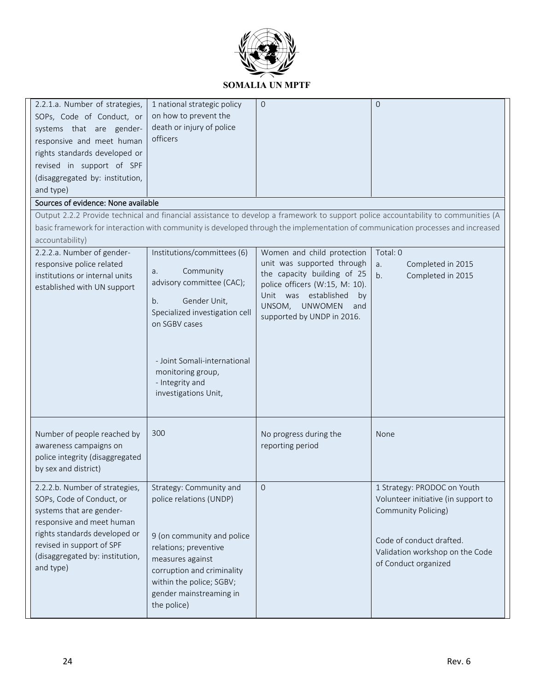

| 2.2.1.a. Number of strategies,<br>SOPs, Code of Conduct, or<br>systems that are gender-<br>responsive and meet human<br>rights standards developed or<br>revised in support of SPF                                                 | 1 national strategic policy<br>on how to prevent the<br>death or injury of police<br>officers                                                                                                                                                        | $\Omega$                                                                                                                                                                                                                 | $\Omega$                                                                                                                                                                                                                                                             |
|------------------------------------------------------------------------------------------------------------------------------------------------------------------------------------------------------------------------------------|------------------------------------------------------------------------------------------------------------------------------------------------------------------------------------------------------------------------------------------------------|--------------------------------------------------------------------------------------------------------------------------------------------------------------------------------------------------------------------------|----------------------------------------------------------------------------------------------------------------------------------------------------------------------------------------------------------------------------------------------------------------------|
| (disaggregated by: institution,                                                                                                                                                                                                    |                                                                                                                                                                                                                                                      |                                                                                                                                                                                                                          |                                                                                                                                                                                                                                                                      |
| and type)                                                                                                                                                                                                                          |                                                                                                                                                                                                                                                      |                                                                                                                                                                                                                          |                                                                                                                                                                                                                                                                      |
| Sources of evidence: None available                                                                                                                                                                                                |                                                                                                                                                                                                                                                      |                                                                                                                                                                                                                          |                                                                                                                                                                                                                                                                      |
| accountability)                                                                                                                                                                                                                    |                                                                                                                                                                                                                                                      |                                                                                                                                                                                                                          | Output 2.2.2 Provide technical and financial assistance to develop a framework to support police accountability to communities (A<br>basic framework for interaction with community is developed through the implementation of communication processes and increased |
| 2.2.2.a. Number of gender-<br>responsive police related<br>institutions or internal units<br>established with UN support                                                                                                           | Institutions/committees (6)<br>Community<br>a.<br>advisory committee (CAC);<br>Gender Unit,<br>b.<br>Specialized investigation cell<br>on SGBV cases<br>- Joint Somali-international<br>monitoring group,<br>- Integrity and<br>investigations Unit, | Women and child protection<br>unit was supported through<br>the capacity building of 25<br>police officers (W:15, M: 10).<br>Unit was established<br>by<br><b>UNWOMEN</b><br>UNSOM,<br>and<br>supported by UNDP in 2016. | Total: 0<br>Completed in 2015<br>a.<br>Completed in 2015<br>b.                                                                                                                                                                                                       |
| Number of people reached by<br>awareness campaigns on<br>police integrity (disaggregated<br>by sex and district)                                                                                                                   | 300                                                                                                                                                                                                                                                  | No progress during the<br>reporting period                                                                                                                                                                               | None                                                                                                                                                                                                                                                                 |
| 2.2.2.b. Number of strategies,<br>SOPs, Code of Conduct, or<br>systems that are gender-<br>responsive and meet human<br>rights standards developed or<br>revised in support of SPF<br>(disaggregated by: institution,<br>and type) | Strategy: Community and<br>police relations (UNDP)<br>9 (on community and police<br>relations; preventive<br>measures against<br>corruption and criminality<br>within the police; SGBV;<br>gender mainstreaming in<br>the police)                    | $\overline{0}$                                                                                                                                                                                                           | 1 Strategy: PRODOC on Youth<br>Volunteer initiative (in support to<br>Community Policing)<br>Code of conduct drafted.<br>Validation workshop on the Code<br>of Conduct organized                                                                                     |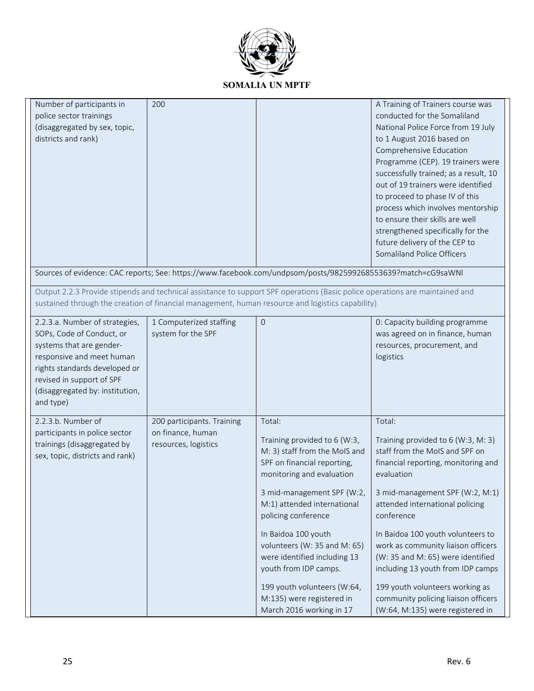

| Number of participants in<br>police sector trainings<br>(disaggregated by sex, topic,<br>districts and rank)                                                                                                                       | 200                                                                     |                                                                                                                                                                                                                                                                                                                                                                                                                                 | A Training of Trainers course was<br>conducted for the Somaliland<br>National Police Force from 19 July<br>to 1 August 2016 based on<br>Comprehensive Education<br>Programme (CEP). 19 trainers were<br>successfully trained; as a result, 10<br>out of 19 trainers were identified<br>to proceed to phase IV of this<br>process which involves mentorship<br>to ensure their skills are well<br>strengthened specifically for the<br>future delivery of the CEP to<br>Somaliland Police Officers |
|------------------------------------------------------------------------------------------------------------------------------------------------------------------------------------------------------------------------------------|-------------------------------------------------------------------------|---------------------------------------------------------------------------------------------------------------------------------------------------------------------------------------------------------------------------------------------------------------------------------------------------------------------------------------------------------------------------------------------------------------------------------|---------------------------------------------------------------------------------------------------------------------------------------------------------------------------------------------------------------------------------------------------------------------------------------------------------------------------------------------------------------------------------------------------------------------------------------------------------------------------------------------------|
|                                                                                                                                                                                                                                    |                                                                         | Sources of evidence: CAC reports; See: https://www.facebook.com/undpsom/posts/982599268553639?match=cG9saWNl                                                                                                                                                                                                                                                                                                                    |                                                                                                                                                                                                                                                                                                                                                                                                                                                                                                   |
|                                                                                                                                                                                                                                    |                                                                         | Output 2.2.3 Provide stipends and technical assistance to support SPF operations (Basic police operations are maintained and<br>sustained through the creation of financial management, human resource and logistics capability)                                                                                                                                                                                                |                                                                                                                                                                                                                                                                                                                                                                                                                                                                                                   |
| 2.2.3.a. Number of strategies,<br>SOPs, Code of Conduct, or<br>systems that are gender-<br>responsive and meet human<br>rights standards developed or<br>revised in support of SPF<br>(disaggregated by: institution,<br>and type) | 1 Computerized staffing<br>system for the SPF                           | $\overline{0}$                                                                                                                                                                                                                                                                                                                                                                                                                  | 0: Capacity building programme<br>was agreed on in finance, human<br>resources, procurement, and<br>logistics                                                                                                                                                                                                                                                                                                                                                                                     |
| 2.2.3.b. Number of<br>participants in police sector<br>trainings (disaggregated by<br>sex, topic, districts and rank)                                                                                                              | 200 participants. Training<br>on finance, human<br>resources, logistics | Total:<br>Training provided to 6 (W:3,<br>M: 3) staff from the MoIS and<br>SPF on financial reporting,<br>monitoring and evaluation<br>3 mid-management SPF (W:2,<br>M:1) attended international<br>policing conference<br>In Baidoa 100 youth<br>volunteers (W: 35 and M: 65)<br>were identified including 13<br>youth from IDP camps.<br>199 youth volunteers (W:64,<br>M:135) were registered in<br>March 2016 working in 17 | Total:<br>Training provided to 6 (W:3, M: 3)<br>staff from the MoIS and SPF on<br>financial reporting, monitoring and<br>evaluation<br>3 mid-management SPF (W:2, M:1)<br>attended international policing<br>conference<br>In Baidoa 100 youth volunteers to<br>work as community liaison officers<br>(W: 35 and M: 65) were identified<br>including 13 youth from IDP camps<br>199 youth volunteers working as<br>community policing liaison officers<br>(W:64, M:135) were registered in        |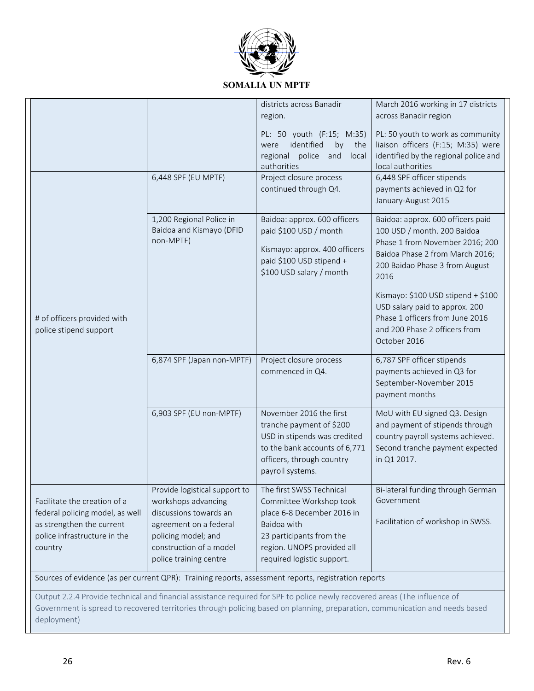

|                                                                                                                                         |                                                                                                                                                                                      | districts across Banadir                                                                                                                                                                 | March 2016 working in 17 districts                                                                                                                                                                                        |  |  |  |
|-----------------------------------------------------------------------------------------------------------------------------------------|--------------------------------------------------------------------------------------------------------------------------------------------------------------------------------------|------------------------------------------------------------------------------------------------------------------------------------------------------------------------------------------|---------------------------------------------------------------------------------------------------------------------------------------------------------------------------------------------------------------------------|--|--|--|
|                                                                                                                                         |                                                                                                                                                                                      | region.                                                                                                                                                                                  | across Banadir region                                                                                                                                                                                                     |  |  |  |
|                                                                                                                                         | 6,448 SPF (EU MPTF)                                                                                                                                                                  | PL: 50 youth (F:15; M:35)<br>identified<br>by<br>the<br>were<br>and<br>regional<br>police<br>local<br>authorities<br>Project closure process<br>continued through Q4.                    | PL: 50 youth to work as community<br>liaison officers (F:15; M:35) were<br>identified by the regional police and<br>local authorities<br>6,448 SPF officer stipends<br>payments achieved in Q2 for<br>January-August 2015 |  |  |  |
|                                                                                                                                         | 1,200 Regional Police in<br>Baidoa and Kismayo (DFID<br>non-MPTF)                                                                                                                    | Baidoa: approx. 600 officers<br>paid \$100 USD / month<br>Kismayo: approx. 400 officers<br>paid \$100 USD stipend +<br>\$100 USD salary / month                                          | Baidoa: approx. 600 officers paid<br>100 USD / month. 200 Baidoa<br>Phase 1 from November 2016; 200<br>Baidoa Phase 2 from March 2016;<br>200 Baidao Phase 3 from August<br>2016                                          |  |  |  |
| # of officers provided with<br>police stipend support                                                                                   |                                                                                                                                                                                      |                                                                                                                                                                                          | Kismayo: \$100 USD stipend + \$100<br>USD salary paid to approx. 200<br>Phase 1 officers from June 2016<br>and 200 Phase 2 officers from<br>October 2016                                                                  |  |  |  |
|                                                                                                                                         | 6,874 SPF (Japan non-MPTF)                                                                                                                                                           | Project closure process<br>commenced in Q4.                                                                                                                                              | 6,787 SPF officer stipends<br>payments achieved in Q3 for<br>September-November 2015<br>payment months                                                                                                                    |  |  |  |
|                                                                                                                                         | 6,903 SPF (EU non-MPTF)                                                                                                                                                              | November 2016 the first<br>tranche payment of \$200<br>USD in stipends was credited<br>to the bank accounts of 6,771<br>officers, through country<br>payroll systems.                    | MoU with EU signed Q3. Design<br>and payment of stipends through<br>country payroll systems achieved.<br>Second tranche payment expected<br>in Q1 2017.                                                                   |  |  |  |
| Facilitate the creation of a<br>federal policing model, as well<br>as strengthen the current<br>police infrastructure in the<br>country | Provide logistical support to<br>workshops advancing<br>discussions towards an<br>agreement on a federal<br>policing model; and<br>construction of a model<br>police training centre | The first SWSS Technical<br>Committee Workshop took<br>place 6-8 December 2016 in<br>Baidoa with<br>23 participants from the<br>region. UNOPS provided all<br>required logistic support. | Bi-lateral funding through German<br>Government<br>Facilitation of workshop in SWSS.                                                                                                                                      |  |  |  |
|                                                                                                                                         |                                                                                                                                                                                      | Sources of evidence (as per current QPR): Training reports, assessment reports, registration reports                                                                                     |                                                                                                                                                                                                                           |  |  |  |
|                                                                                                                                         |                                                                                                                                                                                      |                                                                                                                                                                                          |                                                                                                                                                                                                                           |  |  |  |
|                                                                                                                                         |                                                                                                                                                                                      | Output 2.2.4 Provide technical and financial assistance required for SPF to police newly recovered areas (The influence of                                                               |                                                                                                                                                                                                                           |  |  |  |

Government is spread to recovered territories through policing based on planning, preparation, communication and needs based deployment)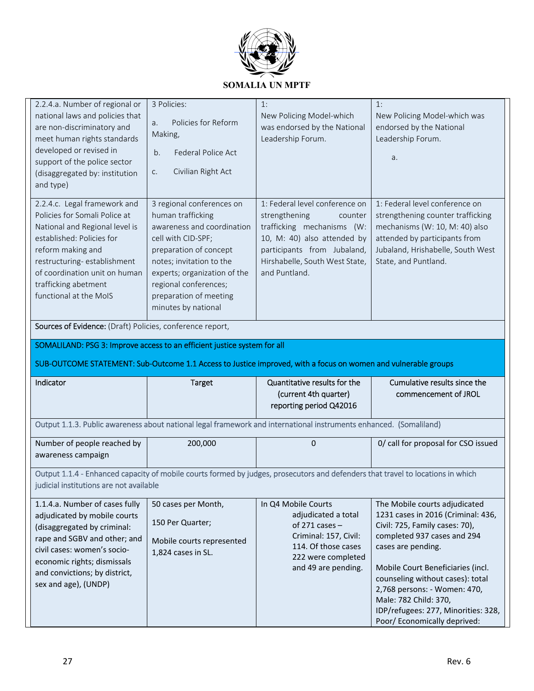

| 2.2.4.a. Number of regional or<br>national laws and policies that<br>are non-discriminatory and                                                                                                                                                                     | 3 Policies:<br>Policies for Reform<br>a.                                                                                                                                                                                                                           | 1:<br>New Policing Model-which<br>was endorsed by the National                                                                                                                                            | 1:<br>New Policing Model-which was<br>endorsed by the National                                                                                                                                      |  |
|---------------------------------------------------------------------------------------------------------------------------------------------------------------------------------------------------------------------------------------------------------------------|--------------------------------------------------------------------------------------------------------------------------------------------------------------------------------------------------------------------------------------------------------------------|-----------------------------------------------------------------------------------------------------------------------------------------------------------------------------------------------------------|-----------------------------------------------------------------------------------------------------------------------------------------------------------------------------------------------------|--|
| meet human rights standards<br>developed or revised in<br>support of the police sector<br>(disaggregated by: institution<br>and type)                                                                                                                               | Making,<br>Federal Police Act<br>b.<br>Civilian Right Act<br>C.                                                                                                                                                                                                    | Leadership Forum.                                                                                                                                                                                         | Leadership Forum.<br>a.                                                                                                                                                                             |  |
| 2.2.4.c. Legal framework and<br>Policies for Somali Police at<br>National and Regional level is<br>established: Policies for<br>reform making and<br>restructuring-establishment<br>of coordination unit on human<br>trafficking abetment<br>functional at the MoIS | 3 regional conferences on<br>human trafficking<br>awareness and coordination<br>cell with CID-SPF;<br>preparation of concept<br>notes; invitation to the<br>experts; organization of the<br>regional conferences;<br>preparation of meeting<br>minutes by national | 1: Federal level conference on<br>strengthening<br>counter<br>trafficking mechanisms (W:<br>10, M: 40) also attended by<br>participants from Jubaland,<br>Hirshabelle, South West State,<br>and Puntland. | 1: Federal level conference on<br>strengthening counter trafficking<br>mechanisms (W: 10, M: 40) also<br>attended by participants from<br>Jubaland, Hrishabelle, South West<br>State, and Puntland. |  |
| Sources of Evidence: (Draft) Policies, conference report,                                                                                                                                                                                                           |                                                                                                                                                                                                                                                                    |                                                                                                                                                                                                           |                                                                                                                                                                                                     |  |
| SOMALILAND: PSG 3: Improve access to an efficient justice system for all                                                                                                                                                                                            |                                                                                                                                                                                                                                                                    |                                                                                                                                                                                                           |                                                                                                                                                                                                     |  |
|                                                                                                                                                                                                                                                                     |                                                                                                                                                                                                                                                                    | SUB-OUTCOME STATEMENT: Sub-Outcome 1.1 Access to Justice improved, with a focus on women and vulnerable groups                                                                                            |                                                                                                                                                                                                     |  |
| Indicator                                                                                                                                                                                                                                                           | <b>Target</b>                                                                                                                                                                                                                                                      | Quantitative results for the<br>(current 4th quarter)<br>reporting period Q42016                                                                                                                          | Cumulative results since the<br>commencement of JROL                                                                                                                                                |  |
|                                                                                                                                                                                                                                                                     |                                                                                                                                                                                                                                                                    | Output 1.1.3. Public awareness about national legal framework and international instruments enhanced. (Somaliland)                                                                                        |                                                                                                                                                                                                     |  |
| Number of people reached by<br>awareness campaign                                                                                                                                                                                                                   | 200,000                                                                                                                                                                                                                                                            | $\Omega$                                                                                                                                                                                                  | 0/ call for proposal for CSO issued                                                                                                                                                                 |  |
| Output 1.1.4 - Enhanced capacity of mobile courts formed by judges, prosecutors and defenders that travel to locations in which<br>judicial institutions are not available                                                                                          |                                                                                                                                                                                                                                                                    |                                                                                                                                                                                                           |                                                                                                                                                                                                     |  |

| 1.1.4.a. Number of cases fully                                                                                                                                                                                     | 50 cases per Month,                                                 | In Q4 Mobile Courts                                                                                                                  | The Mobile courts adjudicated                                                                                                                                                                                                                                                                                                      |
|--------------------------------------------------------------------------------------------------------------------------------------------------------------------------------------------------------------------|---------------------------------------------------------------------|--------------------------------------------------------------------------------------------------------------------------------------|------------------------------------------------------------------------------------------------------------------------------------------------------------------------------------------------------------------------------------------------------------------------------------------------------------------------------------|
| adjudicated by mobile courts<br>(disaggregated by criminal:<br>rape and SGBV and other; and<br>civil cases: women's socio-<br>economic rights; dismissals<br>and convictions; by district,<br>sex and age), (UNDP) | 150 Per Quarter;<br>Mobile courts represented<br>1,824 cases in SL. | adjudicated a total<br>of 271 cases $-$<br>Criminal: 157, Civil:<br>114. Of those cases<br>222 were completed<br>and 49 are pending. | 1231 cases in 2016 (Criminal: 436,<br>Civil: 725, Family cases: 70),<br>completed 937 cases and 294<br>cases are pending.<br>Mobile Court Beneficiaries (incl.<br>counseling without cases): total<br>2,768 persons: - Women: 470,<br>Male: 782 Child: 370,<br>IDP/refugees: 277, Minorities: 328,<br>Poor/ Economically deprived: |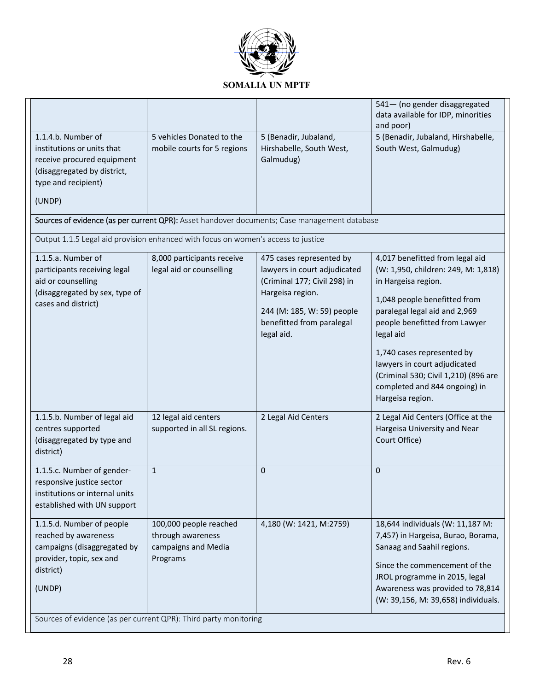

|                                                                                                                                                                                                         |                                                                                |                                                                                                                                                                                       | 541- (no gender disaggregated<br>data available for IDP, minorities<br>and poor)                                                                                                                                                                                                                                                                                        |  |
|---------------------------------------------------------------------------------------------------------------------------------------------------------------------------------------------------------|--------------------------------------------------------------------------------|---------------------------------------------------------------------------------------------------------------------------------------------------------------------------------------|-------------------------------------------------------------------------------------------------------------------------------------------------------------------------------------------------------------------------------------------------------------------------------------------------------------------------------------------------------------------------|--|
| 1.1.4.b. Number of<br>institutions or units that<br>receive procured equipment<br>(disaggregated by district,<br>type and recipient)<br>(UNDP)                                                          | 5 vehicles Donated to the<br>mobile courts for 5 regions                       | 5 (Benadir, Jubaland,<br>Hirshabelle, South West,<br>Galmudug)                                                                                                                        | 5 (Benadir, Jubaland, Hirshabelle,<br>South West, Galmudug)                                                                                                                                                                                                                                                                                                             |  |
|                                                                                                                                                                                                         |                                                                                | Sources of evidence (as per current QPR): Asset handover documents; Case management database                                                                                          |                                                                                                                                                                                                                                                                                                                                                                         |  |
| Output 1.1.5 Legal aid provision enhanced with focus on women's access to justice                                                                                                                       |                                                                                |                                                                                                                                                                                       |                                                                                                                                                                                                                                                                                                                                                                         |  |
| 1.1.5.a. Number of<br>participants receiving legal<br>aid or counselling<br>(disaggregated by sex, type of<br>cases and district)                                                                       | 8,000 participants receive<br>legal aid or counselling                         | 475 cases represented by<br>lawyers in court adjudicated<br>(Criminal 177; Civil 298) in<br>Hargeisa region.<br>244 (M: 185, W: 59) people<br>benefitted from paralegal<br>legal aid. | 4,017 benefitted from legal aid<br>(W: 1,950, children: 249, M: 1,818)<br>in Hargeisa region.<br>1,048 people benefitted from<br>paralegal legal aid and 2,969<br>people benefitted from Lawyer<br>legal aid<br>1,740 cases represented by<br>lawyers in court adjudicated<br>(Criminal 530; Civil 1,210) (896 are<br>completed and 844 ongoing) in<br>Hargeisa region. |  |
| 1.1.5.b. Number of legal aid<br>centres supported<br>(disaggregated by type and<br>district)                                                                                                            | 12 legal aid centers<br>supported in all SL regions.                           | 2 Legal Aid Centers                                                                                                                                                                   | 2 Legal Aid Centers (Office at the<br>Hargeisa University and Near<br>Court Office)                                                                                                                                                                                                                                                                                     |  |
| 1.1.5.c. Number of gender-<br>responsive justice sector<br>institutions or internal units<br>established with UN support                                                                                | $\mathbf{1}$                                                                   | $\mathbf 0$                                                                                                                                                                           | $\mathbf 0$                                                                                                                                                                                                                                                                                                                                                             |  |
| 1.1.5.d. Number of people<br>reached by awareness<br>campaigns (disaggregated by<br>provider, topic, sex and<br>district)<br>(UNDP)<br>Sources of evidence (as per current QPR): Third party monitoring | 100,000 people reached<br>through awareness<br>campaigns and Media<br>Programs | 4,180 (W: 1421, M:2759)                                                                                                                                                               | 18,644 individuals (W: 11,187 M:<br>7,457) in Hargeisa, Burao, Borama,<br>Sanaag and Saahil regions.<br>Since the commencement of the<br>JROL programme in 2015, legal<br>Awareness was provided to 78,814<br>(W: 39,156, M: 39,658) individuals.                                                                                                                       |  |
|                                                                                                                                                                                                         |                                                                                |                                                                                                                                                                                       |                                                                                                                                                                                                                                                                                                                                                                         |  |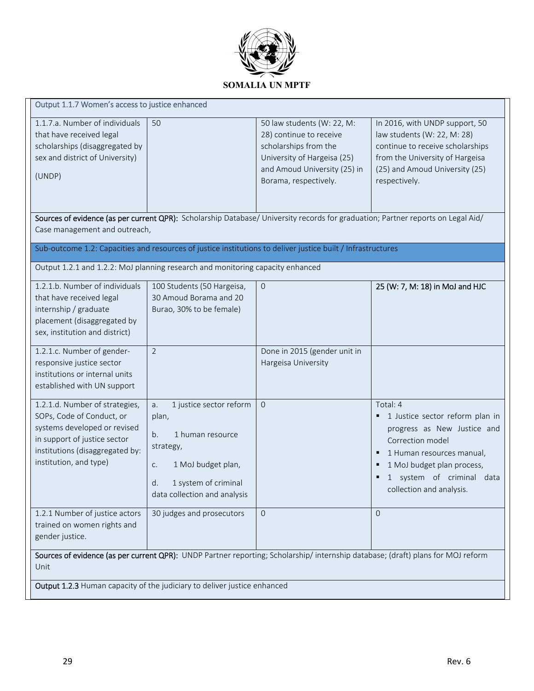

| Output 1.1.7 Women's access to justice enhanced                                                                                                                                          |                                                                                                                                                                         |                                                                                                                                                                        |                                                                                                                                                                                                                              |  |  |
|------------------------------------------------------------------------------------------------------------------------------------------------------------------------------------------|-------------------------------------------------------------------------------------------------------------------------------------------------------------------------|------------------------------------------------------------------------------------------------------------------------------------------------------------------------|------------------------------------------------------------------------------------------------------------------------------------------------------------------------------------------------------------------------------|--|--|
| 1.1.7.a. Number of individuals<br>that have received legal<br>scholarships (disaggregated by<br>sex and district of University)<br>(UNDP)                                                | 50                                                                                                                                                                      | 50 law students (W: 22, M:<br>28) continue to receive<br>scholarships from the<br>University of Hargeisa (25)<br>and Amoud University (25) in<br>Borama, respectively. | In 2016, with UNDP support, 50<br>law students (W: 22, M: 28)<br>continue to receive scholarships<br>from the University of Hargeisa<br>(25) and Amoud University (25)<br>respectively.                                      |  |  |
| Case management and outreach,                                                                                                                                                            |                                                                                                                                                                         | Sources of evidence (as per current QPR): Scholarship Database/ University records for graduation; Partner reports on Legal Aid/                                       |                                                                                                                                                                                                                              |  |  |
|                                                                                                                                                                                          |                                                                                                                                                                         | Sub-outcome 1.2: Capacities and resources of justice institutions to deliver justice built / Infrastructures                                                           |                                                                                                                                                                                                                              |  |  |
| Output 1.2.1 and 1.2.2: MoJ planning research and monitoring capacity enhanced                                                                                                           |                                                                                                                                                                         |                                                                                                                                                                        |                                                                                                                                                                                                                              |  |  |
| 1.2.1.b. Number of individuals<br>that have received legal<br>internship / graduate<br>placement (disaggregated by<br>sex, institution and district)                                     | 100 Students (50 Hargeisa,<br>30 Amoud Borama and 20<br>Burao, 30% to be female)                                                                                        | $\overline{0}$                                                                                                                                                         | 25 (W: 7, M: 18) in MoJ and HJC                                                                                                                                                                                              |  |  |
| 1.2.1.c. Number of gender-<br>responsive justice sector<br>institutions or internal units<br>established with UN support                                                                 | $\overline{2}$                                                                                                                                                          | Done in 2015 (gender unit in<br>Hargeisa University                                                                                                                    |                                                                                                                                                                                                                              |  |  |
| 1.2.1.d. Number of strategies,<br>SOPs, Code of Conduct, or<br>systems developed or revised<br>in support of justice sector<br>institutions (disaggregated by:<br>institution, and type) | 1 justice sector reform<br>a.<br>plan,<br>b.<br>1 human resource<br>strategy,<br>1 MoJ budget plan,<br>C.<br>d.<br>1 system of criminal<br>data collection and analysis | $\overline{0}$                                                                                                                                                         | Total: 4<br>1 Justice sector reform plan in<br>progress as New Justice and<br>Correction model<br>1 Human resources manual,<br>٠<br>1 MoJ budget plan process,<br>٠<br>1 system of criminal data<br>collection and analysis. |  |  |
| 1.2.1 Number of justice actors<br>trained on women rights and<br>gender justice.                                                                                                         | 30 judges and prosecutors                                                                                                                                               | $\mathbf{0}$                                                                                                                                                           | $\overline{0}$                                                                                                                                                                                                               |  |  |
| Unit                                                                                                                                                                                     |                                                                                                                                                                         |                                                                                                                                                                        | Sources of evidence (as per current QPR): UNDP Partner reporting; Scholarship/ internship database; (draft) plans for MOJ reform                                                                                             |  |  |
| Output 1.2.3 Human capacity of the judiciary to deliver justice enhanced                                                                                                                 |                                                                                                                                                                         |                                                                                                                                                                        |                                                                                                                                                                                                                              |  |  |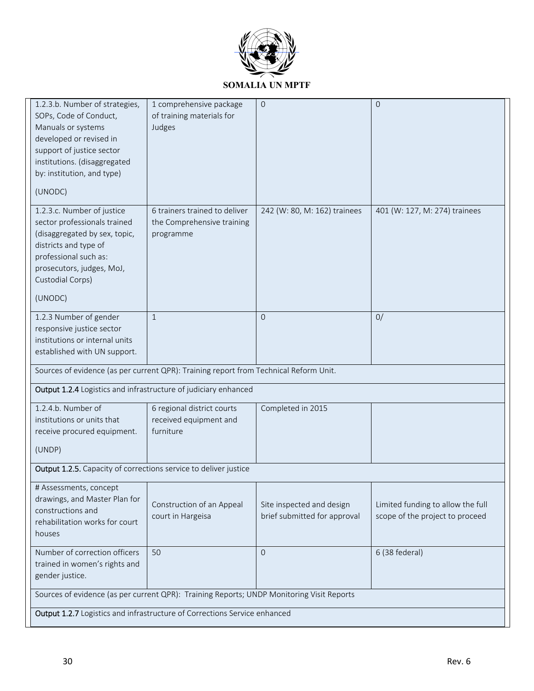

| 1.2.3.b. Number of strategies,<br>SOPs, Code of Conduct,<br>Manuals or systems<br>developed or revised in<br>support of justice sector<br>institutions. (disaggregated                                    | 1 comprehensive package<br>of training materials for<br>Judges           | $\mathbf{0}$                                              | $\Omega$                                                             |  |
|-----------------------------------------------------------------------------------------------------------------------------------------------------------------------------------------------------------|--------------------------------------------------------------------------|-----------------------------------------------------------|----------------------------------------------------------------------|--|
| by: institution, and type)<br>(UNODC)                                                                                                                                                                     |                                                                          |                                                           |                                                                      |  |
| 1.2.3.c. Number of justice<br>sector professionals trained<br>(disaggregated by sex, topic,<br>districts and type of<br>professional such as:<br>prosecutors, judges, MoJ,<br>Custodial Corps)<br>(UNODC) | 6 trainers trained to deliver<br>the Comprehensive training<br>programme | 242 (W: 80, M: 162) trainees                              | 401 (W: 127, M: 274) trainees                                        |  |
| 1.2.3 Number of gender<br>responsive justice sector<br>institutions or internal units<br>established with UN support.                                                                                     | $\mathbf{1}$                                                             | $\Omega$                                                  | 0/                                                                   |  |
| Sources of evidence (as per current QPR): Training report from Technical Reform Unit.<br>Output 1.2.4 Logistics and infrastructure of judiciary enhanced                                                  |                                                                          |                                                           |                                                                      |  |
| 1.2.4.b. Number of<br>institutions or units that<br>receive procured equipment.<br>(UNDP)                                                                                                                 | 6 regional district courts<br>received equipment and<br>furniture        | Completed in 2015                                         |                                                                      |  |
| Output 1.2.5. Capacity of corrections service to deliver justice                                                                                                                                          |                                                                          |                                                           |                                                                      |  |
| # Assessments, concept<br>drawings, and Master Plan for<br>constructions and<br>rehabilitation works for court<br>houses                                                                                  | Construction of an Appeal<br>court in Hargeisa                           | Site inspected and design<br>brief submitted for approval | Limited funding to allow the full<br>scope of the project to proceed |  |
| Number of correction officers<br>trained in women's rights and<br>gender justice.                                                                                                                         | 50                                                                       | $\Omega$                                                  | 6 (38 federal)                                                       |  |
| Sources of evidence (as per current QPR): Training Reports; UNDP Monitoring Visit Reports<br>Output 1.2.7 Logistics and infrastructure of Corrections Service enhanced                                    |                                                                          |                                                           |                                                                      |  |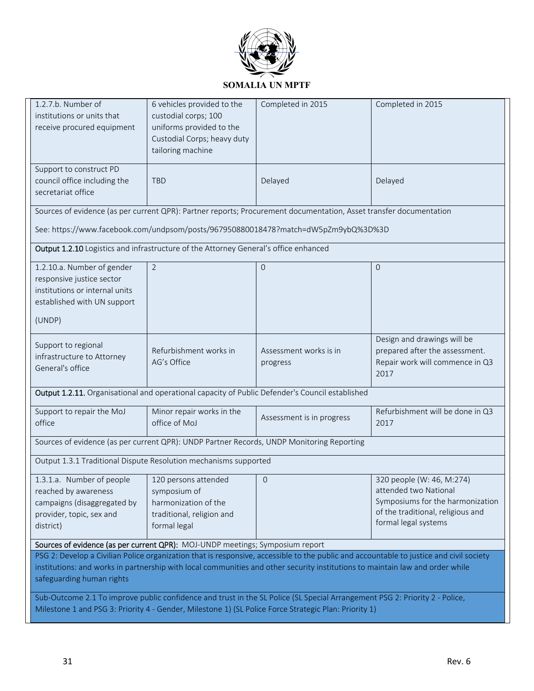

| 1.2.7.b. Number of<br>institutions or units that<br>receive procured equipment                                                                                                                                                                                                                        | 6 vehicles provided to the<br>custodial corps; 100<br>uniforms provided to the<br>Custodial Corps; heavy duty<br>tailoring machine | Completed in 2015                                                                                                                                                                                        | Completed in 2015                                                                                                                                   |  |
|-------------------------------------------------------------------------------------------------------------------------------------------------------------------------------------------------------------------------------------------------------------------------------------------------------|------------------------------------------------------------------------------------------------------------------------------------|----------------------------------------------------------------------------------------------------------------------------------------------------------------------------------------------------------|-----------------------------------------------------------------------------------------------------------------------------------------------------|--|
| Support to construct PD<br>council office including the<br>secretariat office                                                                                                                                                                                                                         | <b>TBD</b>                                                                                                                         | Delayed                                                                                                                                                                                                  | Delayed                                                                                                                                             |  |
|                                                                                                                                                                                                                                                                                                       |                                                                                                                                    | Sources of evidence (as per current QPR): Partner reports; Procurement documentation, Asset transfer documentation<br>See: https://www.facebook.com/undpsom/posts/967950880018478?match=dW5pZm9ybQ%3D%3D |                                                                                                                                                     |  |
| Output 1.2.10 Logistics and infrastructure of the Attorney General's office enhanced                                                                                                                                                                                                                  |                                                                                                                                    |                                                                                                                                                                                                          |                                                                                                                                                     |  |
| 1.2.10.a. Number of gender<br>responsive justice sector<br>institutions or internal units<br>established with UN support<br>(UNDP)                                                                                                                                                                    | $\overline{2}$                                                                                                                     | $\overline{0}$                                                                                                                                                                                           | $\Omega$                                                                                                                                            |  |
| Support to regional<br>infrastructure to Attorney<br>General's office                                                                                                                                                                                                                                 | Refurbishment works in<br>AG's Office                                                                                              | Assessment works is in<br>progress                                                                                                                                                                       | Design and drawings will be<br>prepared after the assessment.<br>Repair work will commence in Q3<br>2017                                            |  |
| Output 1.2.11. Organisational and operational capacity of Public Defender's Council established                                                                                                                                                                                                       |                                                                                                                                    |                                                                                                                                                                                                          |                                                                                                                                                     |  |
| Support to repair the MoJ<br>office                                                                                                                                                                                                                                                                   | Minor repair works in the<br>office of MoJ                                                                                         | Assessment is in progress                                                                                                                                                                                | Refurbishment will be done in Q3<br>2017                                                                                                            |  |
| Sources of evidence (as per current QPR): UNDP Partner Records, UNDP Monitoring Reporting                                                                                                                                                                                                             |                                                                                                                                    |                                                                                                                                                                                                          |                                                                                                                                                     |  |
| Output 1.3.1 Traditional Dispute Resolution mechanisms supported                                                                                                                                                                                                                                      |                                                                                                                                    |                                                                                                                                                                                                          |                                                                                                                                                     |  |
| 1.3.1.a. Number of people<br>reached by awareness<br>campaigns (disaggregated by<br>provider, topic, sex and<br>district)                                                                                                                                                                             | 120 persons attended<br>symposium of<br>harmonization of the<br>traditional, religion and<br>formal legal                          | $\mathbf 0$                                                                                                                                                                                              | 320 people (W: 46, M:274)<br>attended two National<br>Symposiums for the harmonization<br>of the traditional, religious and<br>formal legal systems |  |
| Sources of evidence (as per current QPR): MOJ-UNDP meetings; Symposium report                                                                                                                                                                                                                         |                                                                                                                                    |                                                                                                                                                                                                          |                                                                                                                                                     |  |
| PSG 2: Develop a Civilian Police organization that is responsive, accessible to the public and accountable to justice and civil society<br>institutions: and works in partnership with local communities and other security institutions to maintain law and order while<br>safeguarding human rights |                                                                                                                                    |                                                                                                                                                                                                          |                                                                                                                                                     |  |
| Sub-Outcome 2.1 To improve public confidence and trust in the SL Police (SL Special Arrangement PSG 2: Priority 2 - Police,<br>Milestone 1 and PSG 3: Priority 4 - Gender, Milestone 1) (SL Police Force Strategic Plan: Priority 1)                                                                  |                                                                                                                                    |                                                                                                                                                                                                          |                                                                                                                                                     |  |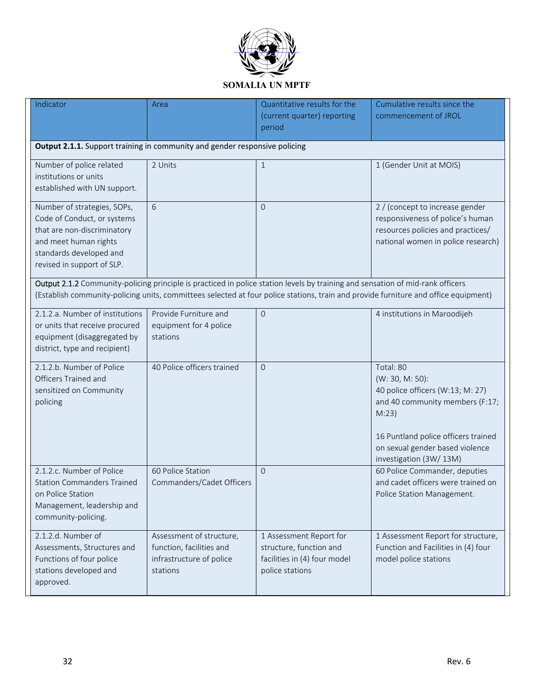

| Indicator                                                                                                                                                                                                                                                             | Area                                                                                         | Quantitative results for the<br>(current quarter) reporting<br>period                                 | Cumulative results since the<br>commencement of JROL                                                                                                                                                             |
|-----------------------------------------------------------------------------------------------------------------------------------------------------------------------------------------------------------------------------------------------------------------------|----------------------------------------------------------------------------------------------|-------------------------------------------------------------------------------------------------------|------------------------------------------------------------------------------------------------------------------------------------------------------------------------------------------------------------------|
| Output 2.1.1. Support training in community and gender responsive policing                                                                                                                                                                                            |                                                                                              |                                                                                                       |                                                                                                                                                                                                                  |
| Number of police related<br>institutions or units<br>established with UN support.                                                                                                                                                                                     | 2 Units                                                                                      | $\mathbf{1}$                                                                                          | 1 (Gender Unit at MOIS)                                                                                                                                                                                          |
| Number of strategies, SOPs,<br>Code of Conduct, or systems<br>that are non-discriminatory<br>and meet human rights<br>standards developed and<br>revised in support of SLP.                                                                                           | 6                                                                                            | $\Omega$                                                                                              | 2 / (concept to increase gender<br>responsiveness of police's human<br>resources policies and practices/<br>national women in police research)                                                                   |
| Output 2.1.2 Community-policing principle is practiced in police station levels by training and sensation of mid-rank officers<br>(Establish community-policing units, committees selected at four police stations, train and provide furniture and office equipment) |                                                                                              |                                                                                                       |                                                                                                                                                                                                                  |
| 2.1.2.a. Number of institutions<br>or units that receive procured<br>equipment (disaggregated by<br>district, type and recipient)                                                                                                                                     | Provide Furniture and<br>equipment for 4 police<br>stations                                  | $\overline{0}$                                                                                        | 4 institutions in Maroodijeh                                                                                                                                                                                     |
| 2.1.2.b. Number of Police<br>Officers Trained and<br>sensitized on Community<br>policing                                                                                                                                                                              | 40 Police officers trained                                                                   | $\overline{0}$                                                                                        | Total: 80<br>(W: 30, M: 50):<br>40 police officers (W:13; M: 27)<br>and 40 community members (F:17;<br>M:23)<br>16 Puntland police officers trained<br>on sexual gender based violence<br>investigation (3W/13M) |
| 2.1.2.c. Number of Police<br><b>Station Commanders Trained</b><br>on Police Station<br>Management, leadership and<br>community-policing.                                                                                                                              | 60 Police Station<br>Commanders/Cadet Officers                                               | $\Omega$                                                                                              | 60 Police Commander, deputies<br>and cadet officers were trained on<br>Police Station Management.                                                                                                                |
| 2.1.2.d. Number of<br>Assessments, Structures and<br>Functions of four police<br>stations developed and<br>approved.                                                                                                                                                  | Assessment of structure,<br>function, facilities and<br>infrastructure of police<br>stations | 1 Assessment Report for<br>structure, function and<br>facilities in (4) four model<br>police stations | 1 Assessment Report for structure,<br>Function and Facilities in (4) four<br>model police stations                                                                                                               |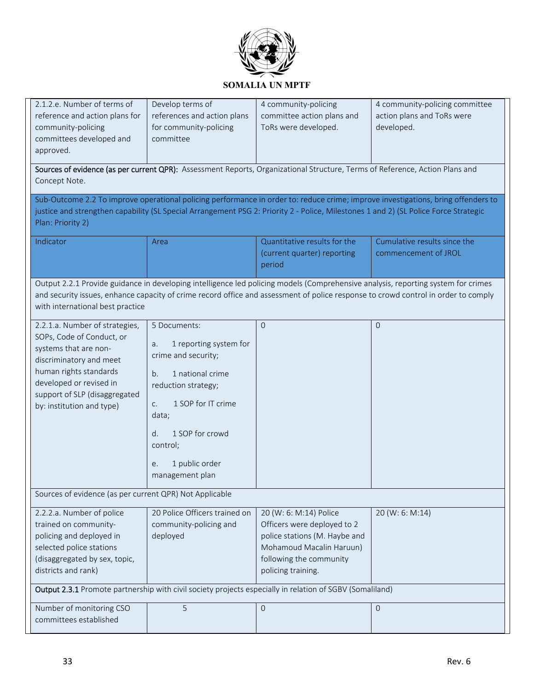

| 2.1.2.e. Number of terms of<br>reference and action plans for<br>community-policing<br>committees developed and<br>approved.                                                                                                                                                                                | Develop terms of<br>references and action plans<br>for community-policing<br>committee                                                                                                                                                    | 4 community-policing<br>committee action plans and<br>ToRs were developed.<br>Sources of evidence (as per current QPR): Assessment Reports, Organizational Structure, Terms of Reference, Action Plans and | 4 community-policing committee<br>action plans and ToRs were<br>developed. |
|-------------------------------------------------------------------------------------------------------------------------------------------------------------------------------------------------------------------------------------------------------------------------------------------------------------|-------------------------------------------------------------------------------------------------------------------------------------------------------------------------------------------------------------------------------------------|------------------------------------------------------------------------------------------------------------------------------------------------------------------------------------------------------------|----------------------------------------------------------------------------|
| Concept Note.                                                                                                                                                                                                                                                                                               |                                                                                                                                                                                                                                           |                                                                                                                                                                                                            |                                                                            |
| Sub-Outcome 2.2 To improve operational policing performance in order to: reduce crime; improve investigations, bring offenders to<br>justice and strengthen capability (SL Special Arrangement PSG 2: Priority 2 - Police, Milestones 1 and 2) (SL Police Force Strategic<br>Plan: Priority 2)              |                                                                                                                                                                                                                                           |                                                                                                                                                                                                            |                                                                            |
| Indicator                                                                                                                                                                                                                                                                                                   | Area                                                                                                                                                                                                                                      | Quantitative results for the<br>(current quarter) reporting<br>period                                                                                                                                      | Cumulative results since the<br>commencement of JROL                       |
| Output 2.2.1 Provide guidance in developing intelligence led policing models (Comprehensive analysis, reporting system for crimes<br>and security issues, enhance capacity of crime record office and assessment of police response to crowd control in order to comply<br>with international best practice |                                                                                                                                                                                                                                           |                                                                                                                                                                                                            |                                                                            |
| 2.2.1.a. Number of strategies,<br>SOPs, Code of Conduct, or<br>systems that are non-<br>discriminatory and meet<br>human rights standards<br>developed or revised in<br>support of SLP (disaggregated<br>by: institution and type)                                                                          | 5 Documents:<br>1 reporting system for<br>a.<br>crime and security;<br>1 national crime<br>b.<br>reduction strategy;<br>1 SOP for IT crime<br>C.<br>data;<br>1 SOP for crowd<br>d.<br>control;<br>1 public order<br>e.<br>management plan | $\mathbf 0$                                                                                                                                                                                                | $\overline{0}$                                                             |
| Sources of evidence (as per current QPR) Not Applicable                                                                                                                                                                                                                                                     |                                                                                                                                                                                                                                           |                                                                                                                                                                                                            |                                                                            |
| 2.2.2.a. Number of police<br>trained on community-<br>policing and deployed in<br>selected police stations<br>(disaggregated by sex, topic,<br>districts and rank)                                                                                                                                          | 20 Police Officers trained on<br>community-policing and<br>deployed                                                                                                                                                                       | 20 (W: 6: M:14) Police<br>Officers were deployed to 2<br>police stations (M. Haybe and<br>Mohamoud Macalin Haruun)<br>following the community<br>policing training.                                        | 20 (W: 6: M:14)                                                            |
| Output 2.3.1 Promote partnership with civil society projects especially in relation of SGBV (Somaliland)                                                                                                                                                                                                    |                                                                                                                                                                                                                                           |                                                                                                                                                                                                            |                                                                            |
| Number of monitoring CSO<br>committees established                                                                                                                                                                                                                                                          | 5                                                                                                                                                                                                                                         | $\mathbf{O}$                                                                                                                                                                                               | $\mathbf 0$                                                                |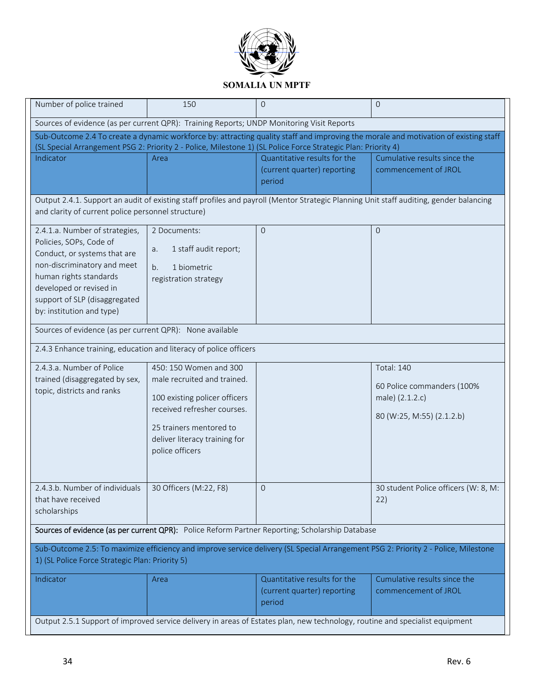

| Number of police trained                                                                                                                                                              | 150                                                          | $\Omega$                                                                                                                     | $\mathbf{O}$                                                                                                                           |
|---------------------------------------------------------------------------------------------------------------------------------------------------------------------------------------|--------------------------------------------------------------|------------------------------------------------------------------------------------------------------------------------------|----------------------------------------------------------------------------------------------------------------------------------------|
| Sources of evidence (as per current QPR): Training Reports; UNDP Monitoring Visit Reports                                                                                             |                                                              |                                                                                                                              |                                                                                                                                        |
| Sub-Outcome 2.4 To create a dynamic workforce by: attracting quality staff and improving the morale and motivation of existing staff                                                  |                                                              |                                                                                                                              |                                                                                                                                        |
| (SL Special Arrangement PSG 2: Priority 2 - Police, Milestone 1) (SL Police Force Strategic Plan: Priority 4)                                                                         |                                                              |                                                                                                                              |                                                                                                                                        |
| Indicator                                                                                                                                                                             | Area                                                         | Quantitative results for the                                                                                                 | Cumulative results since the                                                                                                           |
|                                                                                                                                                                                       |                                                              | (current quarter) reporting                                                                                                  | commencement of JROL                                                                                                                   |
|                                                                                                                                                                                       |                                                              | period                                                                                                                       |                                                                                                                                        |
|                                                                                                                                                                                       |                                                              |                                                                                                                              | Output 2.4.1. Support an audit of existing staff profiles and payroll (Mentor Strategic Planning Unit staff auditing, gender balancing |
| and clarity of current police personnel structure)                                                                                                                                    |                                                              |                                                                                                                              |                                                                                                                                        |
| 2.4.1.a. Number of strategies,                                                                                                                                                        | 2 Documents:                                                 | $\overline{O}$                                                                                                               | $\mathbf{0}$                                                                                                                           |
| Policies, SOPs, Code of                                                                                                                                                               |                                                              |                                                                                                                              |                                                                                                                                        |
| Conduct, or systems that are                                                                                                                                                          | 1 staff audit report;<br>a.                                  |                                                                                                                              |                                                                                                                                        |
| non-discriminatory and meet                                                                                                                                                           | b.<br>1 biometric                                            |                                                                                                                              |                                                                                                                                        |
| human rights standards                                                                                                                                                                | registration strategy                                        |                                                                                                                              |                                                                                                                                        |
| developed or revised in                                                                                                                                                               |                                                              |                                                                                                                              |                                                                                                                                        |
| support of SLP (disaggregated                                                                                                                                                         |                                                              |                                                                                                                              |                                                                                                                                        |
| by: institution and type)                                                                                                                                                             |                                                              |                                                                                                                              |                                                                                                                                        |
| Sources of evidence (as per current QPR): None available                                                                                                                              |                                                              |                                                                                                                              |                                                                                                                                        |
| 2.4.3 Enhance training, education and literacy of police officers                                                                                                                     |                                                              |                                                                                                                              |                                                                                                                                        |
| 2.4.3.a. Number of Police                                                                                                                                                             | 450: 150 Women and 300                                       |                                                                                                                              | <b>Total: 140</b>                                                                                                                      |
| trained (disaggregated by sex,                                                                                                                                                        | male recruited and trained.                                  |                                                                                                                              |                                                                                                                                        |
| topic, districts and ranks                                                                                                                                                            |                                                              |                                                                                                                              | 60 Police commanders (100%                                                                                                             |
|                                                                                                                                                                                       | 100 existing policer officers<br>received refresher courses. |                                                                                                                              | male) (2.1.2.c)                                                                                                                        |
|                                                                                                                                                                                       |                                                              |                                                                                                                              | 80 (W:25, M:55) (2.1.2.b)                                                                                                              |
|                                                                                                                                                                                       | 25 trainers mentored to                                      |                                                                                                                              |                                                                                                                                        |
|                                                                                                                                                                                       | deliver literacy training for                                |                                                                                                                              |                                                                                                                                        |
|                                                                                                                                                                                       | police officers                                              |                                                                                                                              |                                                                                                                                        |
|                                                                                                                                                                                       |                                                              |                                                                                                                              |                                                                                                                                        |
|                                                                                                                                                                                       |                                                              |                                                                                                                              |                                                                                                                                        |
| 2.4.3.b. Number of individuals 30 Officers (M:22, F8)                                                                                                                                 |                                                              | $\Omega$                                                                                                                     | 30 student Police officers (W: 8, M:                                                                                                   |
| that have received                                                                                                                                                                    |                                                              |                                                                                                                              | 22)                                                                                                                                    |
| scholarships                                                                                                                                                                          |                                                              |                                                                                                                              |                                                                                                                                        |
| Sources of evidence (as per current QPR): Police Reform Partner Reporting; Scholarship Database                                                                                       |                                                              |                                                                                                                              |                                                                                                                                        |
|                                                                                                                                                                                       |                                                              |                                                                                                                              |                                                                                                                                        |
| Sub-Outcome 2.5: To maximize efficiency and improve service delivery (SL Special Arrangement PSG 2: Priority 2 - Police, Milestone<br>1) (SL Police Force Strategic Plan: Priority 5) |                                                              |                                                                                                                              |                                                                                                                                        |
| Indicator                                                                                                                                                                             | Area                                                         | Quantitative results for the                                                                                                 | Cumulative results since the                                                                                                           |
|                                                                                                                                                                                       |                                                              | (current quarter) reporting                                                                                                  | commencement of JROL                                                                                                                   |
|                                                                                                                                                                                       |                                                              | period                                                                                                                       |                                                                                                                                        |
|                                                                                                                                                                                       |                                                              |                                                                                                                              |                                                                                                                                        |
|                                                                                                                                                                                       |                                                              | Output 2.5.1 Support of improved service delivery in areas of Estates plan, new technology, routine and specialist equipment |                                                                                                                                        |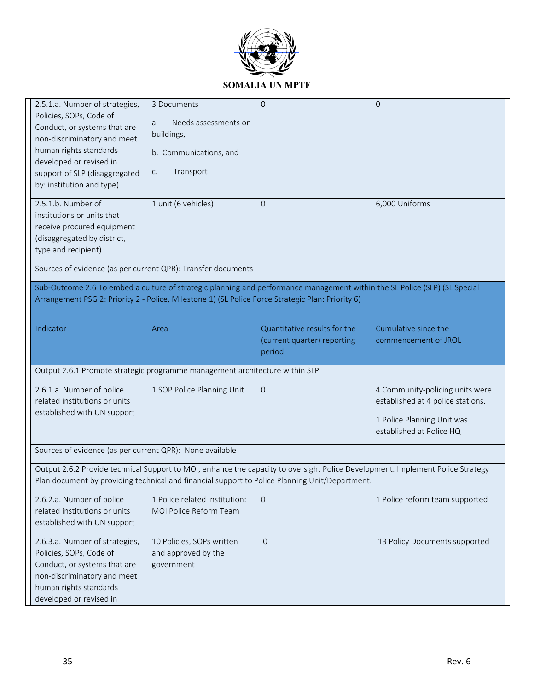

| 2.5.1.a. Number of strategies,<br>Policies, SOPs, Code of<br>Conduct, or systems that are<br>non-discriminatory and meet<br>human rights standards<br>developed or revised in<br>support of SLP (disaggregated<br>by: institution and type) | 3 Documents<br>Needs assessments on<br>a.<br>buildings,<br>b. Communications, and<br>Transport<br>C. | $\Omega$                                                              | $\Omega$                                                                                                                       |
|---------------------------------------------------------------------------------------------------------------------------------------------------------------------------------------------------------------------------------------------|------------------------------------------------------------------------------------------------------|-----------------------------------------------------------------------|--------------------------------------------------------------------------------------------------------------------------------|
| 2.5.1.b. Number of<br>institutions or units that<br>receive procured equipment<br>(disaggregated by district,<br>type and recipient)                                                                                                        | 1 unit (6 vehicles)                                                                                  | $\Omega$                                                              | 6,000 Uniforms                                                                                                                 |
| Sources of evidence (as per current QPR): Transfer documents                                                                                                                                                                                |                                                                                                      |                                                                       |                                                                                                                                |
| Sub-Outcome 2.6 To embed a culture of strategic planning and performance management within the SL Police (SLP) (SL Special<br>Arrangement PSG 2: Priority 2 - Police, Milestone 1) (SL Police Force Strategic Plan: Priority 6)             |                                                                                                      |                                                                       |                                                                                                                                |
| Indicator                                                                                                                                                                                                                                   | Area                                                                                                 | Quantitative results for the<br>(current quarter) reporting<br>period | Cumulative since the<br>commencement of JROL                                                                                   |
| Output 2.6.1 Promote strategic programme management architecture within SLP                                                                                                                                                                 |                                                                                                      |                                                                       |                                                                                                                                |
| 2.6.1.a. Number of police<br>related institutions or units<br>established with UN support                                                                                                                                                   | 1 SOP Police Planning Unit                                                                           | $\mathbf{0}$                                                          | 4 Community-policing units were<br>established at 4 police stations.<br>1 Police Planning Unit was<br>established at Police HQ |
| Sources of evidence (as per current QPR): None available                                                                                                                                                                                    |                                                                                                      |                                                                       |                                                                                                                                |
| Output 2.6.2 Provide technical Support to MOI, enhance the capacity to oversight Police Development. Implement Police Strategy<br>Plan document by providing technical and financial support to Police Planning Unit/Department.            |                                                                                                      |                                                                       |                                                                                                                                |
| 2.6.2.a. Number of police<br>related institutions or units<br>established with UN support                                                                                                                                                   | 1 Police related institution:<br>MOI Police Reform Team                                              | $\mathbf{0}$                                                          | 1 Police reform team supported                                                                                                 |
| 2.6.3.a. Number of strategies,<br>Policies, SOPs, Code of<br>Conduct, or systems that are<br>non-discriminatory and meet<br>human rights standards<br>developed or revised in                                                               | 10 Policies, SOPs written<br>and approved by the<br>government                                       | $\Omega$                                                              | 13 Policy Documents supported                                                                                                  |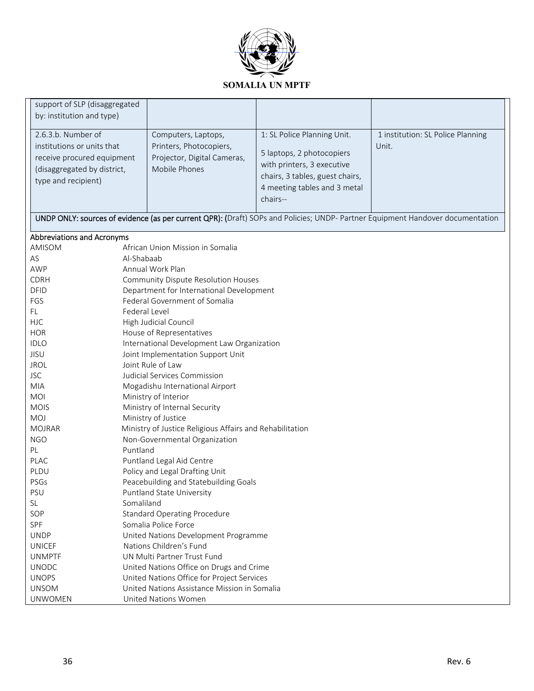

| support of SLP (disaggregated<br>by: institution and type)                                                                           |                                                                                                                                |                                                                                                                                                                       |                                            |
|--------------------------------------------------------------------------------------------------------------------------------------|--------------------------------------------------------------------------------------------------------------------------------|-----------------------------------------------------------------------------------------------------------------------------------------------------------------------|--------------------------------------------|
| 2.6.3.b. Number of<br>institutions or units that<br>receive procured equipment<br>(disaggregated by district,<br>type and recipient) | Computers, Laptops,<br>Printers, Photocopiers,<br>Projector, Digital Cameras,<br>Mobile Phones                                 | 1: SL Police Planning Unit.<br>5 laptops, 2 photocopiers<br>with printers, 3 executive<br>chairs, 3 tables, guest chairs,<br>4 meeting tables and 3 metal<br>chairs-- | 1 institution: SL Police Planning<br>Unit. |
|                                                                                                                                      | UNDP ONLY: sources of evidence (as per current QPR): (Draft) SOPs and Policies; UNDP- Partner Equipment Handover documentation |                                                                                                                                                                       |                                            |
| Abbreviations and Acronyms                                                                                                           |                                                                                                                                |                                                                                                                                                                       |                                            |
| AMISOM                                                                                                                               | African Union Mission in Somalia                                                                                               |                                                                                                                                                                       |                                            |
| AS                                                                                                                                   | Al-Shabaab                                                                                                                     |                                                                                                                                                                       |                                            |
| <b>AWP</b>                                                                                                                           | Annual Work Plan                                                                                                               |                                                                                                                                                                       |                                            |
| <b>CDRH</b>                                                                                                                          | Community Dispute Resolution Houses                                                                                            |                                                                                                                                                                       |                                            |
| <b>DFID</b>                                                                                                                          | Department for International Development                                                                                       |                                                                                                                                                                       |                                            |
| FGS                                                                                                                                  | Federal Government of Somalia                                                                                                  |                                                                                                                                                                       |                                            |
| FL                                                                                                                                   | Federal Level                                                                                                                  |                                                                                                                                                                       |                                            |
| <b>HJC</b>                                                                                                                           | High Judicial Council                                                                                                          |                                                                                                                                                                       |                                            |
| <b>HOR</b>                                                                                                                           | House of Representatives                                                                                                       |                                                                                                                                                                       |                                            |
| <b>IDLO</b>                                                                                                                          | International Development Law Organization                                                                                     |                                                                                                                                                                       |                                            |
| <b>JISU</b>                                                                                                                          | Joint Implementation Support Unit                                                                                              |                                                                                                                                                                       |                                            |
| <b>JROL</b>                                                                                                                          | Joint Rule of Law                                                                                                              |                                                                                                                                                                       |                                            |
| <b>JSC</b>                                                                                                                           | Judicial Services Commission                                                                                                   |                                                                                                                                                                       |                                            |
| <b>MIA</b>                                                                                                                           | Mogadishu International Airport                                                                                                |                                                                                                                                                                       |                                            |
| MOI                                                                                                                                  | Ministry of Interior                                                                                                           |                                                                                                                                                                       |                                            |
| <b>MOIS</b>                                                                                                                          | Ministry of Internal Security                                                                                                  |                                                                                                                                                                       |                                            |
| <b>MOJ</b>                                                                                                                           | Ministry of Justice                                                                                                            |                                                                                                                                                                       |                                            |
| <b>MOJRAR</b>                                                                                                                        | Ministry of Justice Religious Affairs and Rehabilitation                                                                       |                                                                                                                                                                       |                                            |
| <b>NGO</b>                                                                                                                           | Non-Governmental Organization                                                                                                  |                                                                                                                                                                       |                                            |
| PL                                                                                                                                   | Puntland                                                                                                                       |                                                                                                                                                                       |                                            |
| PLAC                                                                                                                                 | Puntland Legal Aid Centre                                                                                                      |                                                                                                                                                                       |                                            |
| PLDU                                                                                                                                 | Policy and Legal Drafting Unit                                                                                                 |                                                                                                                                                                       |                                            |
| PSGs                                                                                                                                 | Peacebuilding and Statebuilding Goals                                                                                          |                                                                                                                                                                       |                                            |
| <b>PSU</b>                                                                                                                           | Puntland State University                                                                                                      |                                                                                                                                                                       |                                            |
| <b>SL</b>                                                                                                                            | Somaliland                                                                                                                     |                                                                                                                                                                       |                                            |
| SOP                                                                                                                                  | <b>Standard Operating Procedure</b>                                                                                            |                                                                                                                                                                       |                                            |
| SPF                                                                                                                                  | Somalia Police Force                                                                                                           |                                                                                                                                                                       |                                            |
| <b>UNDP</b>                                                                                                                          | United Nations Development Programme                                                                                           |                                                                                                                                                                       |                                            |
| <b>UNICEF</b>                                                                                                                        | Nations Children's Fund<br>UN Multi Partner Trust Fund                                                                         |                                                                                                                                                                       |                                            |
| <b>UNMPTF</b><br><b>UNODC</b>                                                                                                        |                                                                                                                                |                                                                                                                                                                       |                                            |
| <b>UNOPS</b>                                                                                                                         | United Nations Office on Drugs and Crime                                                                                       |                                                                                                                                                                       |                                            |
| <b>UNSOM</b>                                                                                                                         | United Nations Office for Project Services<br>United Nations Assistance Mission in Somalia                                     |                                                                                                                                                                       |                                            |
| <b>UNWOMEN</b>                                                                                                                       | <b>United Nations Women</b>                                                                                                    |                                                                                                                                                                       |                                            |
|                                                                                                                                      |                                                                                                                                |                                                                                                                                                                       |                                            |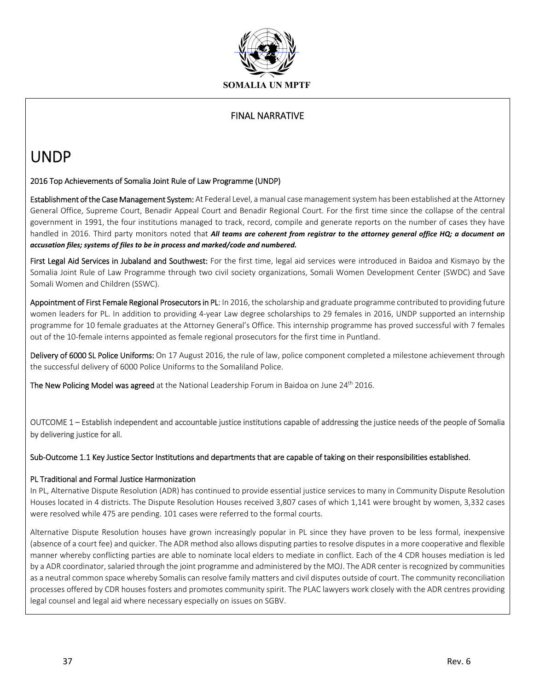

### FINAL NARRATIVE

## UNDP

### 2016 Top Achievements of Somalia Joint Rule of Law Programme (UNDP)

**Establishment of the Case Management System:** At Federal Level, a manual case management system has been established at the Attorney General Office, Supreme Court, Benadir Appeal Court and Benadir Regional Court. For the first time since the collapse of the central government in 1991, the four institutions managed to track, record, compile and generate reports on the number of cases they have handled in 2016. Third party monitors noted that *All teams are coherent from registrar to the attorney general office HQ; a document on accusation files; systems of files to be in process and marked/code and numbered.*

First Legal Aid Services in Jubaland and Southwest: For the first time, legal aid services were introduced in Baidoa and Kismayo by the Somalia Joint Rule of Law Programme through two civil society organizations, Somali Women Development Center (SWDC) and Save Somali Women and Children (SSWC).

Appointment of First Female Regional Prosecutors in PL: In 2016, the scholarship and graduate programme contributed to providing future women leaders for PL. In addition to providing 4‐year Law degree scholarships to 29 females in 2016, UNDP supported an internship programme for 10 female graduates at the Attorney General's Office. This internship programme has proved successful with 7 females out of the 10‐female interns appointed as female regional prosecutors for the first time in Puntland.

Delivery of 6000 SL Police Uniforms: On 17 August 2016, the rule of law, police component completed a milestone achievement through the successful delivery of 6000 Police Uniforms to the Somaliland Police.

The New Policing Model was agreed at the National Leadership Forum in Baidoa on June 24<sup>th</sup> 2016.

OUTCOME 1 – Establish independent and accountable justice institutions capable of addressing the justice needs of the people of Somalia by delivering justice for all.

Sub‐Outcome 1.1 Key Justice Sector Institutions and departments that are capable of taking on their responsibilities established.

### PL Traditional and Formal Justice Harmonization

In PL, Alternative Dispute Resolution (ADR) has continued to provide essential justice services to many in Community Dispute Resolution Houses located in 4 districts. The Dispute Resolution Houses received 3,807 cases of which 1,141 were brought by women, 3,332 cases were resolved while 475 are pending. 101 cases were referred to the formal courts.

Alternative Dispute Resolution houses have grown increasingly popular in PL since they have proven to be less formal, inexpensive (absence of a court fee) and quicker. The ADR method also allows disputing parties to resolve disputes in a more cooperative and flexible manner whereby conflicting parties are able to nominate local elders to mediate in conflict. Each of the 4 CDR houses mediation is led by a ADR coordinator, salaried through the joint programme and administered by the MOJ. The ADR center is recognized by communities as a neutral common space whereby Somalis can resolve family matters and civil disputes outside of court. The community reconciliation processes offered by CDR houses fosters and promotes community spirit. The PLAC lawyers work closely with the ADR centres providing legal counsel and legal aid where necessary especially on issues on SGBV.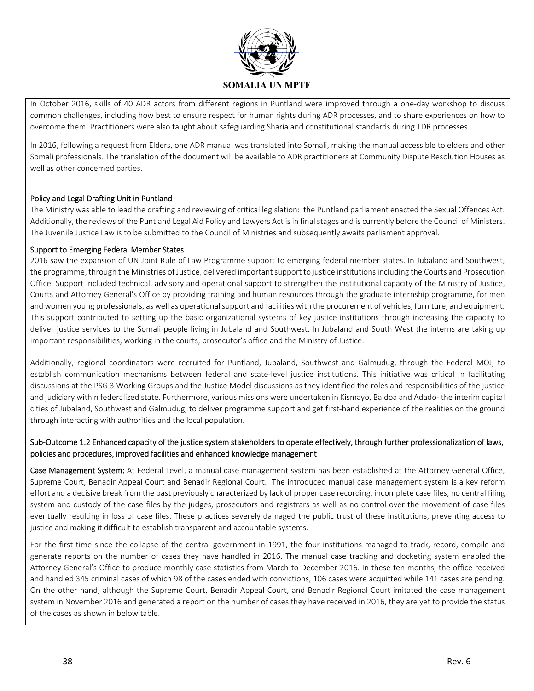

In October 2016, skills of 40 ADR actors from different regions in Puntland were improved through a one-day workshop to discuss common challenges, including how best to ensure respect for human rights during ADR processes, and to share experiences on how to overcome them. Practitioners were also taught about safeguarding Sharia and constitutional standards during TDR processes.

In 2016, following a request from Elders, one ADR manual was translated into Somali, making the manual accessible to elders and other Somali professionals. The translation of the document will be available to ADR practitioners at Community Dispute Resolution Houses as well as other concerned parties.

### Policy and Legal Drafting Unit in Puntland

The Ministry was able to lead the drafting and reviewing of critical legislation: the Puntland parliament enacted the Sexual Offences Act. Additionally, the reviews of the Puntland Legal Aid Policy and Lawyers Act is in final stages and is currently before the Council of Ministers. The Juvenile Justice Law is to be submitted to the Council of Ministries and subsequently awaits parliament approval.

### Support to Emerging Federal Member States

2016 saw the expansion of UN Joint Rule of Law Programme support to emerging federal member states. In Jubaland and Southwest, the programme, through the Ministries of Justice, delivered important support to justice institutions including the Courts and Prosecution Office. Support included technical, advisory and operational support to strengthen the institutional capacity of the Ministry of Justice, Courts and Attorney General's Office by providing training and human resources through the graduate internship programme, for men and women young professionals, as well as operational support and facilities with the procurement of vehicles, furniture, and equipment. This support contributed to setting up the basic organizational systems of key justice institutions through increasing the capacity to deliver justice services to the Somali people living in Jubaland and Southwest. In Jubaland and South West the interns are taking up important responsibilities, working in the courts, prosecutor's office and the Ministry of Justice.

Additionally, regional coordinators were recruited for Puntland, Jubaland, Southwest and Galmudug, through the Federal MOJ, to establish communication mechanisms between federal and state-level justice institutions. This initiative was critical in facilitating discussions at the PSG 3 Working Groups and the Justice Model discussions as they identified the roles and responsibilities of the justice and judiciary within federalized state. Furthermore, various missions were undertaken in Kismayo, Baidoa and Adado‐ the interim capital cities of Jubaland, Southwest and Galmudug, to deliver programme support and get first‐hand experience of the realities on the ground through interacting with authorities and the local population.

### Sub‐Outcome 1.2 Enhanced capacity of the justice system stakeholders to operate effectively, through further professionalization of laws, policies and procedures, improved facilities and enhanced knowledge management

Case Management System: At Federal Level, a manual case management system has been established at the Attorney General Office, Supreme Court, Benadir Appeal Court and Benadir Regional Court. The introduced manual case management system is a key reform effort and a decisive break from the past previously characterized by lack of proper case recording, incomplete case files, no central filing system and custody of the case files by the judges, prosecutors and registrars as well as no control over the movement of case files eventually resulting in loss of case files. These practices severely damaged the public trust of these institutions, preventing access to justice and making it difficult to establish transparent and accountable systems.

For the first time since the collapse of the central government in 1991, the four institutions managed to track, record, compile and generate reports on the number of cases they have handled in 2016. The manual case tracking and docketing system enabled the Attorney General's Office to produce monthly case statistics from March to December 2016. In these ten months, the office received and handled 345 criminal cases of which 98 of the cases ended with convictions, 106 cases were acquitted while 141 cases are pending. On the other hand, although the Supreme Court, Benadir Appeal Court, and Benadir Regional Court imitated the case management system in November 2016 and generated a report on the number of cases they have received in 2016, they are yet to provide the status of the cases as shown in below table.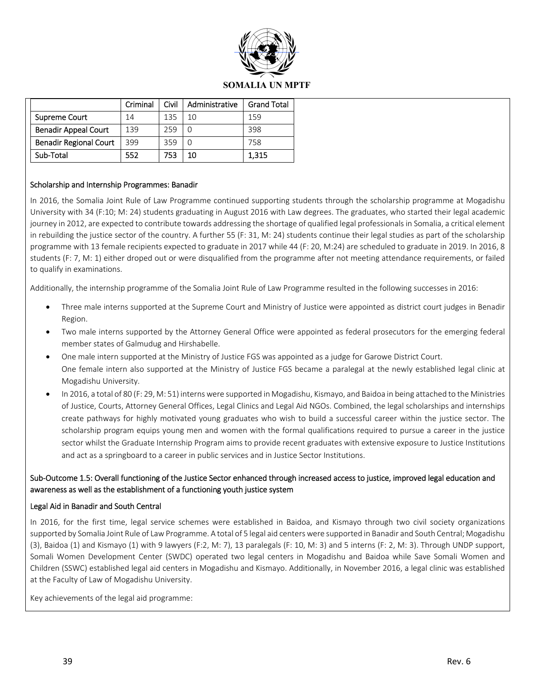

### **SOMALIA UN MPTF**

|                               | Criminal | Civil | Administrative | <b>Grand Total</b> |
|-------------------------------|----------|-------|----------------|--------------------|
| Supreme Court                 | 14       | 135   | 10             | 159                |
| <b>Benadir Appeal Court</b>   | 139      | 259   |                | 398                |
| <b>Benadir Regional Court</b> | 399      | 359   |                | 758                |
| Sub-Total                     | 552      | 753   | 10             | 1,315              |

### Scholarship and Internship Programmes: Banadir

In 2016, the Somalia Joint Rule of Law Programme continued supporting students through the scholarship programme at Mogadishu University with 34 (F:10; M: 24) students graduating in August 2016 with Law degrees. The graduates, who started their legal academic journey in 2012, are expected to contribute towards addressing the shortage of qualified legal professionals in Somalia, a critical element in rebuilding the justice sector of the country. A further 55 (F: 31, M: 24) students continue their legal studies as part of the scholarship programme with 13 female recipients expected to graduate in 2017 while 44 (F: 20, M:24) are scheduled to graduate in 2019. In 2016, 8 students (F: 7, M: 1) either droped out or were disqualified from the programme after not meeting attendance requirements, or failed to qualify in examinations.

Additionally, the internship programme of the Somalia Joint Rule of Law Programme resulted in the following successes in 2016:

- Three male interns supported at the Supreme Court and Ministry of Justice were appointed as district court judges in Benadir Region.
- Two male interns supported by the Attorney General Office were appointed as federal prosecutors for the emerging federal member states of Galmudug and Hirshabelle.
- One male intern supported at the Ministry of Justice FGS was appointed as a judge for Garowe District Court. One female intern also supported at the Ministry of Justice FGS became a paralegal at the newly established legal clinic at Mogadishu University.
- In 2016, a total of 80 (F: 29, M: 51) interns were supported in Mogadishu, Kismayo, and Baidoa in being attached to the Ministries of Justice, Courts, Attorney General Offices, Legal Clinics and Legal Aid NGOs. Combined, the legal scholarships and internships create pathways for highly motivated young graduates who wish to build a successful career within the justice sector. The scholarship program equips young men and women with the formal qualifications required to pursue a career in the justice sector whilst the Graduate Internship Program aims to provide recent graduates with extensive exposure to Justice Institutions and act as a springboard to a career in public services and in Justice Sector Institutions.

### Sub‐Outcome 1.5: Overall functioning of the Justice Sector enhanced through increased access to justice, improved legal education and awareness as well as the establishment of a functioning youth justice system

### Legal Aid in Banadir and South Central

In 2016, for the first time, legal service schemes were established in Baidoa, and Kismayo through two civil society organizations supported by Somalia Joint Rule of Law Programme. A total of 5 legal aid centers were supported in Banadir and South Central; Mogadishu (3), Baidoa (1) and Kismayo (1) with 9 lawyers (F:2, M: 7), 13 paralegals (F: 10, M: 3) and 5 interns (F: 2, M: 3). Through UNDP support, Somali Women Development Center (SWDC) operated two legal centers in Mogadishu and Baidoa while Save Somali Women and Children (SSWC) established legal aid centers in Mogadishu and Kismayo. Additionally, in November 2016, a legal clinic was established at the Faculty of Law of Mogadishu University.

Key achievements of the legal aid programme: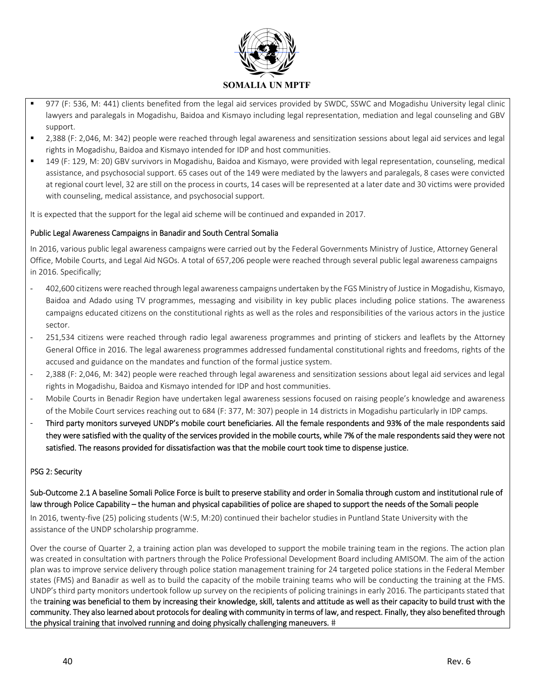

- 977 (F: 536, M: 441) clients benefited from the legal aid services provided by SWDC, SSWC and Mogadishu University legal clinic lawyers and paralegals in Mogadishu, Baidoa and Kismayo including legal representation, mediation and legal counseling and GBV support.
- 2,388 (F: 2,046, M: 342) people were reached through legal awareness and sensitization sessions about legal aid services and legal rights in Mogadishu, Baidoa and Kismayo intended for IDP and host communities.
- 149 (F: 129, M: 20) GBV survivors in Mogadishu, Baidoa and Kismayo, were provided with legal representation, counseling, medical assistance, and psychosocial support. 65 cases out of the 149 were mediated by the lawyers and paralegals, 8 cases were convicted at regional court level, 32 are still on the process in courts, 14 cases will be represented at a later date and 30 victims were provided with counseling, medical assistance, and psychosocial support.

It is expected that the support for the legal aid scheme will be continued and expanded in 2017.

### Public Legal Awareness Campaigns in Banadir and South Central Somalia

In 2016, various public legal awareness campaigns were carried out by the Federal Governments Ministry of Justice, Attorney General Office, Mobile Courts, and Legal Aid NGOs. A total of 657,206 people were reached through several public legal awareness campaigns in 2016. Specifically;

- ‐ 402,600 citizens were reached through legal awareness campaigns undertaken by the FGS Ministry of Justice in Mogadishu, Kismayo, Baidoa and Adado using TV programmes, messaging and visibility in key public places including police stations. The awareness campaigns educated citizens on the constitutional rights as well as the roles and responsibilities of the various actors in the justice sector.
- ‐ 251,534 citizens were reached through radio legal awareness programmes and printing of stickers and leaflets by the Attorney General Office in 2016. The legal awareness programmes addressed fundamental constitutional rights and freedoms, rights of the accused and guidance on the mandates and function of the formal justice system.
- ‐ 2,388 (F: 2,046, M: 342) people were reached through legal awareness and sensitization sessions about legal aid services and legal rights in Mogadishu, Baidoa and Kismayo intended for IDP and host communities.
- ‐ Mobile Courts in Benadir Region have undertaken legal awareness sessions focused on raising people's knowledge and awareness of the Mobile Court services reaching out to 684 (F: 377, M: 307) people in 14 districts in Mogadishu particularly in IDP camps.
- ‐ Third party monitors surveyed UNDP's mobile court beneficiaries. All the female respondents and 93% of the male respondents said they were satisfied with the quality of the services provided in the mobile courts, while 7% of the male respondents said they were not satisfied. The reasons provided for dissatisfaction was that the mobile court took time to dispense justice.

### PSG 2: Security

### Sub‐Outcome 2.1 A baseline Somali Police Force is built to preserve stability and order in Somalia through custom and institutional rule of law through Police Capability – the human and physical capabilities of police are shaped to support the needs of the Somali people

In 2016, twenty-five (25) policing students (W:5, M:20) continued their bachelor studies in Puntland State University with the assistance of the UNDP scholarship programme.

Over the course of Quarter 2, a training action plan was developed to support the mobile training team in the regions. The action plan was created in consultation with partners through the Police Professional Development Board including AMISOM. The aim of the action plan was to improve service delivery through police station management training for 24 targeted police stations in the Federal Member states (FMS) and Banadir as well as to build the capacity of the mobile training teams who will be conducting the training at the FMS. UNDP's third party monitors undertook follow up survey on the recipients of policing trainings in early 2016. The participants stated that the training was beneficial to them by increasing their knowledge, skill, talents and attitude as well as their capacity to build trust with the community. They also learned about protocols for dealing with community in terms of law, and respect. Finally, they also benefited through the physical training that involved running and doing physically challenging maneuvers. #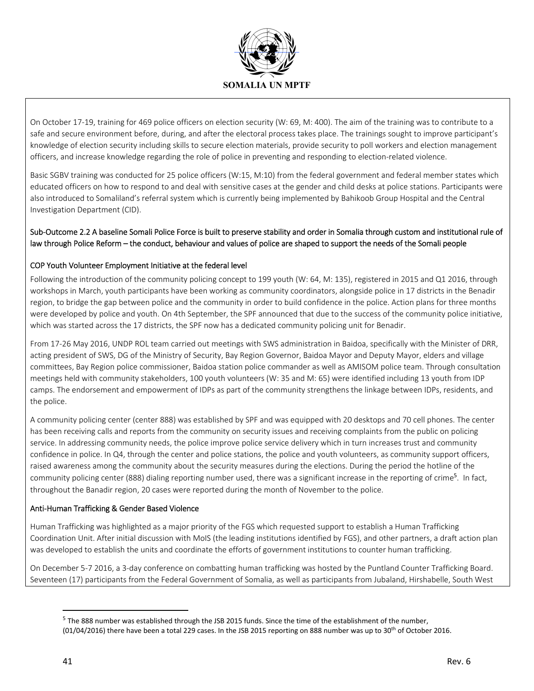

On October 17‐19, training for 469 police officers on election security (W: 69, M: 400). The aim of the training was to contribute to a safe and secure environment before, during, and after the electoral process takes place. The trainings sought to improve participant's knowledge of election security including skills to secure election materials, provide security to poll workers and election management officers, and increase knowledge regarding the role of police in preventing and responding to election-related violence.

Basic SGBV training was conducted for 25 police officers (W:15, M:10) from the federal government and federal member states which educated officers on how to respond to and deal with sensitive cases at the gender and child desks at police stations. Participants were also introduced to Somaliland's referral system which is currently being implemented by Bahikoob Group Hospital and the Central Investigation Department (CID).

### Sub‐Outcome 2.2 A baseline Somali Police Force is built to preserve stability and order in Somalia through custom and institutional rule of law through Police Reform – the conduct, behaviour and values of police are shaped to support the needs of the Somali people

### COP Youth Volunteer Employment Initiative at the federal level

Following the introduction of the community policing concept to 199 youth (W: 64, M: 135), registered in 2015 and Q1 2016, through workshops in March, youth participants have been working as community coordinators, alongside police in 17 districts in the Benadir region, to bridge the gap between police and the community in order to build confidence in the police. Action plans for three months were developed by police and youth. On 4th September, the SPF announced that due to the success of the community police initiative, which was started across the 17 districts, the SPF now has a dedicated community policing unit for Benadir.

From 17‐26 May 2016, UNDP ROL team carried out meetings with SWS administration in Baidoa, specifically with the Minister of DRR, acting president of SWS, DG of the Ministry of Security, Bay Region Governor, Baidoa Mayor and Deputy Mayor, elders and village committees, Bay Region police commissioner, Baidoa station police commander as well as AMISOM police team. Through consultation meetings held with community stakeholders, 100 youth volunteers (W: 35 and M: 65) were identified including 13 youth from IDP camps. The endorsement and empowerment of IDPs as part of the community strengthens the linkage between IDPs, residents, and the police.

A community policing center (center 888) was established by SPF and was equipped with 20 desktops and 70 cell phones. The center has been receiving calls and reports from the community on security issues and receiving complaints from the public on policing service. In addressing community needs, the police improve police service delivery which in turn increases trust and community confidence in police. In Q4, through the center and police stations, the police and youth volunteers, as community support officers, raised awareness among the community about the security measures during the elections. During the period the hotline of the community policing center (888) dialing reporting number used, there was a significant increase in the reporting of crime<sup>5</sup>. In fact, throughout the Banadir region, 20 cases were reported during the month of November to the police.

### Anti‐Human Trafficking & Gender Based Violence

Human Trafficking was highlighted as a major priority of the FGS which requested support to establish a Human Trafficking Coordination Unit. After initial discussion with MoIS (the leading institutions identified by FGS), and other partners, a draft action plan was developed to establish the units and coordinate the efforts of government institutions to counter human trafficking.

On December 5‐7 2016, a 3‐day conference on combatting human trafficking was hosted by the Puntland Counter Trafficking Board. Seventeen (17) participants from the Federal Government of Somalia, as well as participants from Jubaland, Hirshabelle, South West

<sup>5</sup> The 888 number was established through the JSB 2015 funds. Since the time of the establishment of the number,  $(01/04/2016)$  there have been a total 229 cases. In the JSB 2015 reporting on 888 number was up to 30<sup>th</sup> of October 2016.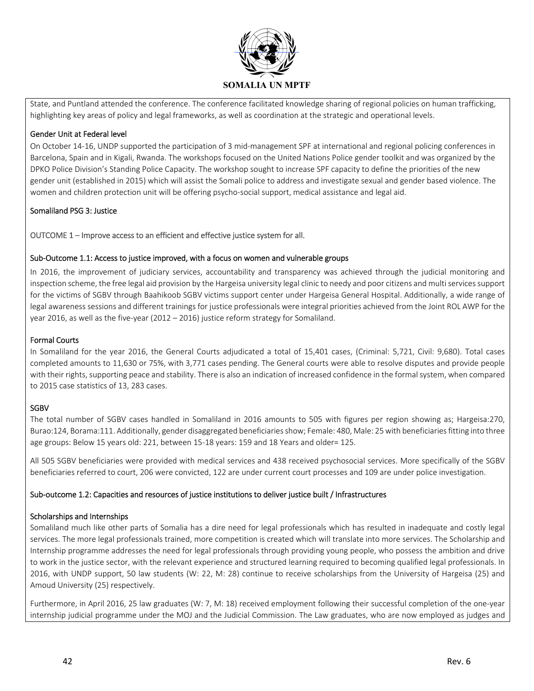

State, and Puntland attended the conference. The conference facilitated knowledge sharing of regional policies on human trafficking, highlighting key areas of policy and legal frameworks, as well as coordination at the strategic and operational levels.

### Gender Unit at Federal level

On October 14‐16, UNDP supported the participation of 3 mid‐management SPF at international and regional policing conferences in Barcelona, Spain and in Kigali, Rwanda. The workshops focused on the United Nations Police gender toolkit and was organized by the DPKO Police Division's Standing Police Capacity. The workshop sought to increase SPF capacity to define the priorities of the new gender unit (established in 2015) which will assist the Somali police to address and investigate sexual and gender based violence. The women and children protection unit will be offering psycho-social support, medical assistance and legal aid.

### Somaliland PSG 3: Justice

### OUTCOME 1 – Improve access to an efficient and effective justice system for all.

### Sub‐Outcome 1.1: Access to justice improved, with a focus on women and vulnerable groups

In 2016, the improvement of judiciary services, accountability and transparency was achieved through the judicial monitoring and inspection scheme, the free legal aid provision by the Hargeisa university legal clinic to needy and poor citizens and multi services support for the victims of SGBV through Baahikoob SGBV victims support center under Hargeisa General Hospital. Additionally, a wide range of legal awareness sessions and different trainings for justice professionals were integral priorities achieved from the Joint ROL AWP for the year 2016, as well as the five‐year (2012 – 2016) justice reform strategy for Somaliland.

### Formal Courts

In Somaliland for the year 2016, the General Courts adjudicated a total of 15,401 cases, (Criminal: 5,721, Civil: 9,680). Total cases completed amounts to 11,630 or 75%, with 3,771 cases pending. The General courts were able to resolve disputes and provide people with their rights, supporting peace and stability. There is also an indication of increased confidence in the formal system, when compared to 2015 case statistics of 13, 283 cases.

### SGBV

The total number of SGBV cases handled in Somaliland in 2016 amounts to 505 with figures per region showing as; Hargeisa:270, Burao:124, Borama:111. Additionally, gender disaggregated beneficiaries show; Female: 480, Male: 25 with beneficiaries fitting into three age groups: Below 15 years old: 221, between 15‐18 years: 159 and 18 Years and older= 125.

All 505 SGBV beneficiaries were provided with medical services and 438 received psychosocial services. More specifically of the SGBV beneficiaries referred to court, 206 were convicted, 122 are under current court processes and 109 are under police investigation.

### Sub‐outcome 1.2: Capacities and resources of justice institutions to deliver justice built / Infrastructures

### Scholarships and Internships

Somaliland much like other parts of Somalia has a dire need for legal professionals which has resulted in inadequate and costly legal services. The more legal professionals trained, more competition is created which will translate into more services. The Scholarship and Internship programme addresses the need for legal professionals through providing young people, who possess the ambition and drive to work in the justice sector, with the relevant experience and structured learning required to becoming qualified legal professionals. In 2016, with UNDP support, 50 law students (W: 22, M: 28) continue to receive scholarships from the University of Hargeisa (25) and Amoud University (25) respectively.

Furthermore, in April 2016, 25 law graduates (W: 7, M: 18) received employment following their successful completion of the one‐year internship judicial programme under the MOJ and the Judicial Commission. The Law graduates, who are now employed as judges and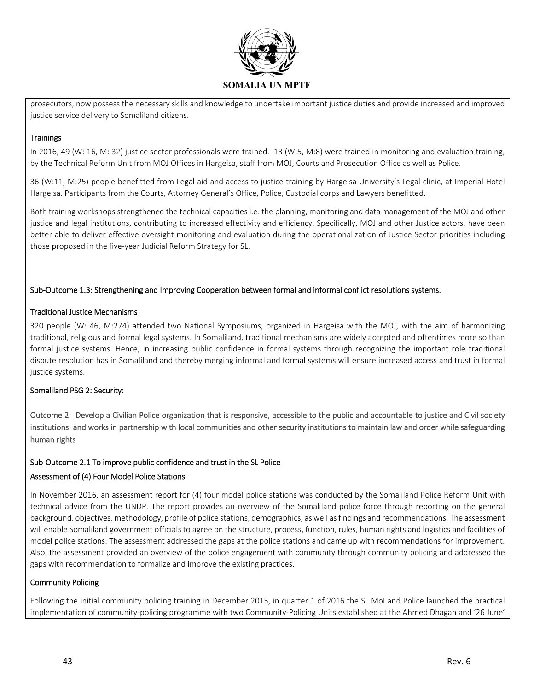

prosecutors, now possess the necessary skills and knowledge to undertake important justice duties and provide increased and improved justice service delivery to Somaliland citizens.

### **Trainings**

In 2016, 49 (W: 16, M: 32) justice sector professionals were trained. 13 (W:5, M:8) were trained in monitoring and evaluation training, by the Technical Reform Unit from MOJ Offices in Hargeisa, staff from MOJ, Courts and Prosecution Office as well as Police.

36 (W:11, M:25) people benefitted from Legal aid and access to justice training by Hargeisa University's Legal clinic, at Imperial Hotel Hargeisa. Participants from the Courts, Attorney General's Office, Police, Custodial corps and Lawyers benefitted.

Both training workshops strengthened the technical capacities i.e. the planning, monitoring and data management of the MOJ and other justice and legal institutions, contributing to increased effectivity and efficiency. Specifically, MOJ and other Justice actors, have been better able to deliver effective oversight monitoring and evaluation during the operationalization of Justice Sector priorities including those proposed in the five‐year Judicial Reform Strategy for SL.

### Sub‐Outcome 1.3: Strengthening and Improving Cooperation between formal and informal conflict resolutions systems.

### Traditional Justice Mechanisms

320 people (W: 46, M:274) attended two National Symposiums, organized in Hargeisa with the MOJ, with the aim of harmonizing traditional, religious and formal legal systems. In Somaliland, traditional mechanisms are widely accepted and oftentimes more so than formal justice systems. Hence, in increasing public confidence in formal systems through recognizing the important role traditional dispute resolution has in Somaliland and thereby merging informal and formal systems will ensure increased access and trust in formal justice systems.

### Somaliland PSG 2: Security:

Outcome 2: Develop a Civilian Police organization that is responsive, accessible to the public and accountable to justice and Civil society institutions: and works in partnership with local communities and other security institutions to maintain law and order while safeguarding human rights

### Sub‐Outcome 2.1 To improve public confidence and trust in the SL Police

### Assessment of (4) Four Model Police Stations

In November 2016, an assessment report for (4) four model police stations was conducted by the Somaliland Police Reform Unit with technical advice from the UNDP. The report provides an overview of the Somaliland police force through reporting on the general background, objectives, methodology, profile of police stations, demographics, as well as findings and recommendations. The assessment will enable Somaliland government officials to agree on the structure, process, function, rules, human rights and logistics and facilities of model police stations. The assessment addressed the gaps at the police stations and came up with recommendations for improvement. Also, the assessment provided an overview of the police engagement with community through community policing and addressed the gaps with recommendation to formalize and improve the existing practices.

### Community Policing

Following the initial community policing training in December 2015, in quarter 1 of 2016 the SL MoI and Police launched the practical implementation of community‐policing programme with two Community‐Policing Units established at the Ahmed Dhagah and '26 June'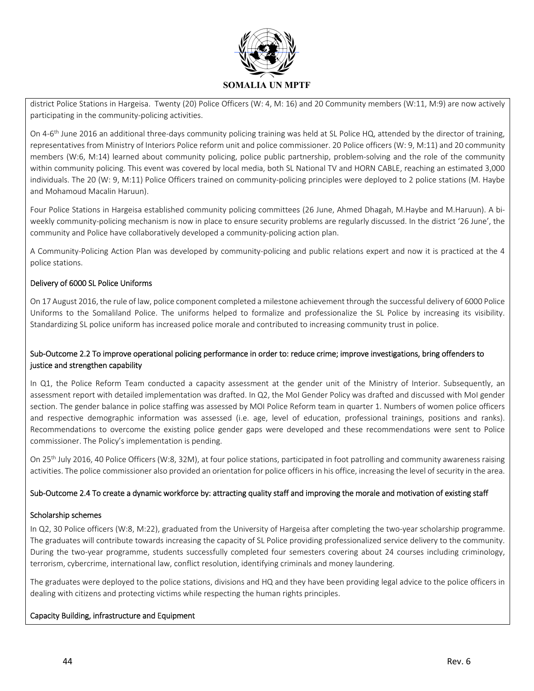

district Police Stations in Hargeisa. Twenty (20) Police Officers (W: 4, M: 16) and 20 Community members (W:11, M:9) are now actively participating in the community‐policing activities.

On 4-6<sup>th</sup> June 2016 an additional three-days community policing training was held at SL Police HQ, attended by the director of training, representatives from Ministry of Interiors Police reform unit and police commissioner. 20 Police officers (W: 9, M:11) and 20 community members (W:6, M:14) learned about community policing, police public partnership, problem‐solving and the role of the community within community policing. This event was covered by local media, both SL National TV and HORN CABLE, reaching an estimated 3,000 individuals. The 20 (W: 9, M:11) Police Officers trained on community‐policing principles were deployed to 2 police stations (M. Haybe and Mohamoud Macalin Haruun).

Four Police Stations in Hargeisa established community policing committees (26 June, Ahmed Dhagah, M.Haybe and M.Haruun). A bi‐ weekly community‐policing mechanism is now in place to ensure security problems are regularly discussed. In the district '26 June', the community and Police have collaboratively developed a community-policing action plan.

A Community‐Policing Action Plan was developed by community‐policing and public relations expert and now it is practiced at the 4 police stations.

### Delivery of 6000 SL Police Uniforms

On 17 August 2016, the rule of law, police component completed a milestone achievement through the successful delivery of 6000 Police Uniforms to the Somaliland Police. The uniforms helped to formalize and professionalize the SL Police by increasing its visibility. Standardizing SL police uniform has increased police morale and contributed to increasing community trust in police.

### Sub‐Outcome 2.2 To improve operational policing performance in order to: reduce crime; improve investigations, bring offenders to justice and strengthen capability

In Q1, the Police Reform Team conducted a capacity assessment at the gender unit of the Ministry of Interior. Subsequently, an assessment report with detailed implementation was drafted. In Q2, the MoI Gender Policy was drafted and discussed with MoI gender section. The gender balance in police staffing was assessed by MOI Police Reform team in quarter 1. Numbers of women police officers and respective demographic information was assessed (i.e. age, level of education, professional trainings, positions and ranks). Recommendations to overcome the existing police gender gaps were developed and these recommendations were sent to Police commissioner. The Policy's implementation is pending.

On 25<sup>th</sup> July 2016, 40 Police Officers (W:8, 32M), at four police stations, participated in foot patrolling and community awareness raising activities. The police commissioner also provided an orientation for police officers in his office, increasing the level of security in the area.

### Sub‐Outcome 2.4 To create a dynamic workforce by: attracting quality staff and improving the morale and motivation of existing staff

### Scholarship schemes

In Q2, 30 Police officers (W:8, M:22), graduated from the University of Hargeisa after completing the two-year scholarship programme. The graduates will contribute towards increasing the capacity of SL Police providing professionalized service delivery to the community. During the two-year programme, students successfully completed four semesters covering about 24 courses including criminology, terrorism, cybercrime, international law, conflict resolution, identifying criminals and money laundering.

The graduates were deployed to the police stations, divisions and HQ and they have been providing legal advice to the police officers in dealing with citizens and protecting victims while respecting the human rights principles.

### Capacity Building, infrastructure and Equipment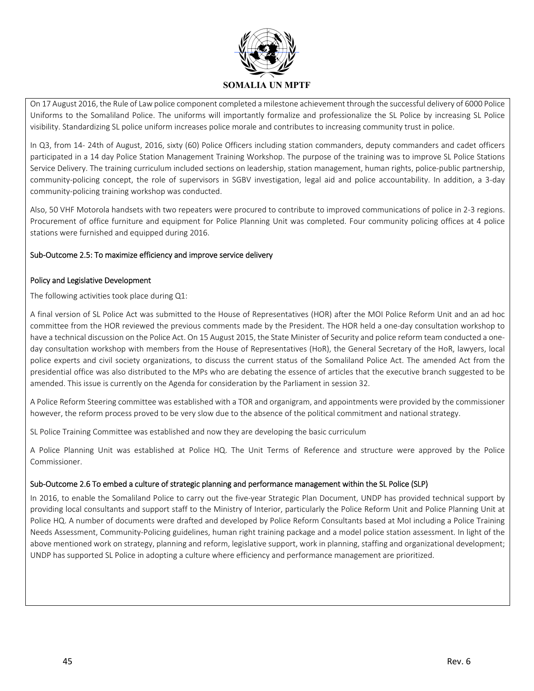

On 17 August 2016, the Rule of Law police component completed a milestone achievement through the successful delivery of 6000 Police Uniforms to the Somaliland Police. The uniforms will importantly formalize and professionalize the SL Police by increasing SL Police visibility. Standardizing SL police uniform increases police morale and contributes to increasing community trust in police.

In Q3, from 14‐ 24th of August, 2016, sixty (60) Police Officers including station commanders, deputy commanders and cadet officers participated in a 14 day Police Station Management Training Workshop. The purpose of the training was to improve SL Police Stations Service Delivery. The training curriculum included sections on leadership, station management, human rights, police-public partnership, community‐policing concept, the role of supervisors in SGBV investigation, legal aid and police accountability. In addition, a 3‐day community‐policing training workshop was conducted.

Also, 50 VHF Motorola handsets with two repeaters were procured to contribute to improved communications of police in 2‐3 regions. Procurement of office furniture and equipment for Police Planning Unit was completed. Four community policing offices at 4 police stations were furnished and equipped during 2016.

### Sub‐Outcome 2.5: To maximize efficiency and improve service delivery

### Policy and Legislative Development

The following activities took place during Q1:

A final version of SL Police Act was submitted to the House of Representatives (HOR) after the MOI Police Reform Unit and an ad hoc committee from the HOR reviewed the previous comments made by the President. The HOR held a one‐day consultation workshop to have a technical discussion on the Police Act. On 15 August 2015, the State Minister of Security and police reform team conducted a oneday consultation workshop with members from the House of Representatives (HoR), the General Secretary of the HoR, lawyers, local police experts and civil society organizations, to discuss the current status of the Somaliland Police Act. The amended Act from the presidential office was also distributed to the MPs who are debating the essence of articles that the executive branch suggested to be amended. This issue is currently on the Agenda for consideration by the Parliament in session 32.

A Police Reform Steering committee was established with a TOR and organigram, and appointments were provided by the commissioner however, the reform process proved to be very slow due to the absence of the political commitment and national strategy.

SL Police Training Committee was established and now they are developing the basic curriculum

A Police Planning Unit was established at Police HQ. The Unit Terms of Reference and structure were approved by the Police Commissioner.

### Sub‐Outcome 2.6 To embed a culture of strategic planning and performance management within the SL Police (SLP)

In 2016, to enable the Somaliland Police to carry out the five-year Strategic Plan Document, UNDP has provided technical support by providing local consultants and support staff to the Ministry of Interior, particularly the Police Reform Unit and Police Planning Unit at Police HQ. A number of documents were drafted and developed by Police Reform Consultants based at MoI including a Police Training Needs Assessment, Community‐Policing guidelines, human right training package and a model police station assessment. In light of the above mentioned work on strategy, planning and reform, legislative support, work in planning, staffing and organizational development; UNDP has supported SL Police in adopting a culture where efficiency and performance management are prioritized.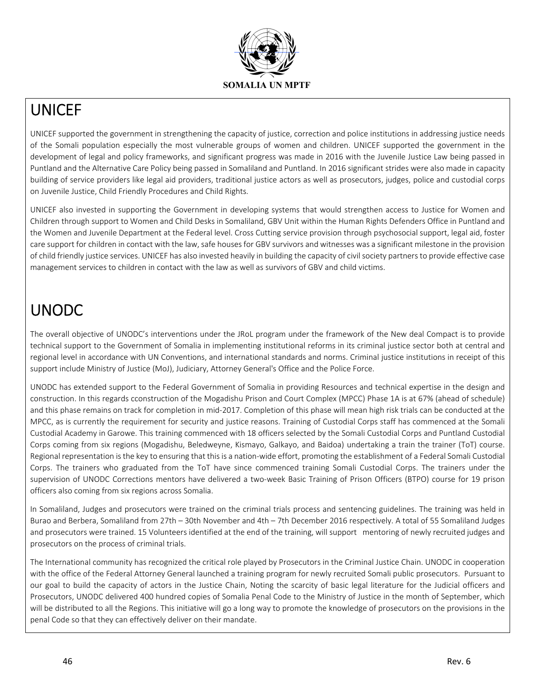

## UNICEF

UNICEF supported the government in strengthening the capacity of justice, correction and police institutions in addressing justice needs of the Somali population especially the most vulnerable groups of women and children. UNICEF supported the government in the development of legal and policy frameworks, and significant progress was made in 2016 with the Juvenile Justice Law being passed in Puntland and the Alternative Care Policy being passed in Somaliland and Puntland. In 2016 significant strides were also made in capacity building of service providers like legal aid providers, traditional justice actors as well as prosecutors, judges, police and custodial corps on Juvenile Justice, Child Friendly Procedures and Child Rights.

UNICEF also invested in supporting the Government in developing systems that would strengthen access to Justice for Women and Children through support to Women and Child Desks in Somaliland, GBV Unit within the Human Rights Defenders Office in Puntland and the Women and Juvenile Department at the Federal level. Cross Cutting service provision through psychosocial support, legal aid, foster care support for children in contact with the law, safe houses for GBV survivors and witnesses was a significant milestone in the provision of child friendly justice services. UNICEF has also invested heavily in building the capacity of civil society partners to provide effective case management services to children in contact with the law as well as survivors of GBV and child victims.

# UNODC

The overall objective of UNODC's interventions under the JRoL program under the framework of the New deal Compact is to provide technical support to the Government of Somalia in implementing institutional reforms in its criminal justice sector both at central and regional level in accordance with UN Conventions, and international standards and norms. Criminal justice institutions in receipt of this support include Ministry of Justice (MoJ), Judiciary, Attorney General's Office and the Police Force.

UNODC has extended support to the Federal Government of Somalia in providing Resources and technical expertise in the design and construction. In this regards cconstruction of the Mogadishu Prison and Court Complex (MPCC) Phase 1A is at 67% (ahead of schedule) and this phase remains on track for completion in mid‐2017. Completion of this phase will mean high risk trials can be conducted at the MPCC, as is currently the requirement for security and justice reasons. Training of Custodial Corps staff has commenced at the Somali Custodial Academy in Garowe. This training commenced with 18 officers selected by the Somali Custodial Corps and Puntland Custodial Corps coming from six regions (Mogadishu, Beledweyne, Kismayo, Galkayo, and Baidoa) undertaking a train the trainer (ToT) course. Regional representation is the key to ensuring that this is a nation-wide effort, promoting the establishment of a Federal Somali Custodial Corps. The trainers who graduated from the ToT have since commenced training Somali Custodial Corps. The trainers under the supervision of UNODC Corrections mentors have delivered a two-week Basic Training of Prison Officers (BTPO) course for 19 prison officers also coming from six regions across Somalia.

In Somaliland, Judges and prosecutors were trained on the criminal trials process and sentencing guidelines. The training was held in Burao and Berbera, Somaliland from 27th – 30th November and 4th – 7th December 2016 respectively. A total of 55 Somaliland Judges and prosecutors were trained. 15 Volunteers identified at the end of the training, will support mentoring of newly recruited judges and prosecutors on the process of criminal trials.

The International community has recognized the critical role played by Prosecutors in the Criminal Justice Chain. UNODC in cooperation with the office of the Federal Attorney General launched a training program for newly recruited Somali public prosecutors. Pursuant to our goal to build the capacity of actors in the Justice Chain, Noting the scarcity of basic legal literature for the Judicial officers and Prosecutors, UNODC delivered 400 hundred copies of Somalia Penal Code to the Ministry of Justice in the month of September, which will be distributed to all the Regions. This initiative will go a long way to promote the knowledge of prosecutors on the provisions in the penal Code so that they can effectively deliver on their mandate.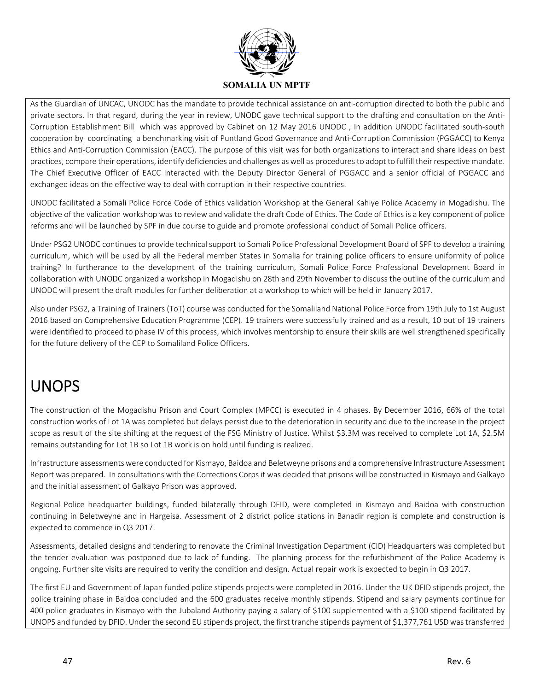

As the Guardian of UNCAC, UNODC has the mandate to provide technical assistance on anti-corruption directed to both the public and private sectors. In that regard, during the year in review, UNODC gave technical support to the drafting and consultation on the Anti-Corruption Establishment Bill which was approved by Cabinet on 12 May 2016 UNODC , In addition UNODC facilitated south‐south cooperation by coordinating a benchmarking visit of Puntland Good Governance and Anti‐Corruption Commission (PGGACC) to Kenya Ethics and Anti‐Corruption Commission (EACC). The purpose of this visit was for both organizations to interact and share ideas on best practices, compare their operations, identify deficiencies and challenges as well as procedures to adopt to fulfill their respective mandate. The Chief Executive Officer of EACC interacted with the Deputy Director General of PGGACC and a senior official of PGGACC and exchanged ideas on the effective way to deal with corruption in their respective countries.

UNODC facilitated a Somali Police Force Code of Ethics validation Workshop at the General Kahiye Police Academy in Mogadishu. The objective of the validation workshop was to review and validate the draft Code of Ethics. The Code of Ethics is a key component of police reforms and will be launched by SPF in due course to guide and promote professional conduct of Somali Police officers.

Under PSG2 UNODC continues to provide technical support to Somali Police Professional Development Board of SPF to develop a training curriculum, which will be used by all the Federal member States in Somalia for training police officers to ensure uniformity of police training? In furtherance to the development of the training curriculum, Somali Police Force Professional Development Board in collaboration with UNODC organized a workshop in Mogadishu on 28th and 29th November to discuss the outline of the curriculum and UNODC will present the draft modules for further deliberation at a workshop to which will be held in January 2017.

Also under PSG2, a Training of Trainers (ToT) course was conducted for the Somaliland National Police Force from 19th July to 1st August 2016 based on Comprehensive Education Programme (CEP). 19 trainers were successfully trained and as a result, 10 out of 19 trainers were identified to proceed to phase IV of this process, which involves mentorship to ensure their skills are well strengthened specifically for the future delivery of the CEP to Somaliland Police Officers.

# UNOPS

The construction of the Mogadishu Prison and Court Complex (MPCC) is executed in 4 phases. By December 2016, 66% of the total construction works of Lot 1A was completed but delays persist due to the deterioration in security and due to the increase in the project scope as result of the site shifting at the request of the FSG Ministry of Justice. Whilst \$3.3M was received to complete Lot 1A, \$2.5M remains outstanding for Lot 1B so Lot 1B work is on hold until funding is realized.

Infrastructure assessments were conducted for Kismayo, Baidoa and Beletweyne prisons and a comprehensive Infrastructure Assessment Report was prepared. In consultations with the Corrections Corps it was decided that prisons will be constructed in Kismayo and Galkayo and the initial assessment of Galkayo Prison was approved.

Regional Police headquarter buildings, funded bilaterally through DFID, were completed in Kismayo and Baidoa with construction continuing in Beletweyne and in Hargeisa. Assessment of 2 district police stations in Banadir region is complete and construction is expected to commence in Q3 2017.

Assessments, detailed designs and tendering to renovate the Criminal Investigation Department (CID) Headquarters was completed but the tender evaluation was postponed due to lack of funding. The planning process for the refurbishment of the Police Academy is ongoing. Further site visits are required to verify the condition and design. Actual repair work is expected to begin in Q3 2017.

The first EU and Government of Japan funded police stipends projects were completed in 2016. Under the UK DFID stipends project, the police training phase in Baidoa concluded and the 600 graduates receive monthly stipends. Stipend and salary payments continue for 400 police graduates in Kismayo with the Jubaland Authority paying a salary of \$100 supplemented with a \$100 stipend facilitated by UNOPS and funded by DFID. Under the second EU stipends project, the first tranche stipends payment of \$1,377,761 USD was transferred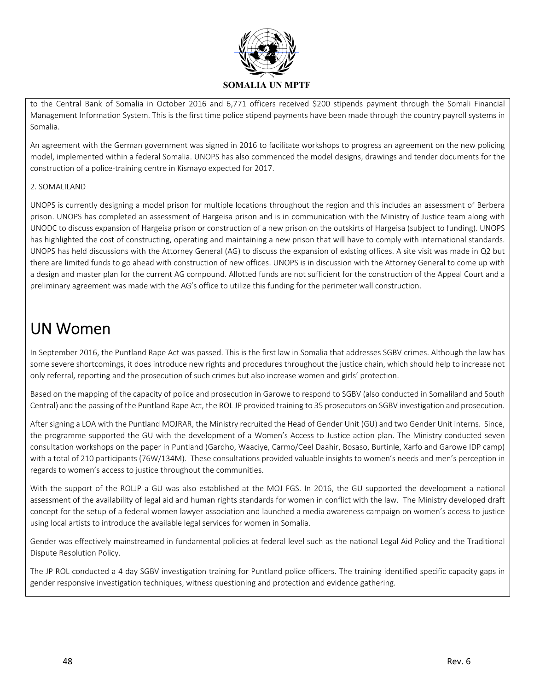

to the Central Bank of Somalia in October 2016 and 6,771 officers received \$200 stipends payment through the Somali Financial Management Information System. This is the first time police stipend payments have been made through the country payroll systems in Somalia.

An agreement with the German government was signed in 2016 to facilitate workshops to progress an agreement on the new policing model, implemented within a federal Somalia. UNOPS has also commenced the model designs, drawings and tender documents for the construction of a police‐training centre in Kismayo expected for 2017.

### 2. SOMALILAND

UNOPS is currently designing a model prison for multiple locations throughout the region and this includes an assessment of Berbera prison. UNOPS has completed an assessment of Hargeisa prison and is in communication with the Ministry of Justice team along with UNODC to discuss expansion of Hargeisa prison or construction of a new prison on the outskirts of Hargeisa (subject to funding). UNOPS has highlighted the cost of constructing, operating and maintaining a new prison that will have to comply with international standards. UNOPS has held discussions with the Attorney General (AG) to discuss the expansion of existing offices. A site visit was made in Q2 but there are limited funds to go ahead with construction of new offices. UNOPS is in discussion with the Attorney General to come up with a design and master plan for the current AG compound. Allotted funds are not sufficient for the construction of the Appeal Court and a preliminary agreement was made with the AG's office to utilize this funding for the perimeter wall construction.

## UN Women

In September 2016, the Puntland Rape Act was passed. This is the first law in Somalia that addresses SGBV crimes. Although the law has some severe shortcomings, it does introduce new rights and procedures throughout the justice chain, which should help to increase not only referral, reporting and the prosecution of such crimes but also increase women and girls' protection.

Based on the mapping of the capacity of police and prosecution in Garowe to respond to SGBV (also conducted in Somaliland and South Central) and the passing of the Puntland Rape Act, the ROL JP provided training to 35 prosecutors on SGBV investigation and prosecution.

After signing a LOA with the Puntland MOJRAR, the Ministry recruited the Head of Gender Unit (GU) and two Gender Unit interns. Since, the programme supported the GU with the development of a Women's Access to Justice action plan. The Ministry conducted seven consultation workshops on the paper in Puntland (Gardho, Waaciye, Carmo/Ceel Daahir, Bosaso, Burtinle, Xarfo and Garowe IDP camp) with a total of 210 participants (76W/134M). These consultations provided valuable insights to women's needs and men's perception in regards to women's access to justice throughout the communities.

With the support of the ROLJP a GU was also established at the MOJ FGS. In 2016, the GU supported the development a national assessment of the availability of legal aid and human rights standards for women in conflict with the law. The Ministry developed draft concept for the setup of a federal women lawyer association and launched a media awareness campaign on women's access to justice using local artists to introduce the available legal services for women in Somalia.

Gender was effectively mainstreamed in fundamental policies at federal level such as the national Legal Aid Policy and the Traditional Dispute Resolution Policy.

The JP ROL conducted a 4 day SGBV investigation training for Puntland police officers. The training identified specific capacity gaps in gender responsive investigation techniques, witness questioning and protection and evidence gathering.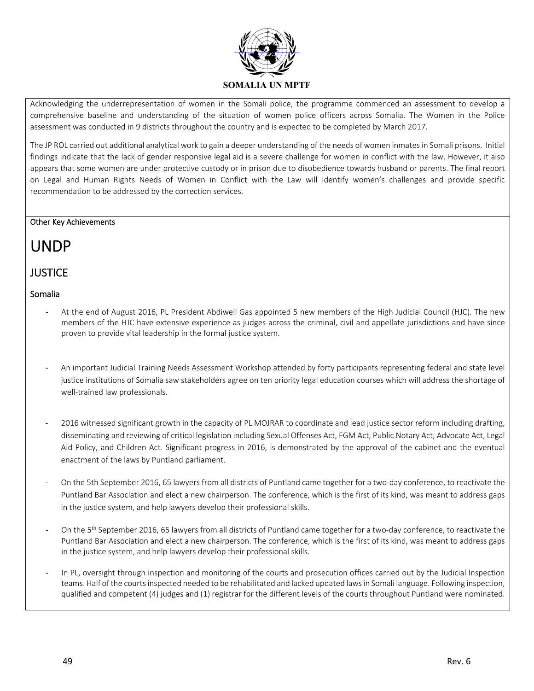

Acknowledging the underrepresentation of women in the Somali police, the programme commenced an assessment to develop a comprehensive baseline and understanding of the situation of women police officers across Somalia. The Women in the Police assessment was conducted in 9 districts throughout the country and is expected to be completed by March 2017.

The JP ROL carried out additional analytical work to gain a deeper understanding of the needs of women inmates in Somali prisons. Initial findings indicate that the lack of gender responsive legal aid is a severe challenge for women in conflict with the law. However, it also appears that some women are under protective custody or in prison due to disobedience towards husband or parents. The final report on Legal and Human Rights Needs of Women in Conflict with the Law will identify women's challenges and provide specific recommendation to be addressed by the correction services.

### Other Key Achievements

## UNDP

### **JUSTICE**

### Somalia

- ‐ At the end of August 2016, PL President Abdiweli Gas appointed 5 new members of the High Judicial Council (HJC). The new members of the HJC have extensive experience as judges across the criminal, civil and appellate jurisdictions and have since proven to provide vital leadership in the formal justice system.
- ‐ An important Judicial Training Needs Assessment Workshop attended by forty participants representing federal and state level justice institutions of Somalia saw stakeholders agree on ten priority legal education courses which will address the shortage of well-trained law professionals.
- ‐ 2016 witnessed significant growth in the capacity of PL MOJRAR to coordinate and lead justice sector reform including drafting, disseminating and reviewing of critical legislation including Sexual Offenses Act, FGM Act, Public Notary Act, Advocate Act, Legal Aid Policy, and Children Act. Significant progress in 2016, is demonstrated by the approval of the cabinet and the eventual enactment of the laws by Puntland parliament.
- ‐ On the 5th September 2016, 65 lawyers from all districts of Puntland came together for a two‐day conference, to reactivate the Puntland Bar Association and elect a new chairperson. The conference, which is the first of its kind, was meant to address gaps in the justice system, and help lawyers develop their professional skills.
- On the 5<sup>th</sup> September 2016, 65 lawyers from all districts of Puntland came together for a two-day conference, to reactivate the Puntland Bar Association and elect a new chairperson. The conference, which is the first of its kind, was meant to address gaps in the justice system, and help lawyers develop their professional skills.
- In PL, oversight through inspection and monitoring of the courts and prosecution offices carried out by the Judicial Inspection teams. Half of the courts inspected needed to be rehabilitated and lacked updated laws in Somali language. Following inspection, qualified and competent (4) judges and (1) registrar for the different levels of the courts throughout Puntland were nominated.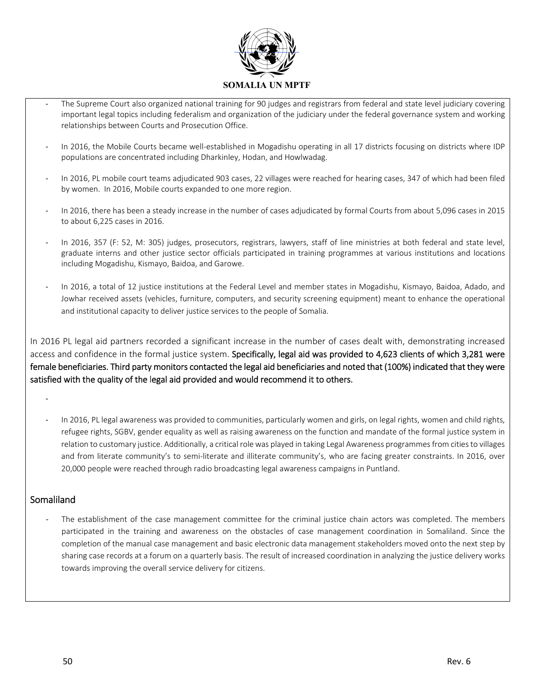

- The Supreme Court also organized national training for 90 judges and registrars from federal and state level judiciary covering important legal topics including federalism and organization of the judiciary under the federal governance system and working relationships between Courts and Prosecution Office.
- ‐ In 2016, the Mobile Courts became well‐established in Mogadishu operating in all 17 districts focusing on districts where IDP populations are concentrated including Dharkinley, Hodan, and Howlwadag.
- ‐ In 2016, PL mobile court teams adjudicated 903 cases, 22 villages were reached for hearing cases, 347 of which had been filed by women. In 2016, Mobile courts expanded to one more region.
- ‐ In 2016, there has been a steady increase in the number of cases adjudicated by formal Courts from about 5,096 cases in 2015 to about 6,225 cases in 2016.
- In 2016, 357 (F: 52, M: 305) judges, prosecutors, registrars, lawyers, staff of line ministries at both federal and state level, graduate interns and other justice sector officials participated in training programmes at various institutions and locations including Mogadishu, Kismayo, Baidoa, and Garowe.
- ‐ In 2016, a total of 12 justice institutions at the Federal Level and member states in Mogadishu, Kismayo, Baidoa, Adado, and Jowhar received assets (vehicles, furniture, computers, and security screening equipment) meant to enhance the operational and institutional capacity to deliver justice services to the people of Somalia.

In 2016 PL legal aid partners recorded a significant increase in the number of cases dealt with, demonstrating increased access and confidence in the formal justice system. Specifically, legal aid was provided to 4,623 clients of which 3,281 were female beneficiaries. Third party monitors contacted the legal aid beneficiaries and noted that (100%) indicated that they were satisfied with the quality of the legal aid provided and would recommend it to others.

‐

‐ In 2016, PL legal awareness was provided to communities, particularly women and girls, on legal rights, women and child rights, refugee rights, SGBV, gender equality as well as raising awareness on the function and mandate of the formal justice system in relation to customary justice. Additionally, a critical role was played in taking Legal Awareness programmes from cities to villages and from literate community's to semi-literate and illiterate community's, who are facing greater constraints. In 2016, over 20,000 people were reached through radio broadcasting legal awareness campaigns in Puntland.

### **Somaliland**

The establishment of the case management committee for the criminal justice chain actors was completed. The members participated in the training and awareness on the obstacles of case management coordination in Somaliland. Since the completion of the manual case management and basic electronic data management stakeholders moved onto the next step by sharing case records at a forum on a quarterly basis. The result of increased coordination in analyzing the justice delivery works towards improving the overall service delivery for citizens.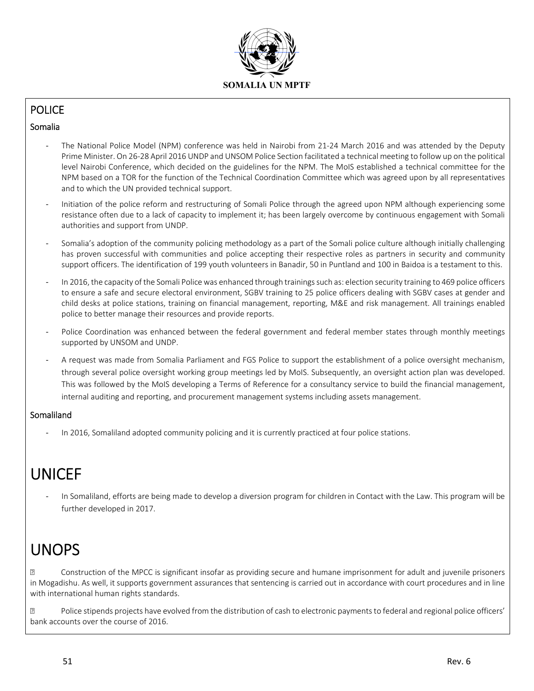

## **POLICE**

### Somalia

- The National Police Model (NPM) conference was held in Nairobi from 21-24 March 2016 and was attended by the Deputy Prime Minister. On 26‐28 April 2016 UNDP and UNSOM Police Section facilitated a technical meeting to follow up on the political level Nairobi Conference, which decided on the guidelines for the NPM. The MoIS established a technical committee for the NPM based on a TOR for the function of the Technical Coordination Committee which was agreed upon by all representatives and to which the UN provided technical support.
- ‐ Initiation of the police reform and restructuring of Somali Police through the agreed upon NPM although experiencing some resistance often due to a lack of capacity to implement it; has been largely overcome by continuous engagement with Somali authorities and support from UNDP.
- Somalia's adoption of the community policing methodology as a part of the Somali police culture although initially challenging has proven successful with communities and police accepting their respective roles as partners in security and community support officers. The identification of 199 youth volunteers in Banadir, 50 in Puntland and 100 in Baidoa is a testament to this.
- ‐ In 2016, the capacity of the Somali Police was enhanced through trainings such as: election security training to 469 police officers to ensure a safe and secure electoral environment, SGBV training to 25 police officers dealing with SGBV cases at gender and child desks at police stations, training on financial management, reporting, M&E and risk management. All trainings enabled police to better manage their resources and provide reports.
- Police Coordination was enhanced between the federal government and federal member states through monthly meetings supported by UNSOM and UNDP.
- ‐ A request was made from Somalia Parliament and FGS Police to support the establishment of a police oversight mechanism, through several police oversight working group meetings led by MoIS. Subsequently, an oversight action plan was developed. This was followed by the MoIS developing a Terms of Reference for a consultancy service to build the financial management, internal auditing and reporting, and procurement management systems including assets management.

### Somaliland

In 2016, Somaliland adopted community policing and it is currently practiced at four police stations.

## UNICEF

‐ In Somaliland, efforts are being made to develop a diversion program for children in Contact with the Law. This program will be further developed in 2017.

## UNOPS

 Construction of the MPCC is significant insofar as providing secure and humane imprisonment for adult and juvenile prisoners in Mogadishu. As well, it supports government assurances that sentencing is carried out in accordance with court procedures and in line with international human rights standards.

 Police stipends projects have evolved from the distribution of cash to electronic payments to federal and regional police officers' bank accounts over the course of 2016.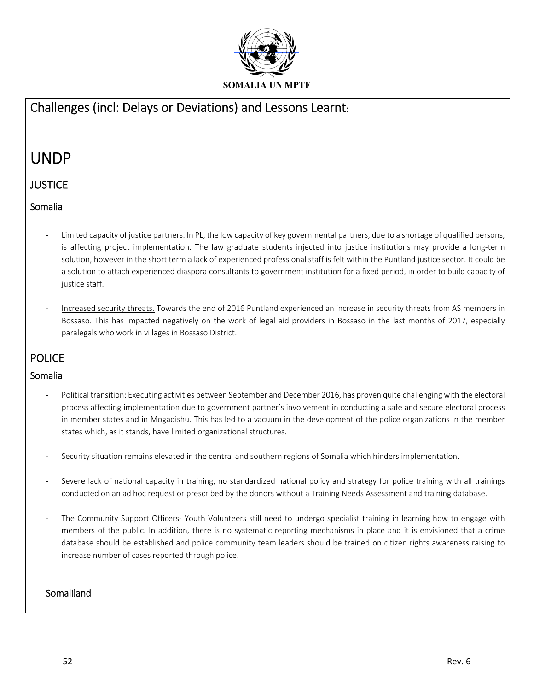

## Challenges (incl: Delays or Deviations) and Lessons Learnt:

## UNDP

### **JUSTICE**

### Somalia

- ‐ Limited capacity of justice partners. In PL, the low capacity of key governmental partners, due to a shortage of qualified persons, is affecting project implementation. The law graduate students injected into justice institutions may provide a long-term solution, however in the short term a lack of experienced professional staff is felt within the Puntland justice sector. It could be a solution to attach experienced diaspora consultants to government institution for a fixed period, in order to build capacity of justice staff.
- Increased security threats. Towards the end of 2016 Puntland experienced an increase in security threats from AS members in Bossaso. This has impacted negatively on the work of legal aid providers in Bossaso in the last months of 2017, especially paralegals who work in villages in Bossaso District.

## **POLICE**

### Somalia

- Political transition: Executing activities between September and December 2016, has proven quite challenging with the electoral process affecting implementation due to government partner's involvement in conducting a safe and secure electoral process in member states and in Mogadishu. This has led to a vacuum in the development of the police organizations in the member states which, as it stands, have limited organizational structures.
- Security situation remains elevated in the central and southern regions of Somalia which hinders implementation.
- Severe lack of national capacity in training, no standardized national policy and strategy for police training with all trainings conducted on an ad hoc request or prescribed by the donors without a Training Needs Assessment and training database.
- The Community Support Officers- Youth Volunteers still need to undergo specialist training in learning how to engage with members of the public. In addition, there is no systematic reporting mechanisms in place and it is envisioned that a crime database should be established and police community team leaders should be trained on citizen rights awareness raising to increase number of cases reported through police.

### Somaliland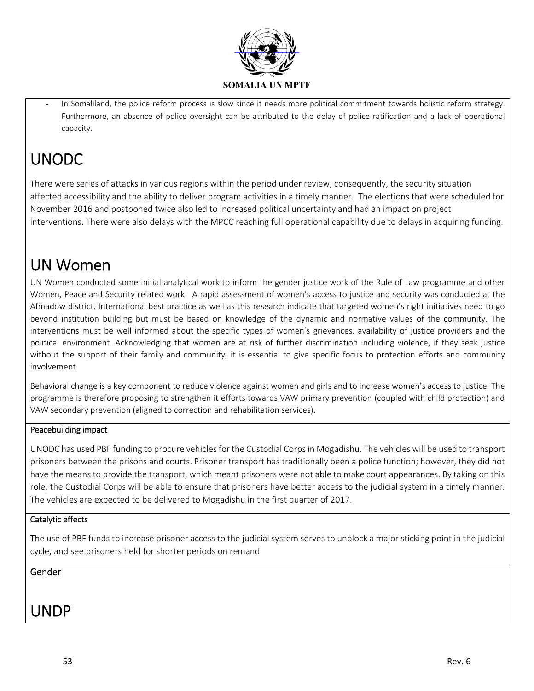

In Somaliland, the police reform process is slow since it needs more political commitment towards holistic reform strategy. Furthermore, an absence of police oversight can be attributed to the delay of police ratification and a lack of operational capacity.

# UNODC

There were series of attacks in various regions within the period under review, consequently, the security situation affected accessibility and the ability to deliver program activities in a timely manner. The elections that were scheduled for November 2016 and postponed twice also led to increased political uncertainty and had an impact on project interventions. There were also delays with the MPCC reaching full operational capability due to delays in acquiring funding.

## UN Women

UN Women conducted some initial analytical work to inform the gender justice work of the Rule of Law programme and other Women, Peace and Security related work. A rapid assessment of women's access to justice and security was conducted at the Afmadow district. International best practice as well as this research indicate that targeted women's right initiatives need to go beyond institution building but must be based on knowledge of the dynamic and normative values of the community. The interventions must be well informed about the specific types of women's grievances, availability of justice providers and the political environment. Acknowledging that women are at risk of further discrimination including violence, if they seek justice without the support of their family and community, it is essential to give specific focus to protection efforts and community involvement.

Behavioral change is a key component to reduce violence against women and girls and to increase women's access to justice. The programme is therefore proposing to strengthen it efforts towards VAW primary prevention (coupled with child protection) and VAW secondary prevention (aligned to correction and rehabilitation services).

### Peacebuilding impact

UNODC has used PBF funding to procure vehicles for the Custodial Corps in Mogadishu. The vehicles will be used to transport prisoners between the prisons and courts. Prisoner transport has traditionally been a police function; however, they did not have the means to provide the transport, which meant prisoners were not able to make court appearances. By taking on this role, the Custodial Corps will be able to ensure that prisoners have better access to the judicial system in a timely manner. The vehicles are expected to be delivered to Mogadishu in the first quarter of 2017.

### Catalytic effects

The use of PBF funds to increase prisoner access to the judicial system serves to unblock a major sticking point in the judicial cycle, and see prisoners held for shorter periods on remand.

Gender

# UNDP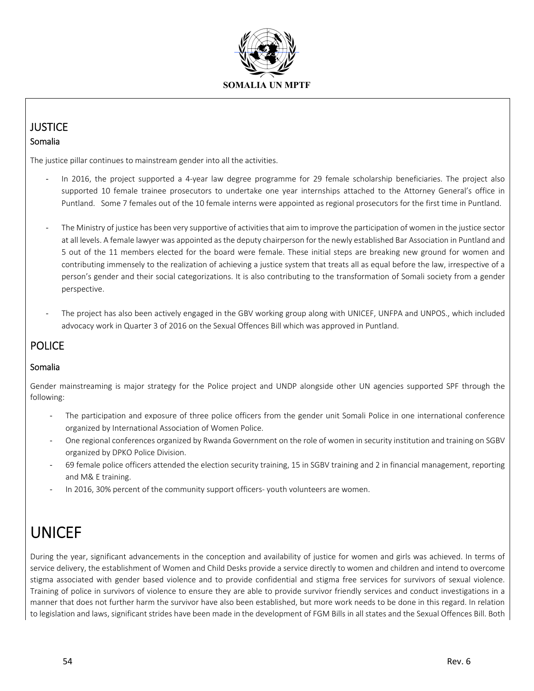

### **JUSTICE** Somalia

The justice pillar continues to mainstream gender into all the activities.

- ‐ In 2016, the project supported a 4‐year law degree programme for 29 female scholarship beneficiaries. The project also supported 10 female trainee prosecutors to undertake one year internships attached to the Attorney General's office in Puntland. Some 7 females out of the 10 female interns were appointed as regional prosecutors for the first time in Puntland.
- ‐ The Ministry of justice has been very supportive of activities that aim to improve the participation of women in the justice sector at all levels. A female lawyer was appointed as the deputy chairperson for the newly established Bar Association in Puntland and 5 out of the 11 members elected for the board were female. These initial steps are breaking new ground for women and contributing immensely to the realization of achieving a justice system that treats all as equal before the law, irrespective of a person's gender and their social categorizations. It is also contributing to the transformation of Somali society from a gender perspective.
- The project has also been actively engaged in the GBV working group along with UNICEF, UNFPA and UNPOS., which included advocacy work in Quarter 3 of 2016 on the Sexual Offences Bill which was approved in Puntland.

### POLICE

### Somalia

Gender mainstreaming is major strategy for the Police project and UNDP alongside other UN agencies supported SPF through the following:

- The participation and exposure of three police officers from the gender unit Somali Police in one international conference organized by International Association of Women Police.
- ‐ One regional conferences organized by Rwanda Government on the role of women in security institution and training on SGBV organized by DPKO Police Division.
- ‐ 69 female police officers attended the election security training, 15 in SGBV training and 2 in financial management, reporting and M& E training.
- In 2016, 30% percent of the community support officers- youth volunteers are women.

# UNICEF

During the year, significant advancements in the conception and availability of justice for women and girls was achieved. In terms of service delivery, the establishment of Women and Child Desks provide a service directly to women and children and intend to overcome stigma associated with gender based violence and to provide confidential and stigma free services for survivors of sexual violence. Training of police in survivors of violence to ensure they are able to provide survivor friendly services and conduct investigations in a manner that does not further harm the survivor have also been established, but more work needs to be done in this regard. In relation to legislation and laws, significant strides have been made in the development of FGM Bills in all states and the Sexual Offences Bill. Both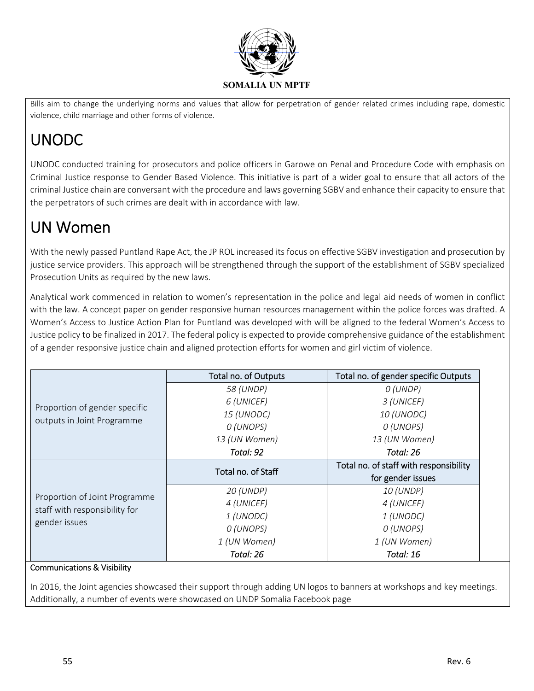

Bills aim to change the underlying norms and values that allow for perpetration of gender related crimes including rape, domestic violence, child marriage and other forms of violence.

# UNODC

UNODC conducted training for prosecutors and police officers in Garowe on Penal and Procedure Code with emphasis on Criminal Justice response to Gender Based Violence. This initiative is part of a wider goal to ensure that all actors of the criminal Justice chain are conversant with the procedure and laws governing SGBV and enhance their capacity to ensure that the perpetrators of such crimes are dealt with in accordance with law.

# UN Women

With the newly passed Puntland Rape Act, the JP ROL increased its focus on effective SGBV investigation and prosecution by justice service providers. This approach will be strengthened through the support of the establishment of SGBV specialized Prosecution Units as required by the new laws.

Analytical work commenced in relation to women's representation in the police and legal aid needs of women in conflict with the law. A concept paper on gender responsive human resources management within the police forces was drafted. A Women's Access to Justice Action Plan for Puntland was developed with will be aligned to the federal Women's Access to Justice policy to be finalized in 2017. The federal policy is expected to provide comprehensive guidance of the establishment of a gender responsive justice chain and aligned protection efforts for women and girl victim of violence.

|                               | Total no. of Outputs | Total no. of gender specific Outputs   |
|-------------------------------|----------------------|----------------------------------------|
|                               | 58 (UNDP)            | O (UNDP)                               |
|                               | 6 (UNICEF)           | 3 (UNICEF)                             |
| Proportion of gender specific | 15 (UNODC)           | 10 (UNODC)                             |
| outputs in Joint Programme    | O (UNOPS)            | O (UNOPS)                              |
|                               | 13 (UN Women)        | 13 (UN Women)                          |
|                               | Total: 92            | Total: 26                              |
|                               |                      | Total no. of staff with responsibility |
|                               | Total no. of Staff   | for gender issues                      |
|                               | 20 (UNDP)            | 10 (UNDP)                              |
| Proportion of Joint Programme | 4 (UNICEF)           | 4 (UNICEF)                             |
| staff with responsibility for | 1 (UNODC)            | 1 (UNODC)                              |
| gender issues                 | O (UNOPS)            | O (UNOPS)                              |
|                               | 1 (UN Women)         | 1 (UN Women)                           |
|                               | Total: 26            | Total: 16                              |

### Communications & Visibility

In 2016, the Joint agencies showcased their support through adding UN logos to banners at workshops and key meetings. Additionally, a number of events were showcased on UNDP Somalia Facebook page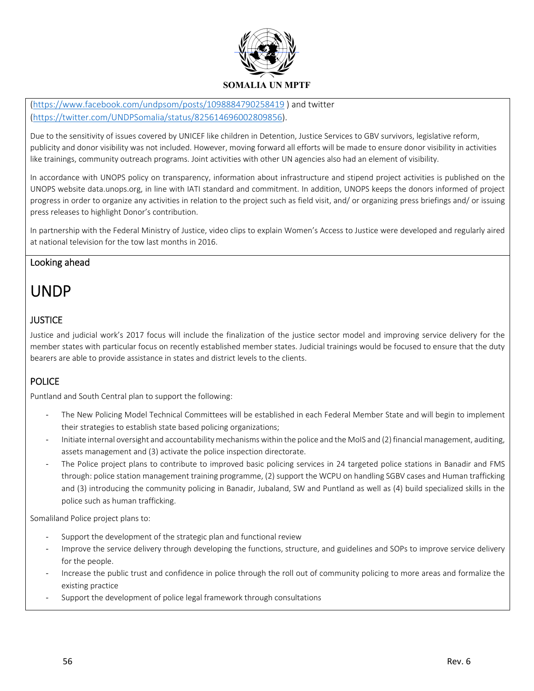

(https://www.facebook.com/undpsom/posts/1098884790258419 ) and twitter (https://twitter.com/UNDPSomalia/status/825614696002809856).

Due to the sensitivity of issues covered by UNICEF like children in Detention, Justice Services to GBV survivors, legislative reform, publicity and donor visibility was not included. However, moving forward all efforts will be made to ensure donor visibility in activities like trainings, community outreach programs. Joint activities with other UN agencies also had an element of visibility.

In accordance with UNOPS policy on transparency, information about infrastructure and stipend project activities is published on the UNOPS website data.unops.org, in line with IATI standard and commitment. In addition, UNOPS keeps the donors informed of project progress in order to organize any activities in relation to the project such as field visit, and/ or organizing press briefings and/ or issuing press releases to highlight Donor's contribution.

In partnership with the Federal Ministry of Justice, video clips to explain Women's Access to Justice were developed and regularly aired at national television for the tow last months in 2016.

### Looking ahead

## UNDP

### **JUSTICE**

Justice and judicial work's 2017 focus will include the finalization of the justice sector model and improving service delivery for the member states with particular focus on recently established member states. Judicial trainings would be focused to ensure that the duty bearers are able to provide assistance in states and district levels to the clients.

### POLICE

Puntland and South Central plan to support the following:

- ‐ The New Policing Model Technical Committees will be established in each Federal Member State and will begin to implement their strategies to establish state based policing organizations;
- ‐ Initiate internal oversight and accountability mechanisms within the police and the MoIS and (2) financial management, auditing, assets management and (3) activate the police inspection directorate.
- The Police project plans to contribute to improved basic policing services in 24 targeted police stations in Banadir and FMS through: police station management training programme, (2) support the WCPU on handling SGBV cases and Human trafficking and (3) introducing the community policing in Banadir, Jubaland, SW and Puntland as well as (4) build specialized skills in the police such as human trafficking.

Somaliland Police project plans to:

- Support the development of the strategic plan and functional review
- Improve the service delivery through developing the functions, structure, and guidelines and SOPs to improve service delivery for the people.
- ‐ Increase the public trust and confidence in police through the roll out of community policing to more areas and formalize the existing practice
- ‐ Support the development of police legal framework through consultations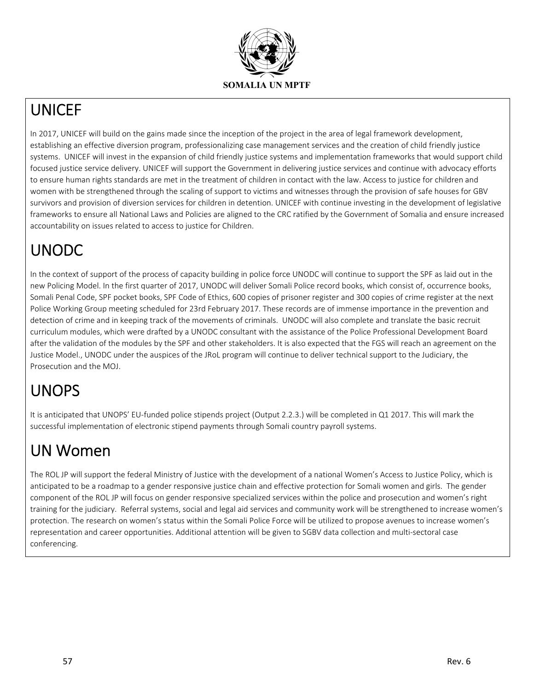

## UNICEF

In 2017, UNICEF will build on the gains made since the inception of the project in the area of legal framework development, establishing an effective diversion program, professionalizing case management services and the creation of child friendly justice systems. UNICEF will invest in the expansion of child friendly justice systems and implementation frameworks that would support child focused justice service delivery. UNICEF will support the Government in delivering justice services and continue with advocacy efforts to ensure human rights standards are met in the treatment of children in contact with the law. Access to justice for children and women with be strengthened through the scaling of support to victims and witnesses through the provision of safe houses for GBV survivors and provision of diversion services for children in detention. UNICEF with continue investing in the development of legislative frameworks to ensure all National Laws and Policies are aligned to the CRC ratified by the Government of Somalia and ensure increased accountability on issues related to access to justice for Children.

# UNODC

In the context of support of the process of capacity building in police force UNODC will continue to support the SPF as laid out in the new Policing Model. In the first quarter of 2017, UNODC will deliver Somali Police record books, which consist of, occurrence books, Somali Penal Code, SPF pocket books, SPF Code of Ethics, 600 copies of prisoner register and 300 copies of crime register at the next Police Working Group meeting scheduled for 23rd February 2017. These records are of immense importance in the prevention and detection of crime and in keeping track of the movements of criminals. UNODC will also complete and translate the basic recruit curriculum modules, which were drafted by a UNODC consultant with the assistance of the Police Professional Development Board after the validation of the modules by the SPF and other stakeholders. It is also expected that the FGS will reach an agreement on the Justice Model., UNODC under the auspices of the JRoL program will continue to deliver technical support to the Judiciary, the Prosecution and the MOJ.

# UNOPS

It is anticipated that UNOPS' EU-funded police stipends project (Output 2.2.3.) will be completed in Q1 2017. This will mark the successful implementation of electronic stipend payments through Somali country payroll systems.

# UN Women

The ROL JP will support the federal Ministry of Justice with the development of a national Women's Access to Justice Policy, which is anticipated to be a roadmap to a gender responsive justice chain and effective protection for Somali women and girls. The gender component of the ROL JP will focus on gender responsive specialized services within the police and prosecution and women's right training for the judiciary. Referral systems, social and legal aid services and community work will be strengthened to increase women's protection. The research on women's status within the Somali Police Force will be utilized to propose avenues to increase women's representation and career opportunities. Additional attention will be given to SGBV data collection and multi‐sectoral case conferencing.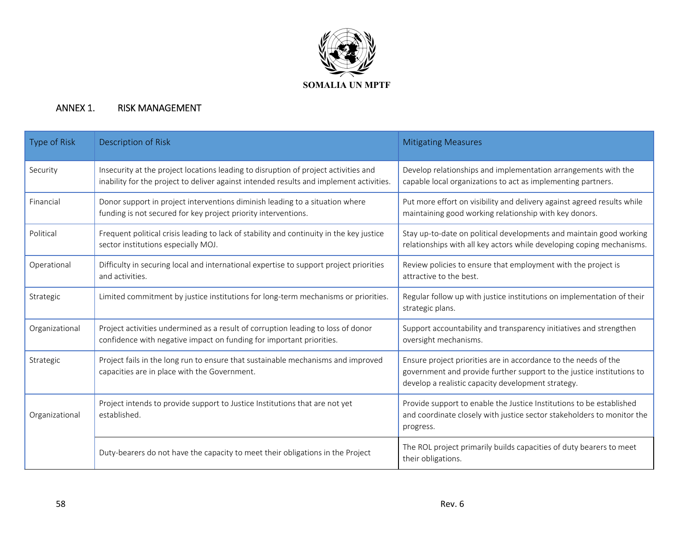

### ANNEX 1. RISK MANAGEMENT

| Type of Risk   | Description of Risk                                                                                                                                                            | <b>Mitigating Measures</b>                                                                                                                                                                     |
|----------------|--------------------------------------------------------------------------------------------------------------------------------------------------------------------------------|------------------------------------------------------------------------------------------------------------------------------------------------------------------------------------------------|
| Security       | Insecurity at the project locations leading to disruption of project activities and<br>inability for the project to deliver against intended results and implement activities. | Develop relationships and implementation arrangements with the<br>capable local organizations to act as implementing partners.                                                                 |
| Financial      | Donor support in project interventions diminish leading to a situation where<br>funding is not secured for key project priority interventions.                                 | Put more effort on visibility and delivery against agreed results while<br>maintaining good working relationship with key donors.                                                              |
| Political      | Frequent political crisis leading to lack of stability and continuity in the key justice<br>sector institutions especially MOJ.                                                | Stay up-to-date on political developments and maintain good working<br>relationships with all key actors while developing coping mechanisms.                                                   |
| Operational    | Difficulty in securing local and international expertise to support project priorities<br>and activities.                                                                      | Review policies to ensure that employment with the project is<br>attractive to the best.                                                                                                       |
| Strategic      | Limited commitment by justice institutions for long-term mechanisms or priorities.                                                                                             | Regular follow up with justice institutions on implementation of their<br>strategic plans.                                                                                                     |
| Organizational | Project activities undermined as a result of corruption leading to loss of donor<br>confidence with negative impact on funding for important priorities.                       | Support accountability and transparency initiatives and strengthen<br>oversight mechanisms.                                                                                                    |
| Strategic      | Project fails in the long run to ensure that sustainable mechanisms and improved<br>capacities are in place with the Government.                                               | Ensure project priorities are in accordance to the needs of the<br>government and provide further support to the justice institutions to<br>develop a realistic capacity development strategy. |
| Organizational | Project intends to provide support to Justice Institutions that are not yet<br>established.                                                                                    | Provide support to enable the Justice Institutions to be established<br>and coordinate closely with justice sector stakeholders to monitor the<br>progress.                                    |
|                | Duty-bearers do not have the capacity to meet their obligations in the Project                                                                                                 | The ROL project primarily builds capacities of duty bearers to meet<br>their obligations.                                                                                                      |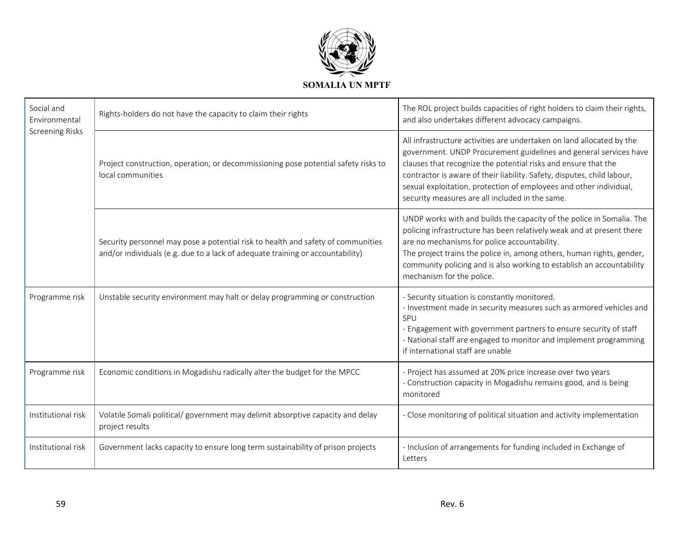

| Social and<br>Environmental | Rights-holders do not have the capacity to claim their rights                                                                                                      | The ROL project builds capacities of right holders to claim their rights,<br>and also undertakes different advocacy campaigns.                                                                                                                                                                                                                                                                                   |  |  |
|-----------------------------|--------------------------------------------------------------------------------------------------------------------------------------------------------------------|------------------------------------------------------------------------------------------------------------------------------------------------------------------------------------------------------------------------------------------------------------------------------------------------------------------------------------------------------------------------------------------------------------------|--|--|
| <b>Screening Risks</b>      | Project construction, operation, or decommissioning pose potential safety risks to<br>local communities                                                            | All infrastructure activities are undertaken on land allocated by the<br>government. UNDP Procurement guidelines and general services have<br>clauses that recognize the potential risks and ensure that the<br>contractor is aware of their liability. Safety, disputes, child labour,<br>sexual exploitation, protection of employees and other individual,<br>security measures are all included in the same. |  |  |
|                             | Security personnel may pose a potential risk to health and safety of communities<br>and/or individuals (e.g. due to a lack of adequate training or accountability) | UNDP works with and builds the capacity of the police in Somalia. The<br>policing infrastructure has been relatively weak and at present there<br>are no mechanisms for police accountability.<br>The project trains the police in, among others, human rights, gender,<br>community policing and is also working to establish an accountability<br>mechanism for the police.                                    |  |  |
| Programme risk              | Unstable security environment may halt or delay programming or construction                                                                                        | - Security situation is constantly monitored.<br>- Investment made in security measures such as armored vehicles and<br>SPU<br>- Engagement with government partners to ensure security of staff<br>- National staff are engaged to monitor and implement programming<br>if international staff are unable                                                                                                       |  |  |
| Programme risk              | Economic conditions in Mogadishu radically alter the budget for the MPCC                                                                                           | - Project has assumed at 20% price increase over two years<br>- Construction capacity in Mogadishu remains good, and is being<br>monitored                                                                                                                                                                                                                                                                       |  |  |
| Institutional risk          | Volatile Somali political/ government may delimit absorptive capacity and delay<br>project results                                                                 | - Close monitoring of political situation and activity implementation                                                                                                                                                                                                                                                                                                                                            |  |  |
| Institutional risk          | Government lacks capacity to ensure long term sustainability of prison projects                                                                                    | - Inclusion of arrangements for funding included in Exchange of<br>Letters                                                                                                                                                                                                                                                                                                                                       |  |  |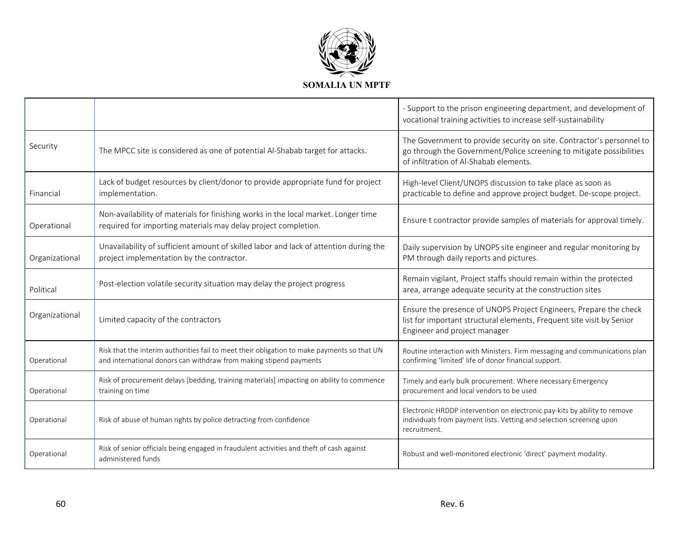

|                |                                                                                                                                                                   | - Support to the prison engineering department, and development of<br>vocational training activities to increase self-sustainability                                                    |
|----------------|-------------------------------------------------------------------------------------------------------------------------------------------------------------------|-----------------------------------------------------------------------------------------------------------------------------------------------------------------------------------------|
| Security       | The MPCC site is considered as one of potential Al-Shabab target for attacks.                                                                                     | The Government to provide security on site. Contractor's personnel to<br>go through the Government/Police screening to mitigate possibilities<br>of infiltration of Al-Shabab elements. |
| Financial      | Lack of budget resources by client/donor to provide appropriate fund for project<br>implementation.                                                               | High-level Client/UNOPS discussion to take place as soon as<br>practicable to define and approve project budget. De-scope project.                                                      |
| Operational    | Non-availability of materials for finishing works in the local market. Longer time<br>required for importing materials may delay project completion.              | Ensure t contractor provide samples of materials for approval timely.                                                                                                                   |
| Organizational | Unavailability of sufficient amount of skilled labor and lack of attention during the<br>project implementation by the contractor.                                | Daily supervision by UNOPS site engineer and regular monitoring by<br>PM through daily reports and pictures.                                                                            |
| Political      | Post-election volatile security situation may delay the project progress                                                                                          | Remain vigilant, Project staffs should remain within the protected<br>area, arrange adequate security at the construction sites                                                         |
| Organizational | Limited capacity of the contractors                                                                                                                               | Ensure the presence of UNOPS Project Engineers, Prepare the check<br>list for important structural elements, Frequent site visit by Senior<br>Engineer and project manager              |
| Operational    | Risk that the interim authorities fail to meet their obligation to make payments so that UN<br>and international donors can withdraw from making stipend payments | Routine interaction with Ministers. Firm messaging and communications plan<br>confirming 'limited' life of donor financial support.                                                     |
| Operational    | Risk of procurement delays [bedding, training materials] impacting on ability to commence<br>training on time                                                     | Timely and early bulk procurement. Where necessary Emergency<br>procurement and local vendors to be used                                                                                |
| Operational    | Risk of abuse of human rights by police detracting from confidence                                                                                                | Electronic HRDDP intervention on electronic pay-kits by ability to remove<br>individuals from payment lists. Vetting and selection screening upon<br>recruitment.                       |
| Operational    | Risk of senior officials being engaged in fraudulent activities and theft of cash against<br>administered funds                                                   | Robust and well-monitored electronic 'direct' payment modality.                                                                                                                         |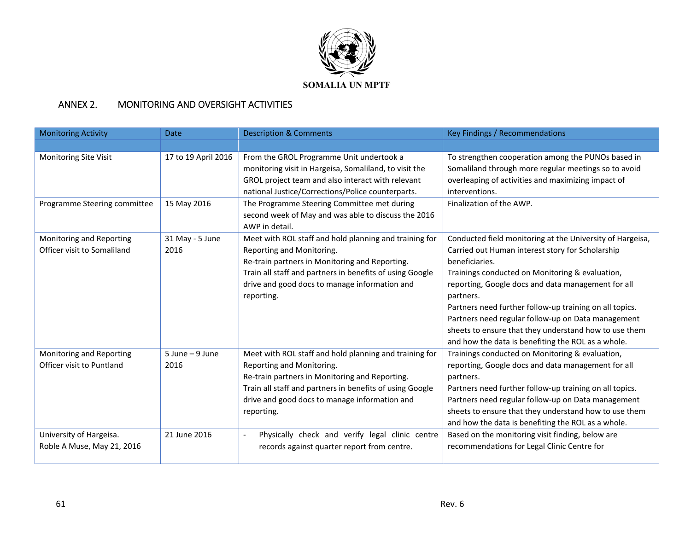

#### ANNEX 2.MONITORING AND OVERSIGHT ACTIVITIES

| <b>Monitoring Activity</b>                              | <b>Date</b>                | <b>Description &amp; Comments</b>                                                                                                                                                                                                                                | Key Findings / Recommendations                                                                                                                                                                                                                                                                                                                                                                                                                                                        |
|---------------------------------------------------------|----------------------------|------------------------------------------------------------------------------------------------------------------------------------------------------------------------------------------------------------------------------------------------------------------|---------------------------------------------------------------------------------------------------------------------------------------------------------------------------------------------------------------------------------------------------------------------------------------------------------------------------------------------------------------------------------------------------------------------------------------------------------------------------------------|
|                                                         |                            |                                                                                                                                                                                                                                                                  |                                                                                                                                                                                                                                                                                                                                                                                                                                                                                       |
| Monitoring Site Visit                                   | 17 to 19 April 2016        | From the GROL Programme Unit undertook a<br>monitoring visit in Hargeisa, Somaliland, to visit the<br>GROL project team and also interact with relevant<br>national Justice/Corrections/Police counterparts.                                                     | To strengthen cooperation among the PUNOs based in<br>Somaliland through more regular meetings so to avoid<br>overleaping of activities and maximizing impact of<br>interventions.                                                                                                                                                                                                                                                                                                    |
| Programme Steering committee                            | 15 May 2016                | The Programme Steering Committee met during<br>second week of May and was able to discuss the 2016<br>AWP in detail.                                                                                                                                             | Finalization of the AWP.                                                                                                                                                                                                                                                                                                                                                                                                                                                              |
| Monitoring and Reporting<br>Officer visit to Somaliland | 31 May - 5 June<br>2016    | Meet with ROL staff and hold planning and training for<br>Reporting and Monitoring.<br>Re-train partners in Monitoring and Reporting.<br>Train all staff and partners in benefits of using Google<br>drive and good docs to manage information and<br>reporting. | Conducted field monitoring at the University of Hargeisa,<br>Carried out Human interest story for Scholarship<br>beneficiaries.<br>Trainings conducted on Monitoring & evaluation,<br>reporting, Google docs and data management for all<br>partners.<br>Partners need further follow-up training on all topics.<br>Partners need regular follow-up on Data management<br>sheets to ensure that they understand how to use them<br>and how the data is benefiting the ROL as a whole. |
| Monitoring and Reporting<br>Officer visit to Puntland   | $5$ June $-9$ June<br>2016 | Meet with ROL staff and hold planning and training for<br>Reporting and Monitoring.<br>Re-train partners in Monitoring and Reporting.<br>Train all staff and partners in benefits of using Google<br>drive and good docs to manage information and<br>reporting. | Trainings conducted on Monitoring & evaluation,<br>reporting, Google docs and data management for all<br>partners.<br>Partners need further follow-up training on all topics.<br>Partners need regular follow-up on Data management<br>sheets to ensure that they understand how to use them<br>and how the data is benefiting the ROL as a whole.                                                                                                                                    |
| University of Hargeisa.<br>Roble A Muse, May 21, 2016   | 21 June 2016               | Physically check and verify legal clinic centre<br>$\overline{\phantom{a}}$<br>records against quarter report from centre.                                                                                                                                       | Based on the monitoring visit finding, below are<br>recommendations for Legal Clinic Centre for                                                                                                                                                                                                                                                                                                                                                                                       |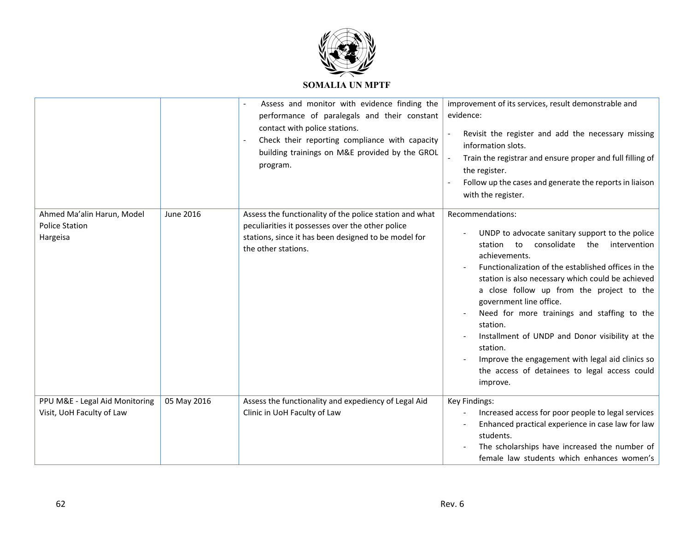

|                                                                 |             | Assess and monitor with evidence finding the<br>performance of paralegals and their constant<br>contact with police stations.<br>Check their reporting compliance with capacity<br>building trainings on M&E provided by the GROL<br>program. | improvement of its services, result demonstrable and<br>evidence:<br>Revisit the register and add the necessary missing<br>information slots.<br>Train the registrar and ensure proper and full filling of<br>the register.<br>Follow up the cases and generate the reports in liaison<br>with the register.                                                                                                                                                                                                                                                            |
|-----------------------------------------------------------------|-------------|-----------------------------------------------------------------------------------------------------------------------------------------------------------------------------------------------------------------------------------------------|-------------------------------------------------------------------------------------------------------------------------------------------------------------------------------------------------------------------------------------------------------------------------------------------------------------------------------------------------------------------------------------------------------------------------------------------------------------------------------------------------------------------------------------------------------------------------|
| Ahmed Ma'alin Harun, Model<br><b>Police Station</b><br>Hargeisa | June 2016   | Assess the functionality of the police station and what<br>peculiarities it possesses over the other police<br>stations, since it has been designed to be model for<br>the other stations.                                                    | Recommendations:<br>UNDP to advocate sanitary support to the police<br>consolidate<br>station to<br>the<br>intervention<br>achievements.<br>Functionalization of the established offices in the<br>station is also necessary which could be achieved<br>a close follow up from the project to the<br>government line office.<br>Need for more trainings and staffing to the<br>station.<br>Installment of UNDP and Donor visibility at the<br>station.<br>Improve the engagement with legal aid clinics so<br>the access of detainees to legal access could<br>improve. |
| PPU M&E - Legal Aid Monitoring<br>Visit, UoH Faculty of Law     | 05 May 2016 | Assess the functionality and expediency of Legal Aid<br>Clinic in UoH Faculty of Law                                                                                                                                                          | Key Findings:<br>Increased access for poor people to legal services<br>Enhanced practical experience in case law for law<br>students.<br>The scholarships have increased the number of<br>female law students which enhances women's                                                                                                                                                                                                                                                                                                                                    |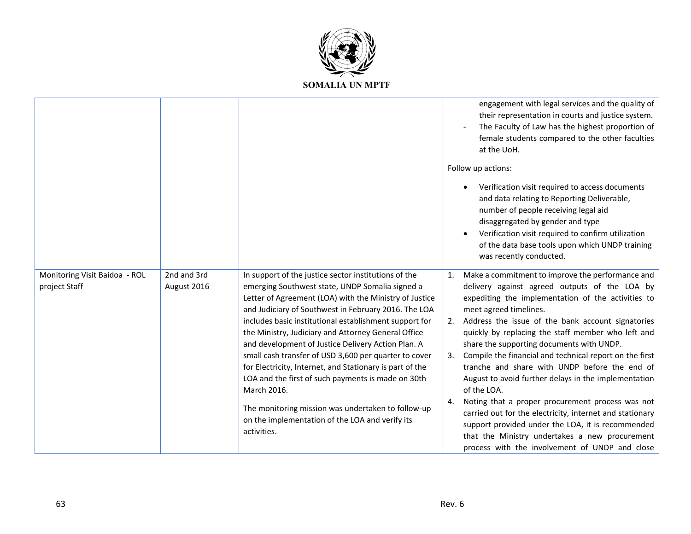

|                                                |                            |                                                                                                                                                                                                                                                                                                                                                                                                                                                                                                                                                                                                                                                                                                                    | engagement with legal services and the quality of<br>their representation in courts and justice system.<br>The Faculty of Law has the highest proportion of<br>female students compared to the other faculties<br>at the UoH.                                                                                                                                                                                                                                                                                                                                                                                                                                                                                                                                                                                           |
|------------------------------------------------|----------------------------|--------------------------------------------------------------------------------------------------------------------------------------------------------------------------------------------------------------------------------------------------------------------------------------------------------------------------------------------------------------------------------------------------------------------------------------------------------------------------------------------------------------------------------------------------------------------------------------------------------------------------------------------------------------------------------------------------------------------|-------------------------------------------------------------------------------------------------------------------------------------------------------------------------------------------------------------------------------------------------------------------------------------------------------------------------------------------------------------------------------------------------------------------------------------------------------------------------------------------------------------------------------------------------------------------------------------------------------------------------------------------------------------------------------------------------------------------------------------------------------------------------------------------------------------------------|
|                                                |                            |                                                                                                                                                                                                                                                                                                                                                                                                                                                                                                                                                                                                                                                                                                                    | Follow up actions:                                                                                                                                                                                                                                                                                                                                                                                                                                                                                                                                                                                                                                                                                                                                                                                                      |
|                                                |                            |                                                                                                                                                                                                                                                                                                                                                                                                                                                                                                                                                                                                                                                                                                                    | Verification visit required to access documents<br>and data relating to Reporting Deliverable,<br>number of people receiving legal aid<br>disaggregated by gender and type<br>Verification visit required to confirm utilization<br>of the data base tools upon which UNDP training<br>was recently conducted.                                                                                                                                                                                                                                                                                                                                                                                                                                                                                                          |
| Monitoring Visit Baidoa - ROL<br>project Staff | 2nd and 3rd<br>August 2016 | In support of the justice sector institutions of the<br>emerging Southwest state, UNDP Somalia signed a<br>Letter of Agreement (LOA) with the Ministry of Justice<br>and Judiciary of Southwest in February 2016. The LOA<br>includes basic institutional establishment support for<br>the Ministry, Judiciary and Attorney General Office<br>and development of Justice Delivery Action Plan. A<br>small cash transfer of USD 3,600 per quarter to cover<br>for Electricity, Internet, and Stationary is part of the<br>LOA and the first of such payments is made on 30th<br>March 2016.<br>The monitoring mission was undertaken to follow-up<br>on the implementation of the LOA and verify its<br>activities. | 1. Make a commitment to improve the performance and<br>delivery against agreed outputs of the LOA by<br>expediting the implementation of the activities to<br>meet agreed timelines.<br>2. Address the issue of the bank account signatories<br>quickly by replacing the staff member who left and<br>share the supporting documents with UNDP.<br>Compile the financial and technical report on the first<br>3.<br>tranche and share with UNDP before the end of<br>August to avoid further delays in the implementation<br>of the LOA.<br>Noting that a proper procurement process was not<br>4.<br>carried out for the electricity, internet and stationary<br>support provided under the LOA, it is recommended<br>that the Ministry undertakes a new procurement<br>process with the involvement of UNDP and close |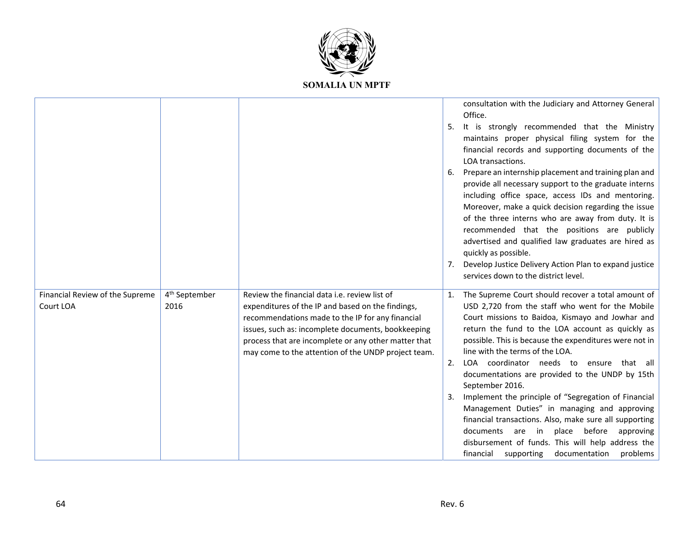

|                                              |                                   |                                                                                                                                                                                                                                                                                                                             | Office.<br>5.<br>6. | consultation with the Judiciary and Attorney General<br>It is strongly recommended that the Ministry<br>maintains proper physical filing system for the<br>financial records and supporting documents of the<br>LOA transactions.<br>Prepare an internship placement and training plan and<br>provide all necessary support to the graduate interns<br>including office space, access IDs and mentoring.<br>Moreover, make a quick decision regarding the issue<br>of the three interns who are away from duty. It is<br>recommended that the positions are publicly<br>advertised and qualified law graduates are hired as<br>quickly as possible.<br>Develop Justice Delivery Action Plan to expand justice<br>services down to the district level. |
|----------------------------------------------|-----------------------------------|-----------------------------------------------------------------------------------------------------------------------------------------------------------------------------------------------------------------------------------------------------------------------------------------------------------------------------|---------------------|-------------------------------------------------------------------------------------------------------------------------------------------------------------------------------------------------------------------------------------------------------------------------------------------------------------------------------------------------------------------------------------------------------------------------------------------------------------------------------------------------------------------------------------------------------------------------------------------------------------------------------------------------------------------------------------------------------------------------------------------------------|
| Financial Review of the Supreme<br>Court LOA | 4 <sup>th</sup> September<br>2016 | Review the financial data i.e. review list of<br>expenditures of the IP and based on the findings,<br>recommendations made to the IP for any financial<br>issues, such as: incomplete documents, bookkeeping<br>process that are incomplete or any other matter that<br>may come to the attention of the UNDP project team. | 2.                  | 1. The Supreme Court should recover a total amount of<br>USD 2,720 from the staff who went for the Mobile<br>Court missions to Baidoa, Kismayo and Jowhar and<br>return the fund to the LOA account as quickly as<br>possible. This is because the expenditures were not in<br>line with the terms of the LOA.<br>LOA coordinator needs to ensure that all<br>documentations are provided to the UNDP by 15th<br>September 2016.<br>Implement the principle of "Segregation of Financial<br>Management Duties" in managing and approving<br>financial transactions. Also, make sure all supporting<br>documents are in place before approving<br>disbursement of funds. This will help address the<br>financial supporting documentation problems     |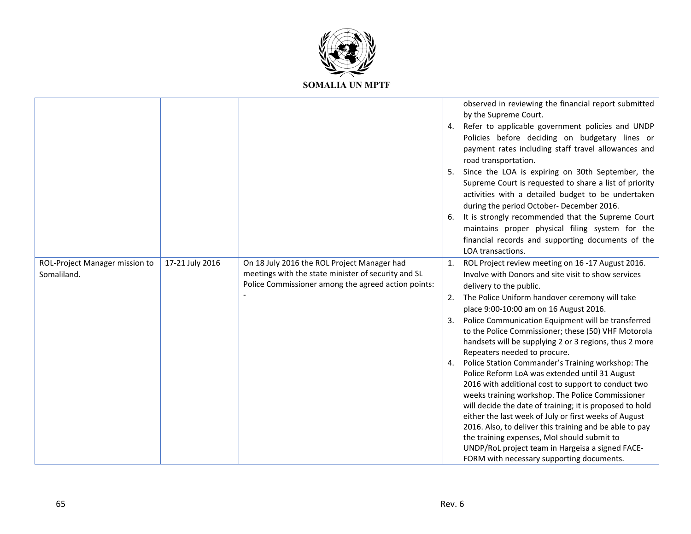

|                                               |                 |                                                                                                                                                           |    | observed in reviewing the financial report submitted<br>by the Supreme Court.<br>4. Refer to applicable government policies and UNDP<br>Policies before deciding on budgetary lines or<br>payment rates including staff travel allowances and<br>road transportation.<br>5. Since the LOA is expiring on 30th September, the<br>Supreme Court is requested to share a list of priority<br>activities with a detailed budget to be undertaken<br>during the period October- December 2016.<br>6. It is strongly recommended that the Supreme Court<br>maintains proper physical filing system for the<br>financial records and supporting documents of the<br>LOA transactions.                                                                                                                                                                                                                                                                                                                    |
|-----------------------------------------------|-----------------|-----------------------------------------------------------------------------------------------------------------------------------------------------------|----|---------------------------------------------------------------------------------------------------------------------------------------------------------------------------------------------------------------------------------------------------------------------------------------------------------------------------------------------------------------------------------------------------------------------------------------------------------------------------------------------------------------------------------------------------------------------------------------------------------------------------------------------------------------------------------------------------------------------------------------------------------------------------------------------------------------------------------------------------------------------------------------------------------------------------------------------------------------------------------------------------|
| ROL-Project Manager mission to<br>Somaliland. | 17-21 July 2016 | On 18 July 2016 the ROL Project Manager had<br>meetings with the state minister of security and SL<br>Police Commissioner among the agreed action points: | 3. | 1. ROL Project review meeting on 16 -17 August 2016.<br>Involve with Donors and site visit to show services<br>delivery to the public.<br>2. The Police Uniform handover ceremony will take<br>place 9:00-10:00 am on 16 August 2016.<br>Police Communication Equipment will be transferred<br>to the Police Commissioner; these (50) VHF Motorola<br>handsets will be supplying 2 or 3 regions, thus 2 more<br>Repeaters needed to procure.<br>4. Police Station Commander's Training workshop: The<br>Police Reform LoA was extended until 31 August<br>2016 with additional cost to support to conduct two<br>weeks training workshop. The Police Commissioner<br>will decide the date of training; it is proposed to hold<br>either the last week of July or first weeks of August<br>2016. Also, to deliver this training and be able to pay<br>the training expenses, MoI should submit to<br>UNDP/RoL project team in Hargeisa a signed FACE-<br>FORM with necessary supporting documents. |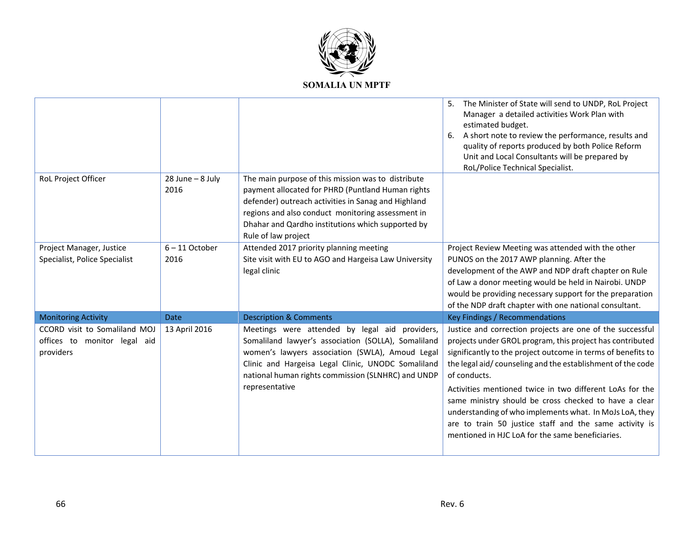

|                                                                            |                              |                                                                                                                                                                                                                                                                                                 | The Minister of State will send to UNDP, RoL Project<br>5.<br>Manager a detailed activities Work Plan with<br>estimated budget.<br>A short note to review the performance, results and<br>6.<br>quality of reports produced by both Police Reform<br>Unit and Local Consultants will be prepared by<br>RoL/Police Technical Specialist.                                                                                                                                                                                                                            |
|----------------------------------------------------------------------------|------------------------------|-------------------------------------------------------------------------------------------------------------------------------------------------------------------------------------------------------------------------------------------------------------------------------------------------|--------------------------------------------------------------------------------------------------------------------------------------------------------------------------------------------------------------------------------------------------------------------------------------------------------------------------------------------------------------------------------------------------------------------------------------------------------------------------------------------------------------------------------------------------------------------|
| RoL Project Officer                                                        | $28$ June - $8$ July<br>2016 | The main purpose of this mission was to distribute<br>payment allocated for PHRD (Puntland Human rights<br>defender) outreach activities in Sanag and Highland<br>regions and also conduct monitoring assessment in<br>Dhahar and Qardho institutions which supported by<br>Rule of law project |                                                                                                                                                                                                                                                                                                                                                                                                                                                                                                                                                                    |
| Project Manager, Justice<br>Specialist, Police Specialist                  | $6 - 11$ October<br>2016     | Attended 2017 priority planning meeting<br>Site visit with EU to AGO and Hargeisa Law University<br>legal clinic                                                                                                                                                                                | Project Review Meeting was attended with the other<br>PUNOS on the 2017 AWP planning. After the<br>development of the AWP and NDP draft chapter on Rule<br>of Law a donor meeting would be held in Nairobi. UNDP<br>would be providing necessary support for the preparation<br>of the NDP draft chapter with one national consultant.                                                                                                                                                                                                                             |
| <b>Monitoring Activity</b>                                                 | <b>Date</b>                  | <b>Description &amp; Comments</b>                                                                                                                                                                                                                                                               | Key Findings / Recommendations                                                                                                                                                                                                                                                                                                                                                                                                                                                                                                                                     |
| CCORD visit to Somaliland MOJ<br>offices to monitor legal aid<br>providers | 13 April 2016                | Meetings were attended by legal aid providers,<br>Somaliland lawyer's association (SOLLA), Somaliland<br>women's lawyers association (SWLA), Amoud Legal<br>Clinic and Hargeisa Legal Clinic, UNODC Somaliland<br>national human rights commission (SLNHRC) and UNDP<br>representative          | Justice and correction projects are one of the successful<br>projects under GROL program, this project has contributed<br>significantly to the project outcome in terms of benefits to<br>the legal aid/counseling and the establishment of the code<br>of conducts.<br>Activities mentioned twice in two different LoAs for the<br>same ministry should be cross checked to have a clear<br>understanding of who implements what. In MoJs LoA, they<br>are to train 50 justice staff and the same activity is<br>mentioned in HJC LoA for the same beneficiaries. |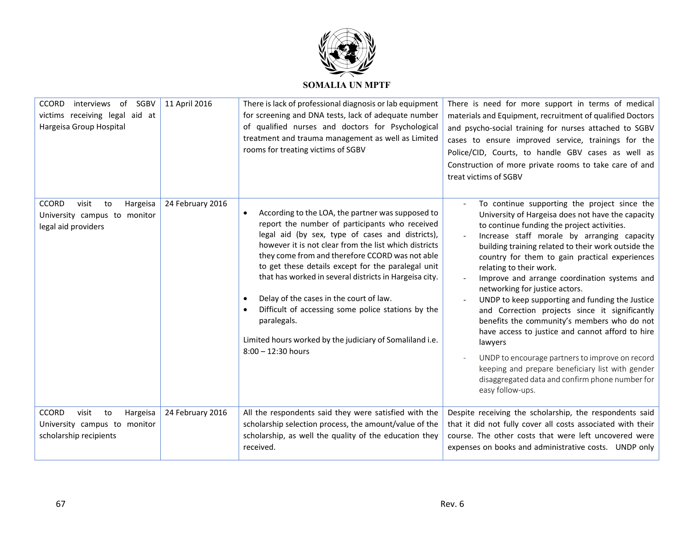

| <b>CCORD</b><br>interviews of<br>SGBV<br>victims receiving legal aid at<br>Hargeisa Group Hospital | 11 April 2016    | There is lack of professional diagnosis or lab equipment<br>for screening and DNA tests, lack of adequate number<br>of qualified nurses and doctors for Psychological<br>treatment and trauma management as well as Limited<br>rooms for treating victims of SGBV                                                                                                                                                                                                                                                                                                                                    | There is need for more support in terms of medical<br>materials and Equipment, recruitment of qualified Doctors<br>and psycho-social training for nurses attached to SGBV<br>cases to ensure improved service, trainings for the<br>Police/CID, Courts, to handle GBV cases as well as<br>Construction of more private rooms to take care of and<br>treat victims of SGBV                                                                                                                                                                                                                                                                                                                                                                                                                                              |
|----------------------------------------------------------------------------------------------------|------------------|------------------------------------------------------------------------------------------------------------------------------------------------------------------------------------------------------------------------------------------------------------------------------------------------------------------------------------------------------------------------------------------------------------------------------------------------------------------------------------------------------------------------------------------------------------------------------------------------------|------------------------------------------------------------------------------------------------------------------------------------------------------------------------------------------------------------------------------------------------------------------------------------------------------------------------------------------------------------------------------------------------------------------------------------------------------------------------------------------------------------------------------------------------------------------------------------------------------------------------------------------------------------------------------------------------------------------------------------------------------------------------------------------------------------------------|
| <b>CCORD</b><br>visit<br>Hargeisa<br>to<br>University campus to monitor<br>legal aid providers     | 24 February 2016 | According to the LOA, the partner was supposed to<br>$\bullet$<br>report the number of participants who received<br>legal aid (by sex, type of cases and districts),<br>however it is not clear from the list which districts<br>they come from and therefore CCORD was not able<br>to get these details except for the paralegal unit<br>that has worked in several districts in Hargeisa city.<br>Delay of the cases in the court of law.<br>Difficult of accessing some police stations by the<br>paralegals.<br>Limited hours worked by the judiciary of Somaliland i.e.<br>$8:00 - 12:30$ hours | To continue supporting the project since the<br>University of Hargeisa does not have the capacity<br>to continue funding the project activities.<br>Increase staff morale by arranging capacity<br>building training related to their work outside the<br>country for them to gain practical experiences<br>relating to their work.<br>Improve and arrange coordination systems and<br>networking for justice actors.<br>UNDP to keep supporting and funding the Justice<br>and Correction projects since it significantly<br>benefits the community's members who do not<br>have access to justice and cannot afford to hire<br>lawyers<br>UNDP to encourage partners to improve on record<br>keeping and prepare beneficiary list with gender<br>disaggregated data and confirm phone number for<br>easy follow-ups. |
| <b>CCORD</b><br>visit<br>to<br>Hargeisa<br>University campus to monitor<br>scholarship recipients  | 24 February 2016 | All the respondents said they were satisfied with the<br>scholarship selection process, the amount/value of the<br>scholarship, as well the quality of the education they<br>received.                                                                                                                                                                                                                                                                                                                                                                                                               | Despite receiving the scholarship, the respondents said<br>that it did not fully cover all costs associated with their<br>course. The other costs that were left uncovered were<br>expenses on books and administrative costs. UNDP only                                                                                                                                                                                                                                                                                                                                                                                                                                                                                                                                                                               |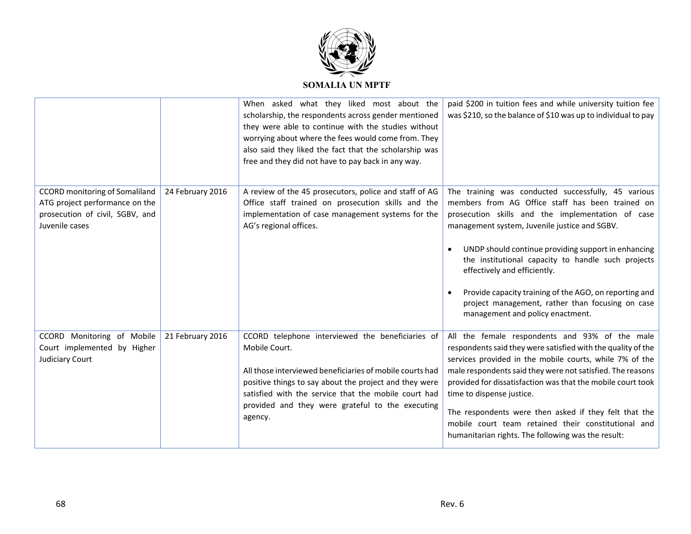

|                                                                                                                              |                  | When asked what they liked most about the<br>scholarship, the respondents across gender mentioned<br>they were able to continue with the studies without<br>worrying about where the fees would come from. They<br>also said they liked the fact that the scholarship was<br>free and they did not have to pay back in any way. | paid \$200 in tuition fees and while university tuition fee<br>was \$210, so the balance of \$10 was up to individual to pay                                                                                                                                                                                                                                                                                                                                                                                              |
|------------------------------------------------------------------------------------------------------------------------------|------------------|---------------------------------------------------------------------------------------------------------------------------------------------------------------------------------------------------------------------------------------------------------------------------------------------------------------------------------|---------------------------------------------------------------------------------------------------------------------------------------------------------------------------------------------------------------------------------------------------------------------------------------------------------------------------------------------------------------------------------------------------------------------------------------------------------------------------------------------------------------------------|
| <b>CCORD</b> monitoring of Somaliland<br>ATG project performance on the<br>prosecution of civil, SGBV, and<br>Juvenile cases | 24 February 2016 | A review of the 45 prosecutors, police and staff of AG<br>Office staff trained on prosecution skills and the<br>implementation of case management systems for the<br>AG's regional offices.                                                                                                                                     | The training was conducted successfully, 45 various<br>members from AG Office staff has been trained on<br>prosecution skills and the implementation of case<br>management system, Juvenile justice and SGBV.<br>UNDP should continue providing support in enhancing<br>$\bullet$<br>the institutional capacity to handle such projects<br>effectively and efficiently.<br>Provide capacity training of the AGO, on reporting and<br>project management, rather than focusing on case<br>management and policy enactment. |
| CCORD Monitoring of Mobile<br>Court implemented by Higher<br>Judiciary Court                                                 | 21 February 2016 | CCORD telephone interviewed the beneficiaries of<br>Mobile Court.<br>All those interviewed beneficiaries of mobile courts had<br>positive things to say about the project and they were<br>satisfied with the service that the mobile court had<br>provided and they were grateful to the executing<br>agency.                  | All the female respondents and 93% of the male<br>respondents said they were satisfied with the quality of the<br>services provided in the mobile courts, while 7% of the<br>male respondents said they were not satisfied. The reasons<br>provided for dissatisfaction was that the mobile court took<br>time to dispense justice.<br>The respondents were then asked if they felt that the<br>mobile court team retained their constitutional and<br>humanitarian rights. The following was the result:                 |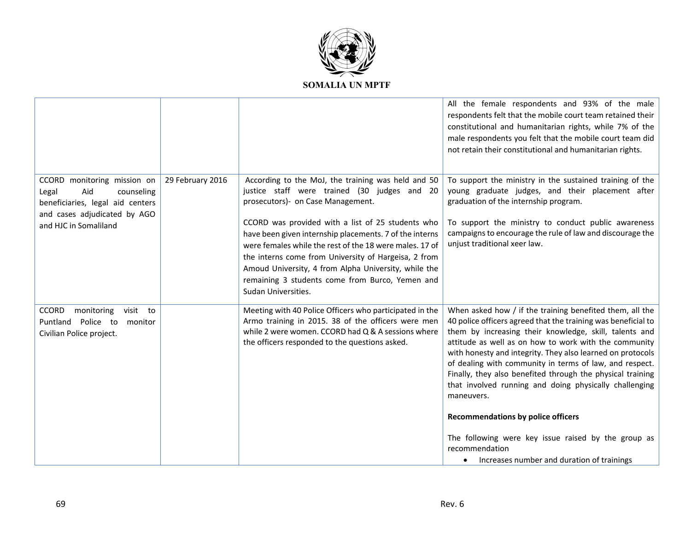

|                                                                                                                                                        |                  |                                                                                                                                                                                                                                                                                                                                                                                                                                                                                                              | All the female respondents and 93% of the male<br>respondents felt that the mobile court team retained their<br>constitutional and humanitarian rights, while 7% of the<br>male respondents you felt that the mobile court team did<br>not retain their constitutional and humanitarian rights.                                                                                                                                                                                                                                                                                                                                                                                 |
|--------------------------------------------------------------------------------------------------------------------------------------------------------|------------------|--------------------------------------------------------------------------------------------------------------------------------------------------------------------------------------------------------------------------------------------------------------------------------------------------------------------------------------------------------------------------------------------------------------------------------------------------------------------------------------------------------------|---------------------------------------------------------------------------------------------------------------------------------------------------------------------------------------------------------------------------------------------------------------------------------------------------------------------------------------------------------------------------------------------------------------------------------------------------------------------------------------------------------------------------------------------------------------------------------------------------------------------------------------------------------------------------------|
| CCORD monitoring mission on<br>Legal<br>Aid<br>counseling<br>beneficiaries, legal aid centers<br>and cases adjudicated by AGO<br>and HJC in Somaliland | 29 February 2016 | According to the MoJ, the training was held and 50<br>justice staff were trained (30 judges and 20<br>prosecutors)- on Case Management.<br>CCORD was provided with a list of 25 students who<br>have been given internship placements. 7 of the interns<br>were females while the rest of the 18 were males, 17 of<br>the interns come from University of Hargeisa, 2 from<br>Amoud University, 4 from Alpha University, while the<br>remaining 3 students come from Burco, Yemen and<br>Sudan Universities. | To support the ministry in the sustained training of the<br>young graduate judges, and their placement after<br>graduation of the internship program.<br>To support the ministry to conduct public awareness<br>campaigns to encourage the rule of law and discourage the<br>unjust traditional xeer law.                                                                                                                                                                                                                                                                                                                                                                       |
| <b>CCORD</b><br>visit to<br>monitoring<br>Puntland Police to monitor<br>Civilian Police project.                                                       |                  | Meeting with 40 Police Officers who participated in the<br>Armo training in 2015. 38 of the officers were men<br>while 2 were women. CCORD had Q & A sessions where<br>the officers responded to the questions asked.                                                                                                                                                                                                                                                                                        | When asked how / if the training benefited them, all the<br>40 police officers agreed that the training was beneficial to<br>them by increasing their knowledge, skill, talents and<br>attitude as well as on how to work with the community<br>with honesty and integrity. They also learned on protocols<br>of dealing with community in terms of law, and respect.<br>Finally, they also benefited through the physical training<br>that involved running and doing physically challenging<br>maneuvers.<br><b>Recommendations by police officers</b><br>The following were key issue raised by the group as<br>recommendation<br>Increases number and duration of trainings |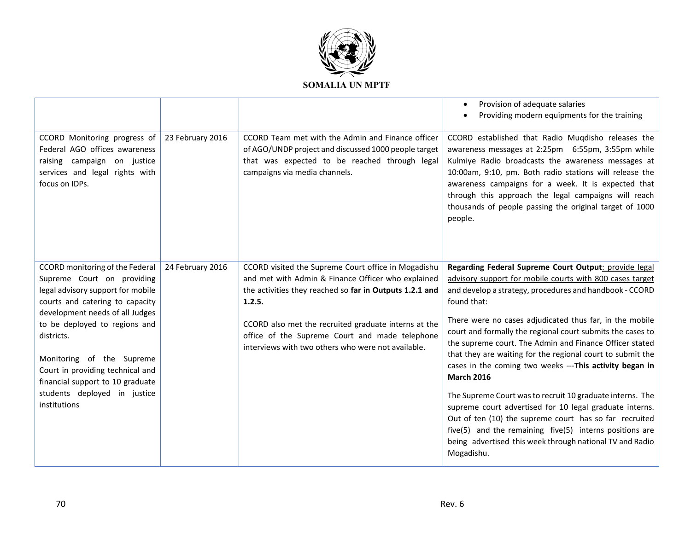

|                                                                                                                                                  |                  |                                                                                                                                                                                             | Provision of adequate salaries<br>Providing modern equipments for the training                                                                                                                                                                                                                                                                                                                                |
|--------------------------------------------------------------------------------------------------------------------------------------------------|------------------|---------------------------------------------------------------------------------------------------------------------------------------------------------------------------------------------|---------------------------------------------------------------------------------------------------------------------------------------------------------------------------------------------------------------------------------------------------------------------------------------------------------------------------------------------------------------------------------------------------------------|
| CCORD Monitoring progress of<br>Federal AGO offices awareness<br>raising campaign on justice<br>services and legal rights with<br>focus on IDPs. | 23 February 2016 | CCORD Team met with the Admin and Finance officer<br>of AGO/UNDP project and discussed 1000 people target<br>that was expected to be reached through legal<br>campaigns via media channels. | CCORD established that Radio Muqdisho releases the<br>awareness messages at 2:25pm 6:55pm, 3:55pm while<br>Kulmiye Radio broadcasts the awareness messages at<br>10:00am, 9:10, pm. Both radio stations will release the<br>awareness campaigns for a week. It is expected that<br>through this approach the legal campaigns will reach<br>thousands of people passing the original target of 1000<br>people. |
| CCORD monitoring of the Federal                                                                                                                  | 24 February 2016 | CCORD visited the Supreme Court office in Mogadishu                                                                                                                                         | Regarding Federal Supreme Court Output: provide legal                                                                                                                                                                                                                                                                                                                                                         |
| Supreme Court on providing                                                                                                                       |                  | and met with Admin & Finance Officer who explained                                                                                                                                          | advisory support for mobile courts with 800 cases target                                                                                                                                                                                                                                                                                                                                                      |
| legal advisory support for mobile                                                                                                                |                  | the activities they reached so far in Outputs 1.2.1 and                                                                                                                                     | and develop a strategy, procedures and handbook - CCORD                                                                                                                                                                                                                                                                                                                                                       |
| courts and catering to capacity                                                                                                                  |                  | 1.2.5.                                                                                                                                                                                      | found that:                                                                                                                                                                                                                                                                                                                                                                                                   |
| development needs of all Judges                                                                                                                  |                  |                                                                                                                                                                                             | There were no cases adjudicated thus far, in the mobile                                                                                                                                                                                                                                                                                                                                                       |
| to be deployed to regions and<br>districts.                                                                                                      |                  | CCORD also met the recruited graduate interns at the<br>office of the Supreme Court and made telephone                                                                                      | court and formally the regional court submits the cases to                                                                                                                                                                                                                                                                                                                                                    |
|                                                                                                                                                  |                  | interviews with two others who were not available.                                                                                                                                          | the supreme court. The Admin and Finance Officer stated                                                                                                                                                                                                                                                                                                                                                       |
| Monitoring of the Supreme                                                                                                                        |                  |                                                                                                                                                                                             | that they are waiting for the regional court to submit the                                                                                                                                                                                                                                                                                                                                                    |
| Court in providing technical and                                                                                                                 |                  |                                                                                                                                                                                             | cases in the coming two weeks ---This activity began in                                                                                                                                                                                                                                                                                                                                                       |
| financial support to 10 graduate                                                                                                                 |                  |                                                                                                                                                                                             | <b>March 2016</b>                                                                                                                                                                                                                                                                                                                                                                                             |
| students deployed in justice                                                                                                                     |                  |                                                                                                                                                                                             | The Supreme Court was to recruit 10 graduate interns. The                                                                                                                                                                                                                                                                                                                                                     |
| institutions                                                                                                                                     |                  |                                                                                                                                                                                             | supreme court advertised for 10 legal graduate interns.                                                                                                                                                                                                                                                                                                                                                       |
|                                                                                                                                                  |                  |                                                                                                                                                                                             | Out of ten (10) the supreme court has so far recruited                                                                                                                                                                                                                                                                                                                                                        |
|                                                                                                                                                  |                  |                                                                                                                                                                                             | five(5) and the remaining five(5) interns positions are<br>being advertised this week through national TV and Radio                                                                                                                                                                                                                                                                                           |
|                                                                                                                                                  |                  |                                                                                                                                                                                             | Mogadishu.                                                                                                                                                                                                                                                                                                                                                                                                    |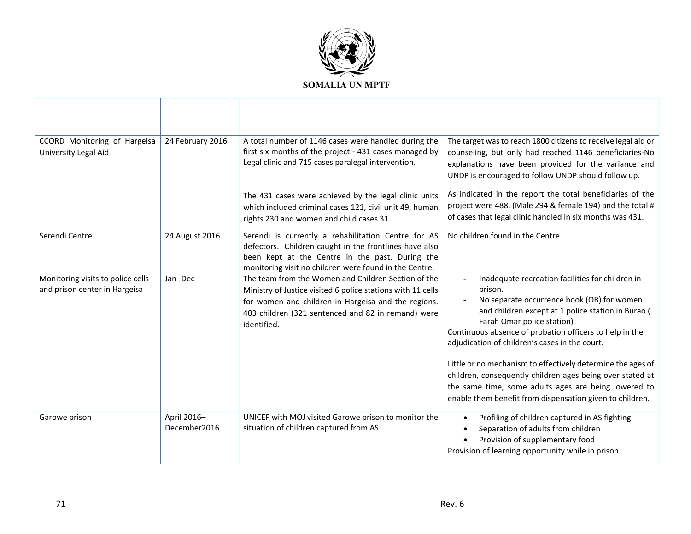

| CCORD Monitoring of Hargeisa<br>University Legal Aid               | 24 February 2016            | A total number of 1146 cases were handled during the<br>first six months of the project - 431 cases managed by<br>Legal clinic and 715 cases paralegal intervention.                                                                           | The target was to reach 1800 citizens to receive legal aid or<br>counseling, but only had reached 1146 beneficiaries-No<br>explanations have been provided for the variance and<br>UNDP is encouraged to follow UNDP should follow up.                                                                                                                                                                                                                                                                                                                     |
|--------------------------------------------------------------------|-----------------------------|------------------------------------------------------------------------------------------------------------------------------------------------------------------------------------------------------------------------------------------------|------------------------------------------------------------------------------------------------------------------------------------------------------------------------------------------------------------------------------------------------------------------------------------------------------------------------------------------------------------------------------------------------------------------------------------------------------------------------------------------------------------------------------------------------------------|
|                                                                    |                             | The 431 cases were achieved by the legal clinic units<br>which included criminal cases 121, civil unit 49, human<br>rights 230 and women and child cases 31.                                                                                   | As indicated in the report the total beneficiaries of the<br>project were 488, (Male 294 & female 194) and the total #<br>of cases that legal clinic handled in six months was 431.                                                                                                                                                                                                                                                                                                                                                                        |
| Serendi Centre                                                     | 24 August 2016              | Serendi is currently a rehabilitation Centre for AS<br>defectors. Children caught in the frontlines have also<br>been kept at the Centre in the past. During the<br>monitoring visit no children were found in the Centre.                     | No children found in the Centre                                                                                                                                                                                                                                                                                                                                                                                                                                                                                                                            |
| Monitoring visits to police cells<br>and prison center in Hargeisa | Jan-Dec                     | The team from the Women and Children Section of the<br>Ministry of Justice visited 6 police stations with 11 cells<br>for women and children in Hargeisa and the regions.<br>403 children (321 sentenced and 82 in remand) were<br>identified. | Inadequate recreation facilities for children in<br>prison.<br>No separate occurrence book (OB) for women<br>and children except at 1 police station in Burao (<br>Farah Omar police station)<br>Continuous absence of probation officers to help in the<br>adjudication of children's cases in the court.<br>Little or no mechanism to effectively determine the ages of<br>children, consequently children ages being over stated at<br>the same time, some adults ages are being lowered to<br>enable them benefit from dispensation given to children. |
| Garowe prison                                                      | April 2016-<br>December2016 | UNICEF with MOJ visited Garowe prison to monitor the<br>situation of children captured from AS.                                                                                                                                                | Profiling of children captured in AS fighting<br>Separation of adults from children<br>Provision of supplementary food<br>Provision of learning opportunity while in prison                                                                                                                                                                                                                                                                                                                                                                                |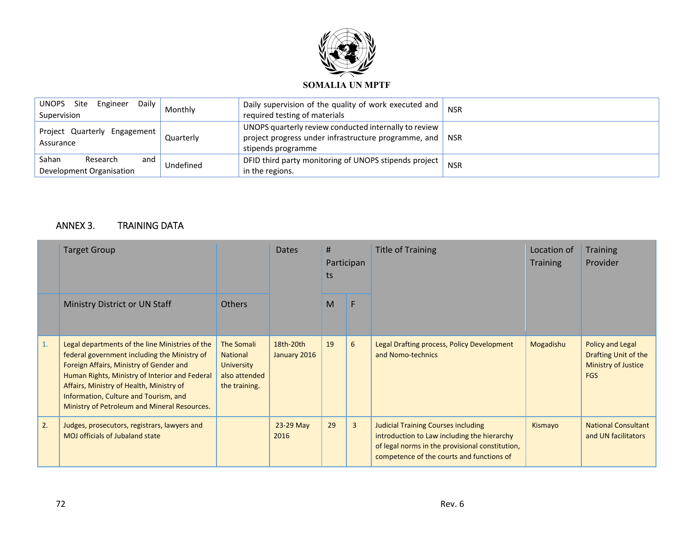

| Daily<br>Engineer<br><b>UNOPS</b><br>Site<br>Supervision | Monthly   | Daily supervision of the quality of work executed and $\vert$<br>required testing of materials                                                          | <b>NSR</b> |
|----------------------------------------------------------|-----------|---------------------------------------------------------------------------------------------------------------------------------------------------------|------------|
| Project Quarterly Engagement  <br>Assurance              | Quarterly | UNOPS quarterly review conducted internally to review $\vert$<br>project progress under infrastructure programme, and $\parallel$<br>stipends programme | <b>NSR</b> |
| Sahan<br>Research<br>and<br>Development Organisation     | Undefined | DFID third party monitoring of UNOPS stipends project<br>in the regions.                                                                                | <b>NSR</b> |

### ANNEX 3. TRAINING DATA

|                | <b>Target Group</b>                                                                                                                                                                                                                                                                                                               |                                                                                             | Dates                     | #<br>Participan<br>ts |                | <b>Title of Training</b>                                                                                                                                                                  | Location of<br><b>Training</b> | <b>Training</b><br>Provider                                                          |
|----------------|-----------------------------------------------------------------------------------------------------------------------------------------------------------------------------------------------------------------------------------------------------------------------------------------------------------------------------------|---------------------------------------------------------------------------------------------|---------------------------|-----------------------|----------------|-------------------------------------------------------------------------------------------------------------------------------------------------------------------------------------------|--------------------------------|--------------------------------------------------------------------------------------|
|                | Ministry District or UN Staff                                                                                                                                                                                                                                                                                                     | Others                                                                                      |                           | M                     | F              |                                                                                                                                                                                           |                                |                                                                                      |
| $\mathbf{1}$ . | Legal departments of the line Ministries of the<br>federal government including the Ministry of<br>Foreign Affairs, Ministry of Gender and<br>Human Rights, Ministry of Interior and Federal<br>Affairs, Ministry of Health, Ministry of<br>Information, Culture and Tourism, and<br>Ministry of Petroleum and Mineral Resources. | <b>The Somali</b><br><b>National</b><br><b>University</b><br>also attended<br>the training. | 18th-20th<br>January 2016 | 19                    | 6              | Legal Drafting process, Policy Development<br>and Nomo-technics                                                                                                                           | Mogadishu                      | <b>Policy and Legal</b><br>Drafting Unit of the<br>Ministry of Justice<br><b>FGS</b> |
| 2.             | Judges, prosecutors, registrars, lawyers and<br><b>MOJ</b> officials of Jubaland state                                                                                                                                                                                                                                            |                                                                                             | 23-29 May<br>2016         | 29                    | $\overline{3}$ | <b>Judicial Training Courses including</b><br>introduction to Law including the hierarchy<br>of legal norms in the provisional constitution,<br>competence of the courts and functions of | Kismayo                        | <b>National Consultant</b><br>and UN facilitators                                    |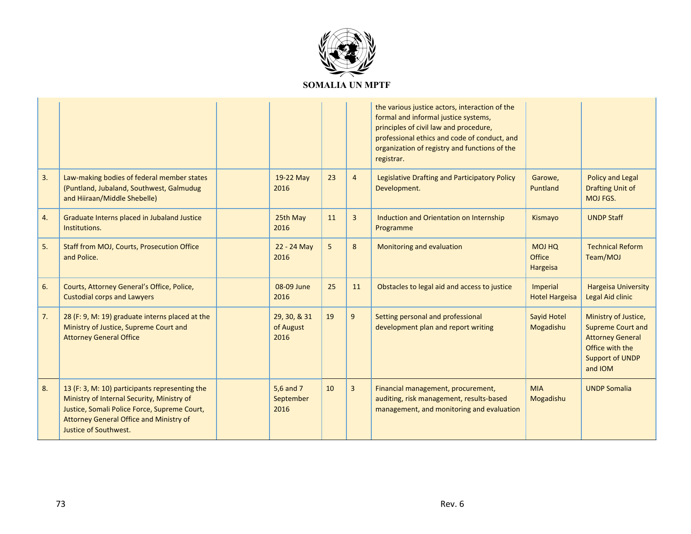

|    |                                                                                                                                                                                                                  |                                   |    |                | the various justice actors, interaction of the<br>formal and informal justice systems,<br>principles of civil law and procedure,<br>professional ethics and code of conduct, and<br>organization of registry and functions of the<br>registrar. |                                     |                                                                                                                                     |
|----|------------------------------------------------------------------------------------------------------------------------------------------------------------------------------------------------------------------|-----------------------------------|----|----------------|-------------------------------------------------------------------------------------------------------------------------------------------------------------------------------------------------------------------------------------------------|-------------------------------------|-------------------------------------------------------------------------------------------------------------------------------------|
| 3. | Law-making bodies of federal member states<br>(Puntland, Jubaland, Southwest, Galmudug<br>and Hiiraan/Middle Shebelle)                                                                                           | 19-22 May<br>2016                 | 23 | $\overline{4}$ | Legislative Drafting and Participatory Policy<br>Development.                                                                                                                                                                                   | Garowe,<br>Puntland                 | <b>Policy and Legal</b><br><b>Drafting Unit of</b><br>MOJ FGS.                                                                      |
| 4. | Graduate Interns placed in Jubaland Justice<br>Institutions.                                                                                                                                                     | 25th May<br>2016                  | 11 | 3              | Induction and Orientation on Internship<br>Programme                                                                                                                                                                                            | Kismayo                             | <b>UNDP Staff</b>                                                                                                                   |
| 5. | Staff from MOJ, Courts, Prosecution Office<br>and Police.                                                                                                                                                        | 22 - 24 May<br>2016               | 5  | 8              | Monitoring and evaluation                                                                                                                                                                                                                       | <b>MOJ HQ</b><br>Office<br>Hargeisa | <b>Technical Reform</b><br>Team/MOJ                                                                                                 |
| 6. | Courts, Attorney General's Office, Police,<br><b>Custodial corps and Lawyers</b>                                                                                                                                 | 08-09 June<br>2016                | 25 | 11             | Obstacles to legal aid and access to justice                                                                                                                                                                                                    | Imperial<br><b>Hotel Hargeisa</b>   | <b>Hargeisa University</b><br>Legal Aid clinic                                                                                      |
| 7. | 28 (F: 9, M: 19) graduate interns placed at the<br>Ministry of Justice, Supreme Court and<br><b>Attorney General Office</b>                                                                                      | 29, 30, & 31<br>of August<br>2016 | 19 | 9              | Setting personal and professional<br>development plan and report writing                                                                                                                                                                        | Sayid Hotel<br>Mogadishu            | Ministry of Justice,<br><b>Supreme Court and</b><br><b>Attorney General</b><br>Office with the<br><b>Support of UNDP</b><br>and IOM |
| 8. | 13 (F: 3, M: 10) participants representing the<br>Ministry of Internal Security, Ministry of<br>Justice, Somali Police Force, Supreme Court,<br>Attorney General Office and Ministry of<br>Justice of Southwest. | 5.6 and 7<br>September<br>2016    | 10 | 3              | Financial management, procurement,<br>auditing, risk management, results-based<br>management, and monitoring and evaluation                                                                                                                     | <b>MIA</b><br>Mogadishu             | <b>UNDP Somalia</b>                                                                                                                 |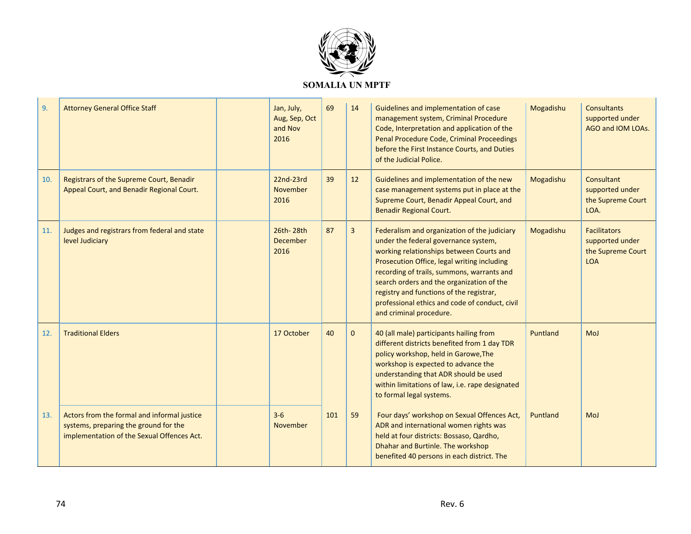

| 9.  | <b>Attorney General Office Staff</b>                                                                                               | Jan, July,<br>Aug, Sep, Oct<br>and Nov<br>2016 | 69  | 14           | Guidelines and implementation of case<br>management system, Criminal Procedure<br>Code, Interpretation and application of the<br>Penal Procedure Code, Criminal Proceedings<br>before the First Instance Courts, and Duties<br>of the Judicial Police.                                                                                                                                              | Mogadishu | <b>Consultants</b><br>supported under<br>AGO and IOM LOAs.                |
|-----|------------------------------------------------------------------------------------------------------------------------------------|------------------------------------------------|-----|--------------|-----------------------------------------------------------------------------------------------------------------------------------------------------------------------------------------------------------------------------------------------------------------------------------------------------------------------------------------------------------------------------------------------------|-----------|---------------------------------------------------------------------------|
| 10. | Registrars of the Supreme Court, Benadir<br>Appeal Court, and Benadir Regional Court.                                              | 22nd-23rd<br><b>November</b><br>2016           | 39  | 12           | Guidelines and implementation of the new<br>case management systems put in place at the<br>Supreme Court, Benadir Appeal Court, and<br><b>Benadir Regional Court.</b>                                                                                                                                                                                                                               | Mogadishu | Consultant<br>supported under<br>the Supreme Court<br>LOA.                |
| 11. | Judges and registrars from federal and state<br>level Judiciary                                                                    | 26th-28th<br>December<br>2016                  | 87  | $\mathbf{3}$ | Federalism and organization of the judiciary<br>under the federal governance system,<br>working relationships between Courts and<br>Prosecution Office, legal writing including<br>recording of trails, summons, warrants and<br>search orders and the organization of the<br>registry and functions of the registrar,<br>professional ethics and code of conduct, civil<br>and criminal procedure. | Mogadishu | <b>Facilitators</b><br>supported under<br>the Supreme Court<br><b>LOA</b> |
| 12. | <b>Traditional Elders</b>                                                                                                          | 17 October                                     | 40  | $\mathbf 0$  | 40 (all male) participants hailing from<br>different districts benefited from 1 day TDR<br>policy workshop, held in Garowe, The<br>workshop is expected to advance the<br>understanding that ADR should be used<br>within limitations of law, i.e. rape designated<br>to formal legal systems.                                                                                                      | Puntland  | MoJ                                                                       |
| 13. | Actors from the formal and informal justice<br>systems, preparing the ground for the<br>implementation of the Sexual Offences Act. | $3 - 6$<br>November                            | 101 | 59           | Four days' workshop on Sexual Offences Act,<br>ADR and international women rights was<br>held at four districts: Bossaso, Qardho,<br>Dhahar and Burtinle. The workshop<br>benefited 40 persons in each district. The                                                                                                                                                                                | Puntland  | MoJ                                                                       |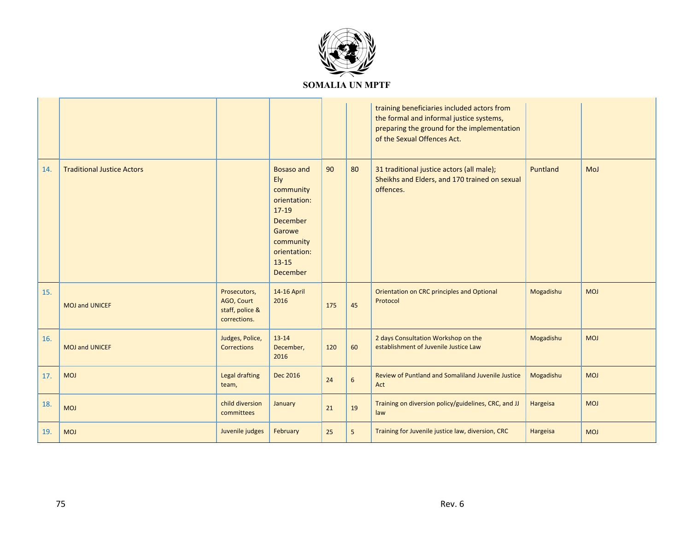

|     |                                   |                                                               |                                                                                                                                                            |     |                  | training beneficiaries included actors from<br>the formal and informal justice systems,<br>preparing the ground for the implementation<br>of the Sexual Offences Act. |           |            |
|-----|-----------------------------------|---------------------------------------------------------------|------------------------------------------------------------------------------------------------------------------------------------------------------------|-----|------------------|-----------------------------------------------------------------------------------------------------------------------------------------------------------------------|-----------|------------|
| 14. | <b>Traditional Justice Actors</b> |                                                               | <b>Bosaso and</b><br>Ely<br>community<br>orientation:<br>$17-19$<br><b>December</b><br>Garowe<br>community<br>orientation:<br>$13 - 15$<br><b>December</b> | 90  | 80               | 31 traditional justice actors (all male);<br>Sheikhs and Elders, and 170 trained on sexual<br>offences.                                                               | Puntland  | MoJ        |
| 15. | <b>MOJ and UNICEF</b>             | Prosecutors,<br>AGO, Court<br>staff, police &<br>corrections. | 14-16 April<br>2016                                                                                                                                        | 175 | 45               | Orientation on CRC principles and Optional<br>Protocol                                                                                                                | Mogadishu | <b>MOJ</b> |
| 16. | <b>MOJ and UNICEF</b>             | Judges, Police,<br><b>Corrections</b>                         | $13 - 14$<br>December,<br>2016                                                                                                                             | 120 | 60               | 2 days Consultation Workshop on the<br>establishment of Juvenile Justice Law                                                                                          | Mogadishu | <b>MOJ</b> |
| 17. | <b>MOJ</b>                        | <b>Legal drafting</b><br>team,                                | Dec 2016                                                                                                                                                   | 24  | $\boldsymbol{6}$ | Review of Puntland and Somaliland Juvenile Justice<br>Act                                                                                                             | Mogadishu | <b>MOJ</b> |
| 18. | <b>MOJ</b>                        | child diversion<br>committees                                 | January                                                                                                                                                    | 21  | 19               | Training on diversion policy/guidelines, CRC, and JJ<br>law                                                                                                           | Hargeisa  | <b>MOJ</b> |
| 19. | <b>MOJ</b>                        | Juvenile judges                                               | February                                                                                                                                                   | 25  | 5 <sup>1</sup>   | Training for Juvenile justice law, diversion, CRC                                                                                                                     | Hargeisa  | <b>MOJ</b> |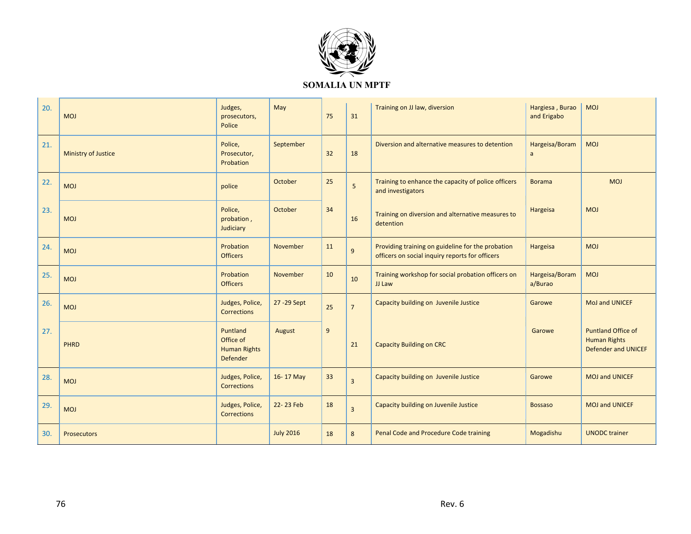

## **SOMALIA UN MPTF**

| 20. | <b>MOJ</b>                 | Judges,<br>prosecutors,<br>Police                               | May              | 75 | 31                      | Training on JJ law, diversion                                                                        | Hargiesa, Burao<br>and Erigabo | <b>MOJ</b>                                                                     |
|-----|----------------------------|-----------------------------------------------------------------|------------------|----|-------------------------|------------------------------------------------------------------------------------------------------|--------------------------------|--------------------------------------------------------------------------------|
| 21. | <b>Ministry of Justice</b> | Police,<br>Prosecutor,<br>Probation                             | September        | 32 | 18                      | Diversion and alternative measures to detention                                                      | Hargeisa/Boram<br>a            | <b>MOJ</b>                                                                     |
| 22. | <b>MOJ</b>                 | police                                                          | October          | 25 | 5                       | Training to enhance the capacity of police officers<br>and investigators                             | <b>Borama</b>                  | <b>MOJ</b>                                                                     |
| 23. | <b>MOJ</b>                 | Police,<br>probation,<br>Judiciary                              | October          | 34 | 16                      | Training on diversion and alternative measures to<br>detention                                       | Hargeisa                       | <b>MOJ</b>                                                                     |
| 24. | <b>MOJ</b>                 | Probation<br><b>Officers</b>                                    | November         | 11 | 9                       | Providing training on guideline for the probation<br>officers on social inquiry reports for officers | Hargeisa                       | <b>MOJ</b>                                                                     |
| 25. | <b>MOJ</b>                 | Probation<br><b>Officers</b>                                    | November         | 10 | 10                      | Training workshop for social probation officers on<br>JJ Law                                         | Hargeisa/Boram<br>a/Burao      | <b>MOJ</b>                                                                     |
| 26. | <b>MOJ</b>                 | Judges, Police,<br><b>Corrections</b>                           | 27 - 29 Sept     | 25 | $\overline{7}$          | Capacity building on Juvenile Justice                                                                | Garowe                         | MoJ and UNICEF                                                                 |
| 27. | PHRD                       | Puntland<br>Office of<br><b>Human Rights</b><br><b>Defender</b> | August           | 9  | 21                      | <b>Capacity Building on CRC</b>                                                                      | Garowe                         | <b>Puntland Office of</b><br><b>Human Rights</b><br><b>Defender and UNICEF</b> |
| 28. | <b>MOJ</b>                 | Judges, Police,<br><b>Corrections</b>                           | 16-17 May        | 33 | $\overline{\mathbf{3}}$ | Capacity building on Juvenile Justice                                                                | Garowe                         | <b>MOJ and UNICEF</b>                                                          |
| 29. | <b>MOJ</b>                 | Judges, Police,<br><b>Corrections</b>                           | 22-23 Feb        | 18 | $\overline{\mathbf{3}}$ | Capacity building on Juvenile Justice                                                                | <b>Bossaso</b>                 | <b>MOJ and UNICEF</b>                                                          |
| 30. | <b>Prosecutors</b>         |                                                                 | <b>July 2016</b> | 18 | 8                       | Penal Code and Procedure Code training                                                               | Mogadishu                      | <b>UNODC</b> trainer                                                           |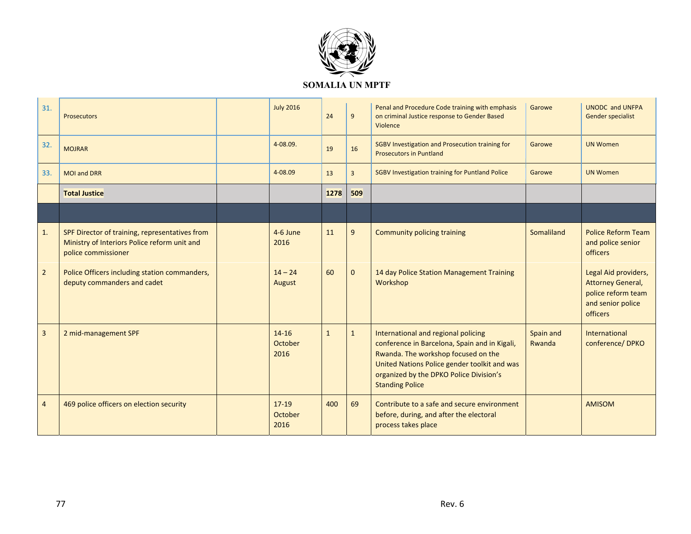

| 31.            | Prosecutors                                                                                                           | <b>July 2016</b>             | 24           | 9              | Penal and Procedure Code training with emphasis<br>on criminal Justice response to Gender Based<br>Violence                                                                                                                                      | Garowe              | <b>UNODC and UNFPA</b><br><b>Gender specialist</b>                                                      |
|----------------|-----------------------------------------------------------------------------------------------------------------------|------------------------------|--------------|----------------|--------------------------------------------------------------------------------------------------------------------------------------------------------------------------------------------------------------------------------------------------|---------------------|---------------------------------------------------------------------------------------------------------|
| 32.            | <b>MOJRAR</b>                                                                                                         | 4-08.09.                     | 19           | 16             | SGBV Investigation and Prosecution training for<br><b>Prosecutors in Puntland</b>                                                                                                                                                                | Garowe              | <b>UN Women</b>                                                                                         |
| 33.            | <b>MOI and DRR</b>                                                                                                    | 4-08.09                      | 13           | $\overline{3}$ | <b>SGBV Investigation training for Puntland Police</b>                                                                                                                                                                                           | Garowe              | <b>UN Women</b>                                                                                         |
|                | <b>Total Justice</b>                                                                                                  |                              | 1278         | 509            |                                                                                                                                                                                                                                                  |                     |                                                                                                         |
|                |                                                                                                                       |                              |              |                |                                                                                                                                                                                                                                                  |                     |                                                                                                         |
| 1.             | SPF Director of training, representatives from<br>Ministry of Interiors Police reform unit and<br>police commissioner | 4-6 June<br>2016             | 11           | 9              | <b>Community policing training</b>                                                                                                                                                                                                               | Somaliland          | <b>Police Reform Team</b><br>and police senior<br><b>officers</b>                                       |
| $\overline{2}$ | Police Officers including station commanders,<br>deputy commanders and cadet                                          | $14 - 24$<br>August          | 60           | $\mathbf 0$    | 14 day Police Station Management Training<br>Workshop                                                                                                                                                                                            |                     | Legal Aid providers,<br><b>Attorney General,</b><br>police reform team<br>and senior police<br>officers |
| 3              | 2 mid-management SPF                                                                                                  | $14 - 16$<br>October<br>2016 | $\mathbf{1}$ | $\mathbf{1}$   | International and regional policing<br>conference in Barcelona, Spain and in Kigali,<br>Rwanda. The workshop focused on the<br>United Nations Police gender toolkit and was<br>organized by the DPKO Police Division's<br><b>Standing Police</b> | Spain and<br>Rwanda | <b>International</b><br>conference/DPKO                                                                 |
| $\overline{4}$ | 469 police officers on election security                                                                              | $17 - 19$<br>October<br>2016 | 400          | 69             | Contribute to a safe and secure environment<br>before, during, and after the electoral<br>process takes place                                                                                                                                    |                     | <b>AMISOM</b>                                                                                           |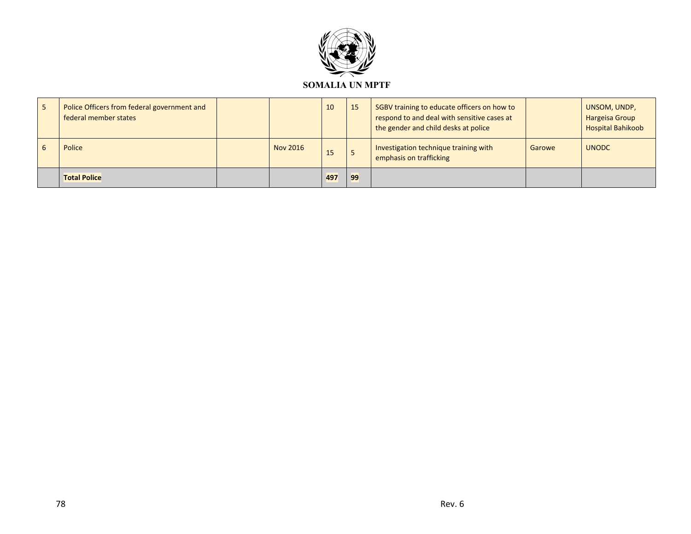

| $\sqrt{5}$ | Police Officers from federal government and<br>federal member states |          | 10  | 15 | SGBV training to educate officers on how to<br>respond to and deal with sensitive cases at<br>the gender and child desks at police |        | UNSOM, UNDP,<br><b>Hargeisa Group</b><br><b>Hospital Bahikoob</b> |
|------------|----------------------------------------------------------------------|----------|-----|----|------------------------------------------------------------------------------------------------------------------------------------|--------|-------------------------------------------------------------------|
| 6          | Police                                                               | Nov 2016 | 15  |    | Investigation technique training with<br>emphasis on trafficking                                                                   | Garowe | <b>UNODC</b>                                                      |
|            | <b>Total Police</b>                                                  |          | 497 | 99 |                                                                                                                                    |        |                                                                   |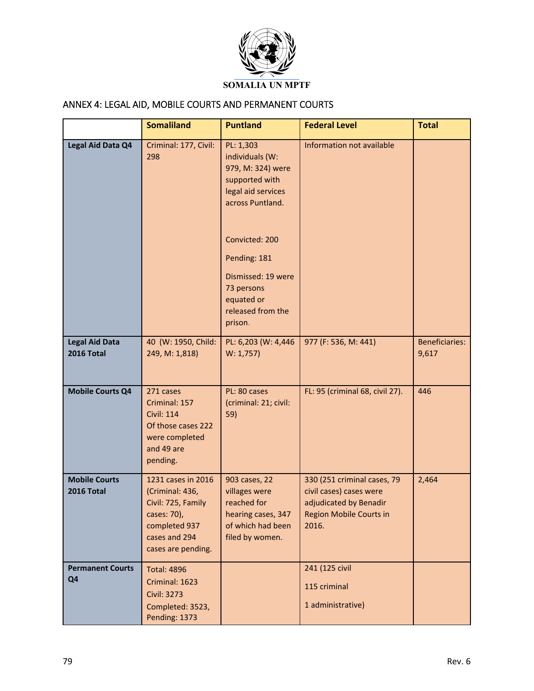

## ANNEX 4: LEGAL AID, MOBILE COURTS AND PERMANENT COURTS

|                                            | <b>Somaliland</b>                                                                                                                  | <b>Puntland</b>                                                                                                                                                                                   | <b>Federal Level</b>                                                                                                        | <b>Total</b>                   |
|--------------------------------------------|------------------------------------------------------------------------------------------------------------------------------------|---------------------------------------------------------------------------------------------------------------------------------------------------------------------------------------------------|-----------------------------------------------------------------------------------------------------------------------------|--------------------------------|
| Legal Aid Data Q4                          | Criminal: 177, Civil:<br>298                                                                                                       | PL: 1,303<br>individuals (W:<br>979, M: 324) were<br>supported with<br>legal aid services<br>across Puntland.<br>Convicted: 200<br>Pending: 181<br>Dismissed: 19 were<br>73 persons<br>equated or | Information not available                                                                                                   |                                |
|                                            |                                                                                                                                    | released from the<br>prison.                                                                                                                                                                      |                                                                                                                             |                                |
| <b>Legal Aid Data</b><br><b>2016 Total</b> | 40 (W: 1950, Child:<br>249, M: 1,818)                                                                                              | PL: 6,203 (W: 4,446<br>W: 1,757                                                                                                                                                                   | 977 (F: 536, M: 441)                                                                                                        | <b>Beneficiaries:</b><br>9,617 |
| <b>Mobile Courts Q4</b>                    | 271 cases<br>Criminal: 157<br><b>Civil: 114</b><br>Of those cases 222<br>were completed<br>and 49 are<br>pending.                  | PL: 80 cases<br>(criminal: 21; civil:<br>59)                                                                                                                                                      | FL: 95 (criminal 68, civil 27).                                                                                             | 446                            |
| <b>Mobile Courts</b><br>2016 Total         | 1231 cases in 2016<br>(Criminal: 436,<br>Civil: 725, Family<br>cases: 70),<br>completed 937<br>cases and 294<br>cases are pending. | 903 cases, 22<br>villages were<br>reached for<br>hearing cases, 347<br>of which had been<br>filed by women.                                                                                       | 330 (251 criminal cases, 79<br>civil cases) cases were<br>adjudicated by Benadir<br><b>Region Mobile Courts in</b><br>2016. | 2,464                          |
| <b>Permanent Courts</b><br>Q <sub>4</sub>  | <b>Total: 4896</b><br>Criminal: 1623<br><b>Civil: 3273</b><br>Completed: 3523,<br>Pending: 1373                                    |                                                                                                                                                                                                   | 241 (125 civil<br>115 criminal<br>1 administrative)                                                                         |                                |